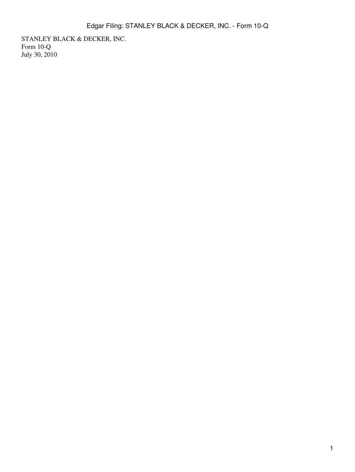STANLEY BLACK & DECKER, INC. Form 10-Q July 30, 2010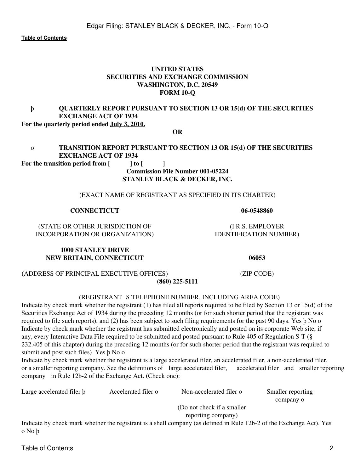## **UNITED STATES SECURITIES AND EXCHANGE COMMISSION WASHINGTON, D.C. 20549 FORM 10-Q**

#### þ **QUARTERLY REPORT PURSUANT TO SECTION 13 OR 15(d) OF THE SECURITIES EXCHANGE ACT OF 1934 For the quarterly period ended July 3, 2010.**

**OR**

## o **TRANSITION REPORT PURSUANT TO SECTION 13 OR 15(d) OF THE SECURITIES EXCHANGE ACT OF 1934**

For the transition period from  $\begin{bmatrix} 1 & 1 \end{bmatrix}$ 

#### **Commission File Number 001-05224 STANLEY BLACK & DECKER, INC.**

## (EXACT NAME OF REGISTRANT AS SPECIFIED IN ITS CHARTER)

## **CONNECTICUT 06-0548860**

(STATE OR OTHER JURISDICTION OF (I.R.S. EMPLOYER INCORPORATION OR ORGANIZATION) IDENTIFICATION NUMBER)

**1000 STANLEY DRIVE NEW BRITAIN, CONNECTICUT 06053**

#### (REGISTRANT S TELEPHONE NUMBER, INCLUDING AREA CODE)

**(860) 225-5111**

Indicate by check mark whether the registrant (1) has filed all reports required to be filed by Section 13 or 15(d) of the Securities Exchange Act of 1934 during the preceding 12 months (or for such shorter period that the registrant was required to file such reports), and (2) has been subject to such filing requirements for the past 90 days. Yes þ No o Indicate by check mark whether the registrant has submitted electronically and posted on its corporate Web site, if any, every Interactive Data File required to be submitted and posted pursuant to Rule 405 of Regulation S-T (§ 232.405 of this chapter) during the preceding 12 months (or for such shorter period that the registrant was required to submit and post such files). Yes þ No o

Indicate by check mark whether the registrant is a large accelerated filer, an accelerated filer, a non-accelerated filer, or a smaller reporting company. See the definitions of large accelerated filer, accelerated filer and smaller reporting company in Rule 12b-2 of the Exchange Act. (Check one):

| Large accelerated filer <b>b</b> | Accelerated filer o | Non-accelerated filer o                                                                                                                                                                                                                                                                                                  | Smaller reporting |  |  |  |  |  |
|----------------------------------|---------------------|--------------------------------------------------------------------------------------------------------------------------------------------------------------------------------------------------------------------------------------------------------------------------------------------------------------------------|-------------------|--|--|--|--|--|
|                                  |                     |                                                                                                                                                                                                                                                                                                                          | company o         |  |  |  |  |  |
|                                  |                     | (Do not check if a smaller)                                                                                                                                                                                                                                                                                              |                   |  |  |  |  |  |
|                                  |                     | reporting company)                                                                                                                                                                                                                                                                                                       |                   |  |  |  |  |  |
|                                  |                     | $\mathbf{I}^{(1)}$ , $\mathbf{I}^{(2)}$ , $\mathbf{I}^{(3)}$ , $\mathbf{I}^{(4)}$ , $\mathbf{I}^{(4)}$ , $\mathbf{I}^{(4)}$ , $\mathbf{I}^{(4)}$ , $\mathbf{I}^{(4)}$ , $\mathbf{I}^{(4)}$ , $\mathbf{I}^{(4)}$ , $\mathbf{I}^{(4)}$ , $\mathbf{I}^{(4)}$ , $\mathbf{I}^{(4)}$ , $\mathbf{I}^{(4)}$ , $\mathbf{I}^{(4)}$ |                   |  |  |  |  |  |

Indicate by check mark whether the registrant is a shell company (as defined in Rule 12b-2 of the Exchange Act). Yes o No þ

(ADDRESS OF PRINCIPAL EXECUTIVE OFFICES) (ZIP CODE)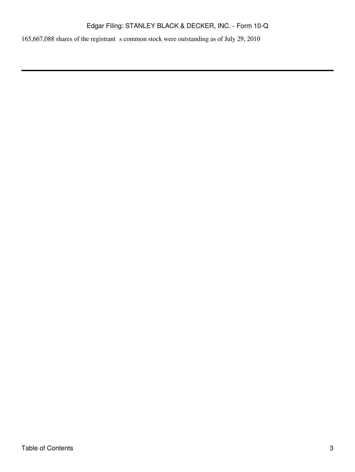165,667,088 shares of the registrant s common stock were outstanding as of July 29, 2010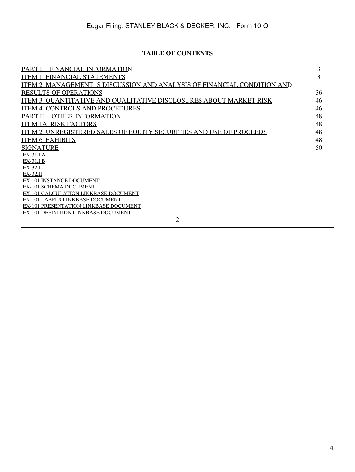## **TABLE OF CONTENTS**

<span id="page-3-0"></span>

| <b>FINANCIAL INFORMATION</b><br>PART I                                         | 3  |
|--------------------------------------------------------------------------------|----|
| <b>ITEM 1. FINANCIAL STATEMENTS</b>                                            | 3  |
| <b>ITEM 2. MANAGEMENT S DISCUSSION AND ANALYSIS OF FINANCIAL CONDITION AND</b> |    |
| <b>RESULTS OF OPERATIONS</b>                                                   | 36 |
| ITEM 3. OUANTITATIVE AND OUALITATIVE DISCLOSURES ABOUT MARKET RISK             | 46 |
| <b>ITEM 4. CONTROLS AND PROCEDURES</b>                                         | 46 |
| <b>OTHER INFORMATION</b><br>PART II                                            | 48 |
| <b>ITEM 1A. RISK FACTORS</b>                                                   | 48 |
| <b>ITEM 2. UNREGISTERED SALES OF EQUITY SECURITIES AND USE OF PROCEEDS</b>     | 48 |
| <b>ITEM 6. EXHIBITS</b>                                                        | 48 |
| <b>SIGNATURE</b>                                                               | 50 |
| $EX-31.I.A$                                                                    |    |
| $EX-31.I.B$                                                                    |    |
| EX-32.I                                                                        |    |
| $EX-32.II$<br><b>EX-101 INSTANCE DOCUMENT</b>                                  |    |
| <b>EX-101 SCHEMA DOCUMENT</b>                                                  |    |
| <b>EX-101 CALCULATION LINKBASE DOCUMENT</b>                                    |    |
| EX-101 LABELS LINKBASE DOCUMENT                                                |    |
| EX-101 PRESENTATION LINKBASE DOCUMENT                                          |    |
| EX-101 DEFINITION LINKBASE DOCUMENT                                            |    |
| 2                                                                              |    |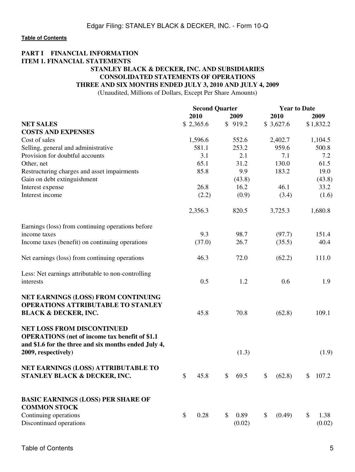## <span id="page-4-1"></span><span id="page-4-0"></span>**PART I FINANCIAL INFORMATION ITEM 1. FINANCIAL STATEMENTS STANLEY BLACK & DECKER, INC. AND SUBSIDIARIES CONSOLIDATED STATEMENTS OF OPERATIONS THREE AND SIX MONTHS ENDED JULY 3, 2010 AND JULY 4, 2009**

(Unaudited, Millions of Dollars, Except Per Share Amounts)

|                                                                                                                                                                            | <b>Second Quarter</b> |                      | <b>Year to Date</b> |                      |  |  |
|----------------------------------------------------------------------------------------------------------------------------------------------------------------------------|-----------------------|----------------------|---------------------|----------------------|--|--|
|                                                                                                                                                                            | 2010                  | 2009                 | 2010                | 2009                 |  |  |
| <b>NET SALES</b>                                                                                                                                                           | \$2,365.6             | \$919.2              | \$3,627.6           | \$1,832.2            |  |  |
| <b>COSTS AND EXPENSES</b>                                                                                                                                                  |                       |                      |                     |                      |  |  |
| Cost of sales                                                                                                                                                              | 1,596.6               | 552.6                | 2,402.7             | 1,104.5              |  |  |
| Selling, general and administrative                                                                                                                                        | 581.1                 | 253.2                | 959.6               | 500.8                |  |  |
| Provision for doubtful accounts                                                                                                                                            | 3.1                   | 2.1                  | 7.1                 | 7.2                  |  |  |
| Other, net                                                                                                                                                                 | 65.1                  | 31.2                 | 130.0               | 61.5                 |  |  |
| Restructuring charges and asset impairments                                                                                                                                | 85.8                  | 9.9                  | 183.2               | 19.0                 |  |  |
| Gain on debt extinguishment                                                                                                                                                |                       | (43.8)               |                     | (43.8)               |  |  |
| Interest expense                                                                                                                                                           | 26.8                  | 16.2                 | 46.1                | 33.2                 |  |  |
| Interest income                                                                                                                                                            | (2.2)                 | (0.9)                | (3.4)               | (1.6)                |  |  |
|                                                                                                                                                                            | 2,356.3               | 820.5                | 3,725.3             | 1,680.8              |  |  |
| Earnings (loss) from continuing operations before                                                                                                                          |                       |                      |                     |                      |  |  |
| income taxes                                                                                                                                                               | 9.3                   | 98.7                 | (97.7)              | 151.4                |  |  |
| Income taxes (benefit) on continuing operations                                                                                                                            | (37.0)                | 26.7                 | (35.5)              | 40.4                 |  |  |
| Net earnings (loss) from continuing operations                                                                                                                             | 46.3                  | 72.0                 | (62.2)              | 111.0                |  |  |
| Less: Net earnings attributable to non-controlling<br>interests                                                                                                            | 0.5                   | 1.2                  | 0.6                 | 1.9                  |  |  |
| NET EARNINGS (LOSS) FROM CONTINUING<br><b>OPERATIONS ATTRIBUTABLE TO STANLEY</b><br><b>BLACK &amp; DECKER, INC.</b>                                                        | 45.8                  | 70.8                 | (62.8)              | 109.1                |  |  |
| <b>NET LOSS FROM DISCONTINUED</b><br><b>OPERATIONS</b> (net of income tax benefit of \$1.1)<br>and \$1.6 for the three and six months ended July 4,<br>2009, respectively) |                       | (1.3)                |                     | (1.9)                |  |  |
| NET EARNINGS (LOSS) ATTRIBUTABLE TO<br>STANLEY BLACK & DECKER, INC.                                                                                                        | \$<br>45.8            | \$<br>69.5           | \$<br>(62.8)        | 107.2<br>\$          |  |  |
| <b>BASIC EARNINGS (LOSS) PER SHARE OF</b><br><b>COMMON STOCK</b>                                                                                                           |                       |                      |                     |                      |  |  |
| Continuing operations<br>Discontinued operations                                                                                                                           | \$<br>0.28            | 0.89<br>\$<br>(0.02) | (0.49)<br>\$        | \$<br>1.38<br>(0.02) |  |  |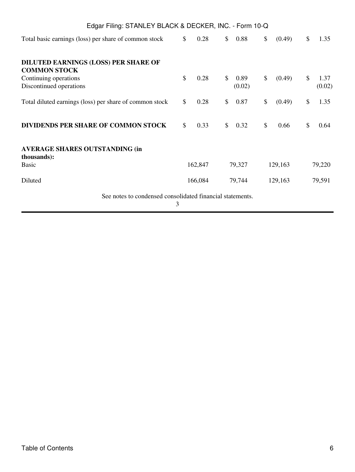| Edgar Filing: STANLEY BLACK & DECKER, INC. - Form 10-Q             |    |         |                      |               |         |                      |
|--------------------------------------------------------------------|----|---------|----------------------|---------------|---------|----------------------|
| Total basic earnings (loss) per share of common stock              | \$ | 0.28    | \$<br>0.88           | \$            | (0.49)  | \$<br>1.35           |
| <b>DILUTED EARNINGS (LOSS) PER SHARE OF</b><br><b>COMMON STOCK</b> |    |         |                      |               |         |                      |
| Continuing operations<br>Discontinued operations                   | \$ | 0.28    | \$<br>0.89<br>(0.02) | \$            | (0.49)  | \$<br>1.37<br>(0.02) |
| Total diluted earnings (loss) per share of common stock            | \$ | 0.28    | \$<br>0.87           | \$            | (0.49)  | \$<br>1.35           |
| DIVIDENDS PER SHARE OF COMMON STOCK                                | \$ | 0.33    | \$<br>0.32           | $\mathcal{S}$ | 0.66    | \$<br>0.64           |
| <b>AVERAGE SHARES OUTSTANDING (in</b><br>thousands):               |    |         |                      |               |         |                      |
| <b>Basic</b>                                                       |    | 162,847 | 79,327               |               | 129,163 | 79,220               |
| Diluted                                                            |    | 166,084 | 79,744               |               | 129,163 | 79,591               |
| See notes to condensed consolidated financial statements.          | 3  |         |                      |               |         |                      |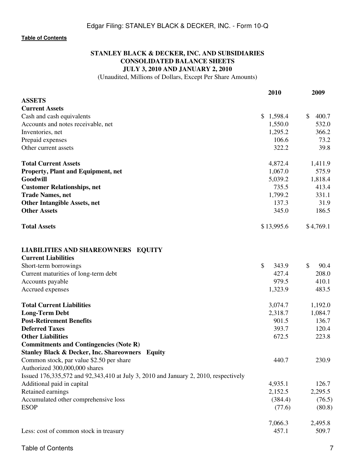## **STANLEY BLACK & DECKER, INC. AND SUBSIDIARIES CONSOLIDATED BALANCE SHEETS JULY 3, 2010 AND JANUARY 2, 2010**

(Unaudited, Millions of Dollars, Except Per Share Amounts)

|                                                                                     | 2010        | 2009                   |
|-------------------------------------------------------------------------------------|-------------|------------------------|
| <b>ASSETS</b>                                                                       |             |                        |
| <b>Current Assets</b>                                                               |             |                        |
| Cash and cash equivalents                                                           | \$1,598.4   | $\frac{1}{2}$<br>400.7 |
| Accounts and notes receivable, net                                                  | 1,550.0     | 532.0                  |
| Inventories, net                                                                    | 1,295.2     | 366.2                  |
| Prepaid expenses                                                                    | 106.6       | 73.2                   |
| Other current assets                                                                | 322.2       | 39.8                   |
| <b>Total Current Assets</b>                                                         | 4,872.4     | 1,411.9                |
| <b>Property, Plant and Equipment, net</b>                                           | 1,067.0     | 575.9                  |
| Goodwill                                                                            | 5,039.2     | 1,818.4                |
| <b>Customer Relationships, net</b>                                                  | 735.5       | 413.4                  |
| <b>Trade Names, net</b>                                                             | 1,799.2     | 331.1                  |
| <b>Other Intangible Assets, net</b>                                                 | 137.3       | 31.9                   |
| <b>Other Assets</b>                                                                 | 345.0       | 186.5                  |
| <b>Total Assets</b>                                                                 | \$13,995.6  | \$4,769.1              |
| <b>LIABILITIES AND SHAREOWNERS EQUITY</b><br><b>Current Liabilities</b>             |             |                        |
| Short-term borrowings                                                               | \$<br>343.9 | $\mathbb{S}$<br>90.4   |
| Current maturities of long-term debt                                                | 427.4       | 208.0                  |
| Accounts payable                                                                    | 979.5       | 410.1                  |
| Accrued expenses                                                                    | 1,323.9     | 483.5                  |
| <b>Total Current Liabilities</b>                                                    | 3,074.7     | 1,192.0                |
| <b>Long-Term Debt</b>                                                               | 2,318.7     | 1,084.7                |
| <b>Post-Retirement Benefits</b>                                                     | 901.5       | 136.7                  |
| <b>Deferred Taxes</b>                                                               | 393.7       | 120.4                  |
| <b>Other Liabilities</b>                                                            | 672.5       | 223.8                  |
| <b>Commitments and Contingencies (Note R)</b>                                       |             |                        |
| <b>Stanley Black &amp; Decker, Inc. Shareowners Equity</b>                          |             |                        |
| Common stock, par value \$2.50 per share                                            | 440.7       | 230.9                  |
| Authorized 300,000,000 shares                                                       |             |                        |
| Issued 176,335,572 and 92,343,410 at July 3, 2010 and January 2, 2010, respectively |             |                        |
| Additional paid in capital                                                          | 4,935.1     | 126.7                  |
| Retained earnings                                                                   | 2,152.5     | 2,295.5                |
| Accumulated other comprehensive loss                                                | (384.4)     | (76.5)                 |
| <b>ESOP</b>                                                                         | (77.6)      | (80.8)                 |
|                                                                                     | 7,066.3     | 2,495.8                |
| Less: cost of common stock in treasury                                              | 457.1       | 509.7                  |

Table of Contents 7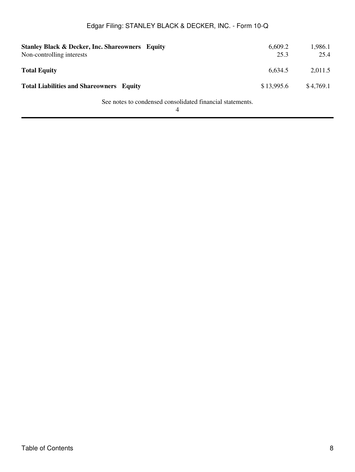| <b>Stanley Black &amp; Decker, Inc. Shareowners Equity</b><br>Non-controlling interests | 6,609.2<br>25.3 | 1,986.1<br>25.4 |
|-----------------------------------------------------------------------------------------|-----------------|-----------------|
| <b>Total Equity</b>                                                                     | 6,634.5         | 2,011.5         |
| <b>Total Liabilities and Shareowners Equity</b>                                         | \$13,995.6      | \$4,769.1       |

See notes to condensed consolidated financial statements.

4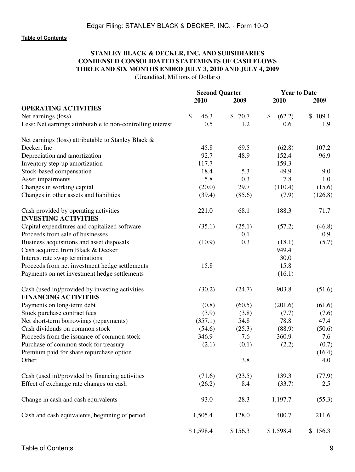# **STANLEY BLACK & DECKER, INC. AND SUBSIDIARIES CONDENSED CONSOLIDATED STATEMENTS OF CASH FLOWS THREE AND SIX MONTHS ENDED JULY 3, 2010 AND JULY 4, 2009**

(Unaudited, Millions of Dollars)

|                                                                      |            | <b>Second Quarter</b> |              | <b>Year to Date</b> |  |  |  |
|----------------------------------------------------------------------|------------|-----------------------|--------------|---------------------|--|--|--|
|                                                                      | 2010       | 2009                  | 2010         | 2009                |  |  |  |
| <b>OPERATING ACTIVITIES</b>                                          |            |                       |              |                     |  |  |  |
| Net earnings (loss)                                                  | \$<br>46.3 | \$70.7                | \$<br>(62.2) | \$109.1             |  |  |  |
| Less: Net earnings attributable to non-controlling interest          | 0.5        | 1.2                   | 0.6          | 1.9                 |  |  |  |
| Net earnings (loss) attributable to Stanley Black &                  |            |                       |              |                     |  |  |  |
| Decker, Inc.                                                         | 45.8       | 69.5                  | (62.8)       | 107.2               |  |  |  |
| Depreciation and amortization                                        | 92.7       | 48.9                  | 152.4        | 96.9                |  |  |  |
| Inventory step-up amortization                                       | 117.7      |                       | 159.3        |                     |  |  |  |
| Stock-based compensation                                             | 18.4       | 5.3                   | 49.9         | 9.0                 |  |  |  |
| Asset impairments                                                    | 5.8        | 0.3                   | 7.8          | 1.0                 |  |  |  |
| Changes in working capital                                           | (20.0)     | 29.7                  | (110.4)      | (15.6)              |  |  |  |
| Changes in other assets and liabilities                              | (39.4)     | (85.6)                | (7.9)        | (126.8)             |  |  |  |
| Cash provided by operating activities<br><b>INVESTING ACTIVITIES</b> | 221.0      | 68.1                  | 188.3        | 71.7                |  |  |  |
| Capital expenditures and capitalized software                        | (35.1)     | (25.1)                | (57.2)       | (46.8)              |  |  |  |
| Proceeds from sale of businesses                                     |            | 0.1                   |              | 0.9                 |  |  |  |
| Business acquisitions and asset disposals                            | (10.9)     | 0.3                   | (18.1)       | (5.7)               |  |  |  |
| Cash acquired from Black & Decker                                    |            |                       | 949.4        |                     |  |  |  |
| Interest rate swap terminations                                      |            |                       | 30.0         |                     |  |  |  |
| Proceeds from net investment hedge settlements                       | 15.8       |                       | 15.8         |                     |  |  |  |
| Payments on net investment hedge settlements                         |            |                       | (16.1)       |                     |  |  |  |
| Cash (used in)/provided by investing activities                      | (30.2)     | (24.7)                | 903.8        | (51.6)              |  |  |  |
| <b>FINANCING ACTIVITIES</b>                                          |            |                       |              |                     |  |  |  |
| Payments on long-term debt                                           | (0.8)      | (60.5)                | (201.6)      | (61.6)              |  |  |  |
| Stock purchase contract fees                                         | (3.9)      | (3.8)                 | (7.7)        | (7.6)               |  |  |  |
| Net short-term borrowings (repayments)                               | (357.1)    | 54.8                  | 78.8         | 47.4                |  |  |  |
| Cash dividends on common stock                                       | (54.6)     | (25.3)                | (88.9)       | (50.6)              |  |  |  |
| Proceeds from the issuance of common stock                           | 346.9      | 7.6                   | 360.9        | 7.6                 |  |  |  |
| Purchase of common stock for treasury                                | (2.1)      | (0.1)                 | (2.2)        | (0.7)               |  |  |  |
| Premium paid for share repurchase option                             |            |                       |              | (16.4)              |  |  |  |
| Other                                                                |            | 3.8                   |              | 4.0                 |  |  |  |
| Cash (used in)/provided by financing activities                      | (71.6)     | (23.5)                | 139.3        | (77.9)              |  |  |  |
| Effect of exchange rate changes on cash                              | (26.2)     | 8.4                   | (33.7)       | $2.5\,$             |  |  |  |
| Change in cash and cash equivalents                                  | 93.0       | 28.3                  | 1,197.7      | (55.3)              |  |  |  |
| Cash and cash equivalents, beginning of period                       | 1,505.4    | 128.0                 | 400.7        | 211.6               |  |  |  |
|                                                                      | \$1,598.4  | \$156.3               | \$1,598.4    | \$156.3             |  |  |  |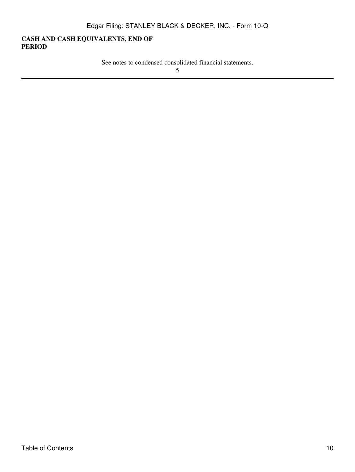## **CASH AND CASH EQUIVALENTS, END OF PERIOD**

See notes to condensed consolidated financial statements.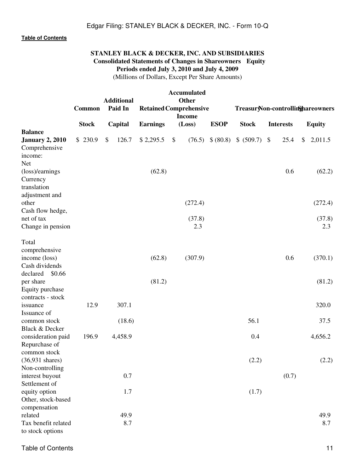# **STANLEY BLACK & DECKER, INC. AND SUBSIDIARIES Consolidated Statements of Changes in Shareowners Equity Periods ended July 3, 2010 and July 4, 2009**

(Millions of Dollars, Except Per Share Amounts)

| <b>Accumulated</b><br><b>Other</b><br><b>Additional</b> |  |               |    |         |                                            |    |               |  |              |                                   |  |       |               |               |
|---------------------------------------------------------|--|---------------|----|---------|--------------------------------------------|----|---------------|--|--------------|-----------------------------------|--|-------|---------------|---------------|
|                                                         |  | <b>Common</b> |    | Paid In | <b>Retained Comprehensive</b>              |    |               |  |              | Treasur Non-controllinghareowners |  |       |               |               |
|                                                         |  | <b>Stock</b>  |    | Capital | <b>Income</b><br><b>Earnings</b><br>(Loss) |    | <b>ESOP</b>   |  | <b>Stock</b> | <b>Interests</b>                  |  |       | <b>Equity</b> |               |
| <b>Balance</b>                                          |  |               |    |         |                                            |    |               |  |              |                                   |  |       |               |               |
| <b>January 2, 2010</b>                                  |  | \$230.9       | \$ | 126.7   | \$2,295.5                                  | \$ | (76.5)        |  |              | \$ (80.8) \$ (509.7) \$           |  | 25.4  | \$            | 2,011.5       |
| Comprehensive<br>income:                                |  |               |    |         |                                            |    |               |  |              |                                   |  |       |               |               |
| Net                                                     |  |               |    |         |                                            |    |               |  |              |                                   |  |       |               |               |
| (loss)/earnings                                         |  |               |    |         | (62.8)                                     |    |               |  |              |                                   |  | 0.6   |               | (62.2)        |
| Currency                                                |  |               |    |         |                                            |    |               |  |              |                                   |  |       |               |               |
| translation                                             |  |               |    |         |                                            |    |               |  |              |                                   |  |       |               |               |
| adjustment and                                          |  |               |    |         |                                            |    |               |  |              |                                   |  |       |               |               |
| other                                                   |  |               |    |         |                                            |    | (272.4)       |  |              |                                   |  |       |               | (272.4)       |
| Cash flow hedge,                                        |  |               |    |         |                                            |    |               |  |              |                                   |  |       |               |               |
| net of tax                                              |  |               |    |         |                                            |    | (37.8)<br>2.3 |  |              |                                   |  |       |               | (37.8)<br>2.3 |
| Change in pension                                       |  |               |    |         |                                            |    |               |  |              |                                   |  |       |               |               |
| Total                                                   |  |               |    |         |                                            |    |               |  |              |                                   |  |       |               |               |
| comprehensive                                           |  |               |    |         |                                            |    |               |  |              |                                   |  |       |               |               |
| income (loss)                                           |  |               |    |         | (62.8)                                     |    | (307.9)       |  |              |                                   |  | 0.6   |               | (370.1)       |
| Cash dividends                                          |  |               |    |         |                                            |    |               |  |              |                                   |  |       |               |               |
| declared<br>\$0.66                                      |  |               |    |         |                                            |    |               |  |              |                                   |  |       |               |               |
| per share                                               |  |               |    |         | (81.2)                                     |    |               |  |              |                                   |  |       |               | (81.2)        |
| Equity purchase                                         |  |               |    |         |                                            |    |               |  |              |                                   |  |       |               |               |
| contracts - stock<br>issuance                           |  | 12.9          |    | 307.1   |                                            |    |               |  |              |                                   |  |       |               | 320.0         |
| Issuance of                                             |  |               |    |         |                                            |    |               |  |              |                                   |  |       |               |               |
| common stock                                            |  |               |    | (18.6)  |                                            |    |               |  |              | 56.1                              |  |       |               | 37.5          |
| Black & Decker                                          |  |               |    |         |                                            |    |               |  |              |                                   |  |       |               |               |
| consideration paid                                      |  | 196.9         |    | 4,458.9 |                                            |    |               |  |              | 0.4                               |  |       |               | 4,656.2       |
| Repurchase of                                           |  |               |    |         |                                            |    |               |  |              |                                   |  |       |               |               |
| common stock                                            |  |               |    |         |                                            |    |               |  |              |                                   |  |       |               |               |
| $(36,931 \text{ shares})$                               |  |               |    |         |                                            |    |               |  |              | (2.2)                             |  |       |               | (2.2)         |
| Non-controlling<br>interest buyout                      |  |               |    | 0.7     |                                            |    |               |  |              |                                   |  | (0.7) |               |               |
| Settlement of                                           |  |               |    |         |                                            |    |               |  |              |                                   |  |       |               |               |
| equity option                                           |  |               |    | 1.7     |                                            |    |               |  |              | (1.7)                             |  |       |               |               |
| Other, stock-based                                      |  |               |    |         |                                            |    |               |  |              |                                   |  |       |               |               |
| compensation                                            |  |               |    |         |                                            |    |               |  |              |                                   |  |       |               |               |
| related                                                 |  |               |    | 49.9    |                                            |    |               |  |              |                                   |  |       |               | 49.9          |
| Tax benefit related                                     |  |               |    | 8.7     |                                            |    |               |  |              |                                   |  |       |               | 8.7           |
| to stock options                                        |  |               |    |         |                                            |    |               |  |              |                                   |  |       |               |               |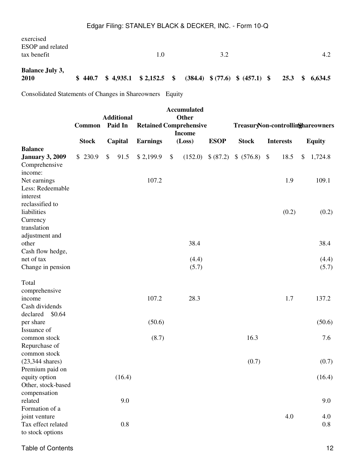Consolidated Statements of Changes in Shareowners Equity

|                                                                                         |               |               |                              |                                                |    | <b>Accumulated</b><br><b>Other</b> |             |               |                                   |       |    |                |  |  |  |
|-----------------------------------------------------------------------------------------|---------------|---------------|------------------------------|------------------------------------------------|----|------------------------------------|-------------|---------------|-----------------------------------|-------|----|----------------|--|--|--|
|                                                                                         | <b>Common</b> |               | <b>Additional</b><br>Paid In | <b>Retained Comprehensive</b><br><b>Income</b> |    |                                    |             |               | TreasuryNon-controllinghareowners |       |    |                |  |  |  |
|                                                                                         | <b>Stock</b>  |               | Capital                      | <b>Earnings</b>                                |    | (Loss)                             | <b>ESOP</b> | <b>Stock</b>  | <b>Interests</b>                  |       |    | <b>Equity</b>  |  |  |  |
| <b>Balance</b><br><b>January 3, 2009</b>                                                | \$230.9       | $\mathcal{S}$ | 91.5                         | \$2,199.9                                      | \$ | (152.0)                            | \$(87.2)    | \$ (576.8) \$ |                                   | 18.5  | \$ | 1,724.8        |  |  |  |
| Comprehensive<br>income:<br>Net earnings<br>Less: Redeemable                            |               |               |                              | 107.2                                          |    |                                    |             |               |                                   | 1.9   |    | 109.1          |  |  |  |
| interest<br>reclassified to<br>liabilities<br>Currency<br>translation<br>adjustment and |               |               |                              |                                                |    |                                    |             |               |                                   | (0.2) |    | (0.2)          |  |  |  |
| other<br>Cash flow hedge,                                                               |               |               |                              |                                                |    | 38.4                               |             |               |                                   |       |    | 38.4           |  |  |  |
| net of tax<br>Change in pension                                                         |               |               |                              |                                                |    | (4.4)<br>(5.7)                     |             |               |                                   |       |    | (4.4)<br>(5.7) |  |  |  |
| Total<br>comprehensive<br>income<br>Cash dividends                                      |               |               |                              | 107.2                                          |    | 28.3                               |             |               |                                   | 1.7   |    | 137.2          |  |  |  |
| declared<br>\$0.64<br>per share                                                         |               |               |                              | (50.6)                                         |    |                                    |             |               |                                   |       |    | (50.6)         |  |  |  |
| Issuance of<br>common stock<br>Repurchase of<br>common stock                            |               |               |                              | (8.7)                                          |    |                                    |             | 16.3          |                                   |       |    | 7.6            |  |  |  |
| $(23,344 \text{ shares})$<br>Premium paid on                                            |               |               |                              |                                                |    |                                    |             | (0.7)         |                                   |       |    | (0.7)          |  |  |  |
| equity option<br>Other, stock-based<br>compensation                                     |               |               | (16.4)                       |                                                |    |                                    |             |               |                                   |       |    | (16.4)         |  |  |  |
| related<br>Formation of a                                                               |               |               | 9.0                          |                                                |    |                                    |             |               |                                   |       |    | 9.0            |  |  |  |
| joint venture<br>Tax effect related<br>to stock options                                 |               |               | 0.8                          |                                                |    |                                    |             |               |                                   | 4.0   |    | 4.0<br>0.8     |  |  |  |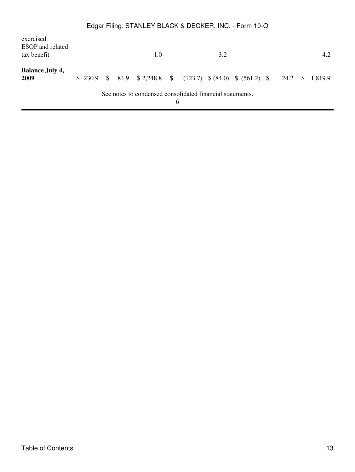| exercised<br><b>ESOP</b> and related<br>tax benefit |  |  | 1.0                                                                            |   | 3.2 |  |  | 4.2 |
|-----------------------------------------------------|--|--|--------------------------------------------------------------------------------|---|-----|--|--|-----|
| <b>Balance July 4,</b><br>2009                      |  |  | \$ 230.9 \$ 84.9 \$ 2,248.8 \$ (123.7) \$ (84.0) \$ (561.2) \$ 24.2 \$ 1,819.9 |   |     |  |  |     |
|                                                     |  |  | See notes to condensed consolidated financial statements.                      | h |     |  |  |     |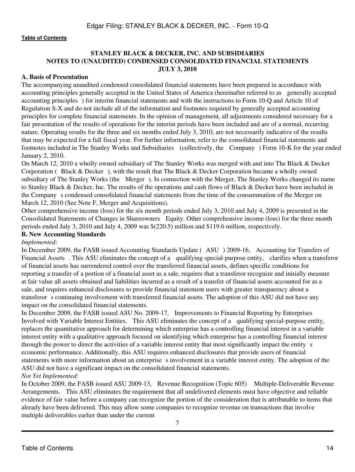## **STANLEY BLACK & DECKER, INC. AND SUBSIDIARIES NOTES TO (UNAUDITED) CONDENSED CONSOLIDATED FINANCIAL STATEMENTS JULY 3, 2010**

#### **A. Basis of Presentation**

The accompanying unaudited condensed consolidated financial statements have been prepared in accordance with accounting principles generally accepted in the United States of America (hereinafter referred to as generally accepted accounting principles) for interim financial statements and with the instructions to Form 10-Q and Article 10 of Regulation S-X and do not include all of the information and footnotes required by generally accepted accounting principles for complete financial statements. In the opinion of management, all adjustments considered necessary for a fair presentation of the results of operations for the interim periods have been included and are of a normal, recurring nature. Operating results for the three and six months ended July 3, 2010, are not necessarily indicative of the results that may be expected for a full fiscal year. For further information, refer to the consolidated financial statements and footnotes included in The Stanley Works and Subsidiaries (collectively, the Company) Form 10-K for the year ended January 2, 2010.

On March 12, 2010 a wholly owned subsidiary of The Stanley Works was merged with and into The Black & Decker Corporation (Black & Decker), with the result that The Black & Decker Corporation became a wholly owned subsidiary of The Stanley Works (the Merger). In connection with the Merger, The Stanley Works changed its name to Stanley Black & Decker, Inc. The results of the operations and cash flows of Black & Decker have been included in the Companys condensed consolidated financial statements from the time of the consummation of the Merger on March 12, 2010 (See Note F, Merger and Acquisitions).

Other comprehensive income (loss) for the six month periods ended July 3, 2010 and July 4, 2009 is presented in the Consolidated Statements of Changes in Shareowners Equity. Other comprehensive income (loss) for the three month periods ended July 3, 2010 and July 4, 2009 was \$(220.5) million and \$119.6 million, respectively.

## **B. New Accounting Standards**

#### *Implemented:*

In December 2009, the FASB issued Accounting Standards Update (ASU) 2009-16, Accounting for Transfers of Financial Assets. This ASU eliminates the concept of a qualifying special-purpose entity, clarifies when a transferor of financial assets has surrendered control over the transferred financial assets, defines specific conditions for reporting a transfer of a portion of a financial asset as a sale, requires that a transferor recognize and initially measure at fair value all assets obtained and liabilities incurred as a result of a transfer of financial assets accounted for as a sale, and requires enhanced disclosures to provide financial statement users with greater transparency about a transferor s continuing involvement with transferred financial assets. The adoption of this ASU did not have any impact on the consolidated financial statements.

In December 2009, the FASB issued ASU No. 2009-17, Improvements to Financial Reporting by Enterprises Involved with Variable Interest Entities. This ASU eliminates the concept of a qualifying special-purpose entity, replaces the quantitative approach for determining which enterprise has a controlling financial interest in a variable interest entity with a qualitative approach focused on identifying which enterprise has a controlling financial interest through the power to direct the activities of a variable interest entity that most significantly impact the entity s economic performance. Additionally, this ASU requires enhanced disclosures that provide users of financial statements with more information about an enterprise s involvement in a variable interest entity. The adoption of the ASU did not have a significant impact on the consolidated financial statements.

#### *Not Yet Implemented:*

In October 2009, the FASB issued ASU 2009-13, Revenue Recognition (Topic 605) Multiple-Deliverable Revenue Arrangements. This ASU eliminates the requirement that all undelivered elements must have objective and reliable evidence of fair value before a company can recognize the portion of the consideration that is attributable to items that already have been delivered. This may allow some companies to recognize revenue on transactions that involve multiple deliverables earlier than under the current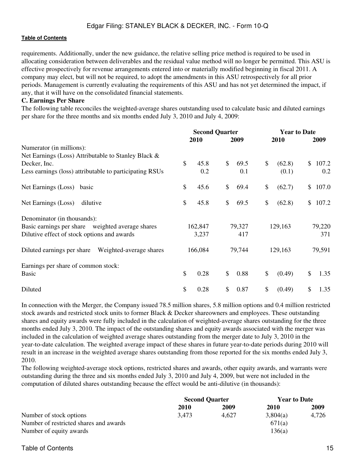requirements. Additionally, under the new guidance, the relative selling price method is required to be used in allocating consideration between deliverables and the residual value method will no longer be permitted. This ASU is effective prospectively for revenue arrangements entered into or materially modified beginning in fiscal 2011. A company may elect, but will not be required, to adopt the amendments in this ASU retrospectively for all prior periods. Management is currently evaluating the requirements of this ASU and has not yet determined the impact, if any, that it will have on the consolidated financial statements.

#### **C. Earnings Per Share**

The following table reconciles the weighted-average shares outstanding used to calculate basic and diluted earnings per share for the three months and six months ended July 3, 2010 and July 4, 2009:

|                                                         |         | <b>Second Quarter</b> |              | <b>Year to Date</b> |    |         |               |         |
|---------------------------------------------------------|---------|-----------------------|--------------|---------------------|----|---------|---------------|---------|
|                                                         |         | 2010                  |              | 2009                |    | 2010    |               | 2009    |
| Numerator (in millions):                                |         |                       |              |                     |    |         |               |         |
| Net Earnings (Loss) Attributable to Stanley Black &     |         |                       |              |                     |    |         |               |         |
| Decker, Inc.                                            | \$      | 45.8                  | \$           | 69.5                | \$ | (62.8)  | <sup>\$</sup> | 107.2   |
| Less earnings (loss) attributable to participating RSUs |         | 0.2                   |              | 0.1                 |    | (0.1)   |               | 0.2     |
| Net Earnings (Loss)<br>basic                            | \$      | 45.6                  | $\mathbb{S}$ | 69.4                | \$ | (62.7)  |               | \$107.0 |
| Net Earnings (Loss)<br>dilutive                         | \$      | 45.8                  | \$           | 69.5                | \$ | (62.8)  | $\mathbb{S}$  | 107.2   |
| Denominator (in thousands):                             |         |                       |              |                     |    |         |               |         |
| Basic earnings per share weighted average shares        |         | 162,847               |              | 79,327              |    | 129,163 | 79,220        |         |
| Dilutive effect of stock options and awards             |         | 3,237                 | 417          |                     |    |         |               | 371     |
| Diluted earnings per share<br>Weighted-average shares   | 166,084 |                       | 79,744       |                     |    | 129,163 | 79,591        |         |
| Earnings per share of common stock:                     |         |                       |              |                     |    |         |               |         |
| Basic                                                   | \$      | 0.28                  | \$           | 0.88                | \$ | (0.49)  | $\mathbb{S}$  | 1.35    |
| Diluted                                                 | \$      | 0.28                  | \$           | 0.87                | \$ | (0.49)  | \$            | 1.35    |

In connection with the Merger, the Company issued 78.5 million shares, 5.8 million options and 0.4 million restricted stock awards and restricted stock units to former Black & Decker shareowners and employees. These outstanding shares and equity awards were fully included in the calculation of weighted-average shares outstanding for the three months ended July 3, 2010. The impact of the outstanding shares and equity awards associated with the merger was included in the calculation of weighted average shares outstanding from the merger date to July 3, 2010 in the year-to-date calculation. The weighted average impact of these shares in future year-to-date periods during 2010 will result in an increase in the weighted average shares outstanding from those reported for the six months ended July 3, 2010.

The following weighted-average stock options, restricted shares and awards, other equity awards, and warrants were outstanding during the three and six months ended July 3, 2010 and July 4, 2009, but were not included in the computation of diluted shares outstanding because the effect would be anti-dilutive (in thousands):

|                                        | <b>Second Quarter</b> |       | <b>Year to Date</b> |       |  |
|----------------------------------------|-----------------------|-------|---------------------|-------|--|
|                                        | 2010                  | 2009  | <b>2010</b>         | 2009  |  |
| Number of stock options                | 3,473                 | 4.627 | 3.804(a)            | 4,726 |  |
| Number of restricted shares and awards |                       |       | 671(a)              |       |  |
| Number of equity awards                |                       |       | 136(a)              |       |  |

## Table of Contents 15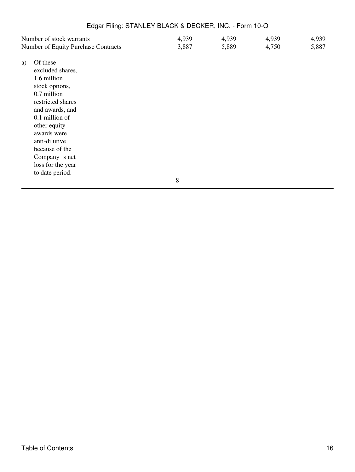| Number of stock warrants                                                                                                                                                                                                                                                | 4,939        | 4,939 | 4,939 | 4,939 |
|-------------------------------------------------------------------------------------------------------------------------------------------------------------------------------------------------------------------------------------------------------------------------|--------------|-------|-------|-------|
| Number of Equity Purchase Contracts                                                                                                                                                                                                                                     | 3,887        | 5,889 | 4,750 | 5,887 |
| Of these<br>a)<br>excluded shares,<br>1.6 million<br>stock options,<br>0.7 million<br>restricted shares<br>and awards, and<br>0.1 million of<br>other equity<br>awards were<br>anti-dilutive<br>because of the<br>Company s net<br>loss for the year<br>to date period. |              |       |       |       |
|                                                                                                                                                                                                                                                                         | $\mathbf{Q}$ |       |       |       |

8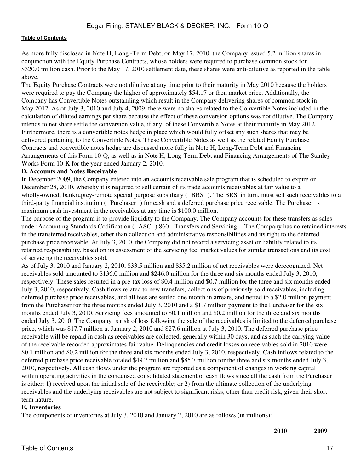As more fully disclosed in Note H, Long -Term Debt, on May 17, 2010, the Company issued 5.2 million shares in conjunction with the Equity Purchase Contracts, whose holders were required to purchase common stock for \$320.0 million cash. Prior to the May 17, 2010 settlement date, these shares were anti-dilutive as reported in the table above.

The Equity Purchase Contracts were not dilutive at any time prior to their maturity in May 2010 because the holders were required to pay the Company the higher of approximately \$54.17 or then market price. Additionally, the Company has Convertible Notes outstanding which result in the Company delivering shares of common stock in May 2012. As of July 3, 2010 and July 4, 2009, there were no shares related to the Convertible Notes included in the calculation of diluted earnings per share because the effect of these conversion options was not dilutive. The Company intends to net share settle the conversion value, if any, of these Convertible Notes at their maturity in May 2012. Furthermore, there is a convertible notes hedge in place which would fully offset any such shares that may be delivered pertaining to the Convertible Notes. These Convertible Notes as well as the related Equity Purchase Contracts and convertible notes hedge are discussed more fully in Note H, Long-Term Debt and Financing Arrangements of this Form 10-Q, as well as in Note H, Long-Term Debt and Financing Arrangements of The Stanley Works Form 10-K for the year ended January 2, 2010.

#### **D. Accounts and Notes Receivable**

In December 2009, the Company entered into an accounts receivable sale program that is scheduled to expire on December 28, 2010, whereby it is required to sell certain of its trade accounts receivables at fair value to a wholly-owned, bankruptcy-remote special purpose subsidiary (BRS). The BRS, in turn, must sell such receivables to a third-party financial institution (Purchaser) for cash and a deferred purchase price receivable. The Purchaser s maximum cash investment in the receivables at any time is \$100.0 million.

The purpose of the program is to provide liquidity to the Company. The Company accounts for these transfers as sales under Accounting Standards Codification (ASC) 860 Transfers and Servicing. The Company has no retained interests in the transferred receivables, other than collection and administrative responsibilities and its right to the deferred purchase price receivable. At July 3, 2010, the Company did not record a servicing asset or liability related to its retained responsibility, based on its assessment of the servicing fee, market values for similar transactions and its cost of servicing the receivables sold.

As of July 3, 2010 and January 2, 2010, \$33.5 million and \$35.2 million of net receivables were derecognized. Net receivables sold amounted to \$136.0 million and \$246.0 million for the three and six months ended July 3, 2010, respectively. These sales resulted in a pre-tax loss of \$0.4 million and \$0.7 million for the three and six months ended July 3, 2010, respectively. Cash flows related to new transfers, collections of previously sold receivables, including deferred purchase price receivables, and all fees are settled one month in arrears, and netted to a \$2.0 million payment from the Purchaser for the three months ended July 3, 2010 and a \$1.7 million payment to the Purchaser for the six months ended July 3, 2010. Servicing fees amounted to \$0.1 million and \$0.2 million for the three and six months ended July 3, 2010. The Company s risk of loss following the sale of the receivables is limited to the deferred purchase price, which was \$17.7 million at January 2, 2010 and \$27.6 million at July 3, 2010. The deferred purchase price receivable will be repaid in cash as receivables are collected, generally within 30 days, and as such the carrying value of the receivable recorded approximates fair value. Delinquencies and credit losses on receivables sold in 2010 were \$0.1 million and \$0.2 million for the three and six months ended July 3, 2010, respectively. Cash inflows related to the deferred purchase price receivable totaled \$49.7 million and \$85.7 million for the three and six months ended July 3, 2010, respectively. All cash flows under the program are reported as a component of changes in working capital within operating activities in the condensed consolidated statement of cash flows since all the cash from the Purchaser is either: 1) received upon the initial sale of the receivable; or 2) from the ultimate collection of the underlying receivables and the underlying receivables are not subject to significant risks, other than credit risk, given their short term nature.

#### **E. Inventories**

The components of inventories at July 3, 2010 and January 2, 2010 are as follows (in millions):

**2010 2009**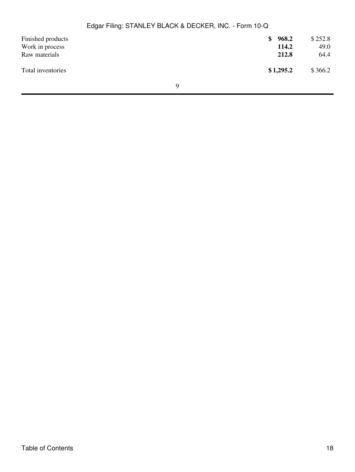| Finished products<br>Work in process<br>Raw materials |   | \$968.2<br>114.2<br>212.8 | \$252.8<br>49.0<br>64.4 |
|-------------------------------------------------------|---|---------------------------|-------------------------|
| Total inventories                                     |   | \$1,295.2                 | \$366.2                 |
|                                                       | Q |                           |                         |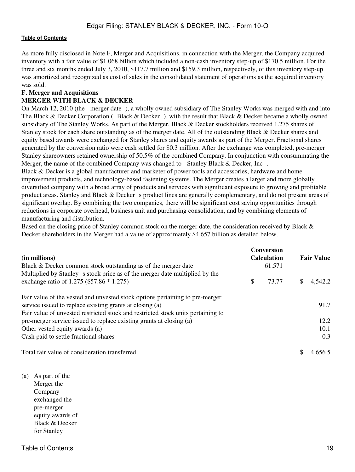As more fully disclosed in Note F, Merger and Acquisitions, in connection with the Merger, the Company acquired inventory with a fair value of \$1.068 billion which included a non-cash inventory step-up of \$170.5 million. For the three and six months ended July 3, 2010, \$117.7 million and \$159.3 million, respectively, of this inventory step-up was amortized and recognized as cost of sales in the consolidated statement of operations as the acquired inventory was sold.

## **F. Merger and Acquisitions**

#### **MERGER WITH BLACK & DECKER**

On March 12, 2010 (the merger date), a wholly owned subsidiary of The Stanley Works was merged with and into The Black & Decker Corporation (Black & Decker), with the result that Black & Decker became a wholly owned subsidiary of The Stanley Works. As part of the Merger, Black & Decker stockholders received 1.275 shares of Stanley stock for each share outstanding as of the merger date. All of the outstanding Black & Decker shares and equity based awards were exchanged for Stanley shares and equity awards as part of the Merger. Fractional shares generated by the conversion ratio were cash settled for \$0.3 million. After the exchange was completed, pre-merger Stanley shareowners retained ownership of 50.5% of the combined Company. In conjunction with consummating the Merger, the name of the combined Company was changed to Stanley Black & Decker, Inc.

Black & Decker is a global manufacturer and marketer of power tools and accessories, hardware and home improvement products, and technology-based fastening systems. The Merger creates a larger and more globally diversified company with a broad array of products and services with significant exposure to growing and profitable product areas. Stanley and Black  $&$  Deckers product lines are generally complementary, and do not present areas of significant overlap. By combining the two companies, there will be significant cost saving opportunities through reductions in corporate overhead, business unit and purchasing consolidation, and by combining elements of manufacturing and distribution.

Based on the closing price of Stanley common stock on the merger date, the consideration received by Black & Decker shareholders in the Merger had a value of approximately \$4.657 billion as detailed below.

| (in millions)                                                                    |    | <b>Conversion</b><br><b>Calculation</b> | <b>Fair Value</b> |         |  |
|----------------------------------------------------------------------------------|----|-----------------------------------------|-------------------|---------|--|
| Black & Decker common stock outstanding as of the merger date                    |    | 61.571                                  |                   |         |  |
| Multiplied by Stanley s stock price as of the merger date multiplied by the      |    |                                         |                   |         |  |
| exchange ratio of 1.275 (\$57.86 * 1.275)                                        | \$ | 73.77                                   | S                 | 4,542.2 |  |
| Fair value of the vested and unvested stock options pertaining to pre-merger     |    |                                         |                   |         |  |
| service issued to replace existing grants at closing (a)                         |    |                                         |                   | 91.7    |  |
| Fair value of unvested restricted stock and restricted stock units pertaining to |    |                                         |                   |         |  |
| pre-merger service issued to replace existing grants at closing (a)              |    |                                         |                   | 12.2    |  |
| Other vested equity awards (a)                                                   |    |                                         |                   | 10.1    |  |
| Cash paid to settle fractional shares                                            |    |                                         |                   | 0.3     |  |
| Total fair value of consideration transferred                                    |    |                                         |                   | 4,656.5 |  |

(a) As part of the Merger the Company exchanged the pre-merger equity awards of Black & Decker for Stanley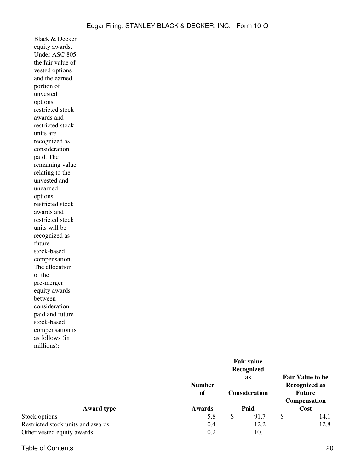Black & Decker equity awards. Under ASC 805, the fair value of vested options and the earned portion of unvested options, restricted stock awards and restricted stock units are recognized as consideration paid. The remaining value relating to the unvested and unearned options, restricted stock awards and restricted stock units will be recognized as future stock-based compensation. The allocation of the pre-merger equity awards between consideration paid and future stock-based compensation is as follows (in millions):

|                                   |                     |                              | <b>as</b> | <b>Fair Value to be</b>                                       |      |
|-----------------------------------|---------------------|------------------------------|-----------|---------------------------------------------------------------|------|
|                                   | <b>Number</b><br>of | <b>Consideration</b><br>Paid |           | <b>Recognized as</b><br><b>Future</b><br>Compensation<br>Cost |      |
| <b>Award type</b>                 | <b>Awards</b>       |                              |           |                                                               |      |
| Stock options                     | 5.8                 | S                            | 91.7      | S                                                             | 14.1 |
| Restricted stock units and awards | 0.4                 |                              | 12.2      |                                                               | 12.8 |
| Other vested equity awards        | 0.2                 |                              | 10.1      |                                                               |      |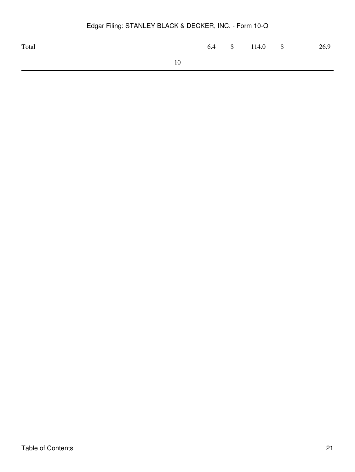| Total |    |  | 6.4 \$ 114.0 \$ | 26.9 |
|-------|----|--|-----------------|------|
|       | 10 |  |                 |      |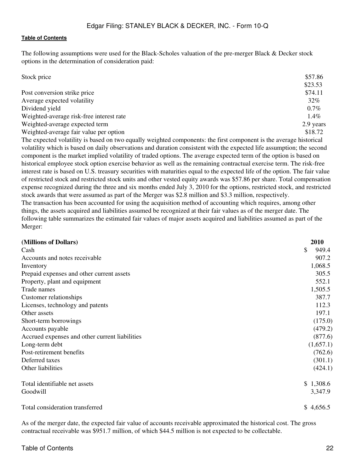The following assumptions were used for the Black-Scholes valuation of the pre-merger Black & Decker stock options in the determination of consideration paid:

| Stock price                              | \$57.86   |
|------------------------------------------|-----------|
|                                          | \$23.53   |
| Post conversion strike price             | \$74.11   |
| Average expected volatility              | 32%       |
| Dividend yield                           | $0.7\%$   |
| Weighted-average risk-free interest rate | $1.4\%$   |
| Weighted-average expected term           | 2.9 years |
| Weighted-average fair value per option   | \$18.72   |

The expected volatility is based on two equally weighted components: the first component is the average historical volatility which is based on daily observations and duration consistent with the expected life assumption; the second component is the market implied volatility of traded options. The average expected term of the option is based on historical employee stock option exercise behavior as well as the remaining contractual exercise term. The risk-free interest rate is based on U.S. treasury securities with maturities equal to the expected life of the option. The fair value of restricted stock and restricted stock units and other vested equity awards was \$57.86 per share. Total compensation expense recognized during the three and six months ended July 3, 2010 for the options, restricted stock, and restricted stock awards that were assumed as part of the Merger was \$2.8 million and \$3.3 million, respectively. The transaction has been accounted for using the acquisition method of accounting which requires, among other things, the assets acquired and liabilities assumed be recognized at their fair values as of the merger date. The following table summarizes the estimated fair values of major assets acquired and liabilities assumed as part of the Merger:

| (Millions of Dollars)                          | 2010        |
|------------------------------------------------|-------------|
| Cash                                           | \$<br>949.4 |
| Accounts and notes receivable                  | 907.2       |
| Inventory                                      | 1,068.5     |
| Prepaid expenses and other current assets      | 305.5       |
| Property, plant and equipment                  | 552.1       |
| Trade names                                    | 1,505.5     |
| Customer relationships                         | 387.7       |
| Licenses, technology and patents               | 112.3       |
| Other assets                                   | 197.1       |
| Short-term borrowings                          | (175.0)     |
| Accounts payable                               | (479.2)     |
| Accrued expenses and other current liabilities | (877.6)     |
| Long-term debt                                 | (1,657.1)   |
| Post-retirement benefits                       | (762.6)     |
| Deferred taxes                                 | (301.1)     |
| Other liabilities                              | (424.1)     |
| Total identifiable net assets                  | \$1,308.6   |
| Goodwill                                       | 3,347.9     |
| Total consideration transferred                | \$4,656.5   |

As of the merger date, the expected fair value of accounts receivable approximated the historical cost. The gross contractual receivable was \$951.7 million, of which \$44.5 million is not expected to be collectable.

#### Table of Contents 22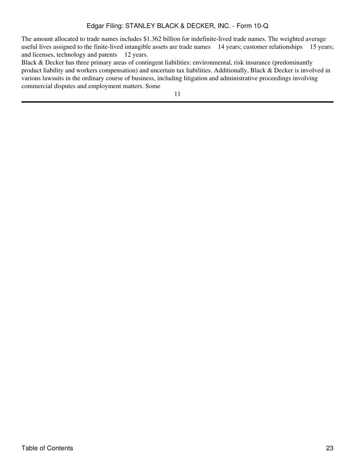The amount allocated to trade names includes \$1.362 billion for indefinite-lived trade names. The weighted average useful lives assigned to the finite-lived intangible assets are trade names 14 years; customer relationships 15 years; and licenses, technology and patents 12 years.

Black & Decker has three primary areas of contingent liabilities: environmental, risk insurance (predominantly product liability and workers compensation) and uncertain tax liabilities. Additionally, Black & Decker is involved in various lawsuits in the ordinary course of business, including litigation and administrative proceedings involving commercial disputes and employment matters. Some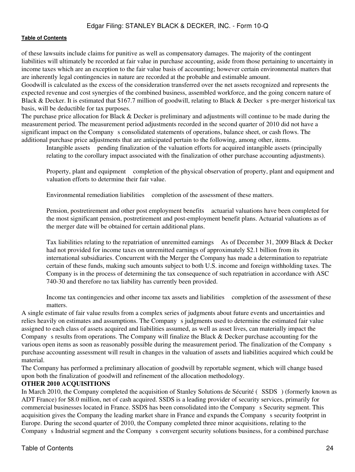of these lawsuits include claims for punitive as well as compensatory damages. The majority of the contingent liabilities will ultimately be recorded at fair value in purchase accounting, aside from those pertaining to uncertainty in income taxes which are an exception to the fair value basis of accounting; however certain environmental matters that are inherently legal contingencies in nature are recorded at the probable and estimable amount.

Goodwill is calculated as the excess of the consideration transferred over the net assets recognized and represents the expected revenue and cost synergies of the combined business, assembled workforce, and the going concern nature of Black & Decker. It is estimated that \$167.7 million of goodwill, relating to Black & Decker s pre-merger historical tax basis, will be deductible for tax purposes.

The purchase price allocation for Black & Decker is preliminary and adjustments will continue to be made during the measurement period. The measurement period adjustments recorded in the second quarter of 2010 did not have a significant impact on the Company s consolidated statements of operations, balance sheet, or cash flows. The additional purchase price adjustments that are anticipated pertain to the following, among other, items.

Intangible assets pending finalization of the valuation efforts for acquired intangible assets (principally relating to the corollary impact associated with the finalization of other purchase accounting adjustments).

Property, plant and equipment completion of the physical observation of property, plant and equipment and valuation efforts to determine their fair value.

Environmental remediation liabilities completion of the assessment of these matters.

Pension, postretirement and other post employment benefits actuarial valuations have been completed for the most significant pension, postretirement and post-employment benefit plans. Actuarial valuations as of the merger date will be obtained for certain additional plans.

Tax liabilities relating to the repatriation of unremitted earnings As of December 31, 2009 Black & Decker had not provided for income taxes on unremitted earnings of approximately \$2.1 billion from its international subsidiaries. Concurrent with the Merger the Company has made a determination to repatriate certain of these funds, making such amounts subject to both U.S. income and foreign withholding taxes. The Company is in the process of determining the tax consequence of such repatriation in accordance with ASC 740-30 and therefore no tax liability has currently been provided.

Income tax contingencies and other income tax assets and liabilities completion of the assessment of these matters.

A single estimate of fair value results from a complex series of judgments about future events and uncertainties and relies heavily on estimates and assumptions. The Company s judgments used to determine the estimated fair value assigned to each class of assets acquired and liabilities assumed, as well as asset lives, can materially impact the Company s results from operations. The Company will finalize the Black & Decker purchase accounting for the various open items as soon as reasonably possible during the measurement period. The finalization of the Company s purchase accounting assessment will result in changes in the valuation of assets and liabilities acquired which could be material.

The Company has performed a preliminary allocation of goodwill by reportable segment, which will change based upon both the finalization of goodwill and refinement of the allocation methodology.

## **OTHER 2010 ACQUISITIONS**

In March 2010, the Company completed the acquisition of Stanley Solutions de Sécurité (SSDS) (formerly known as ADT France) for \$8.0 million, net of cash acquired. SSDS is a leading provider of security services, primarily for commercial businesses located in France. SSDS has been consolidated into the Companys Security segment. This acquisition gives the Company the leading market share in France and expands the Company s security footprint in Europe. During the second quarter of 2010, the Company completed three minor acquisitions, relating to the Company s Industrial segment and the Company s convergent security solutions business, for a combined purchase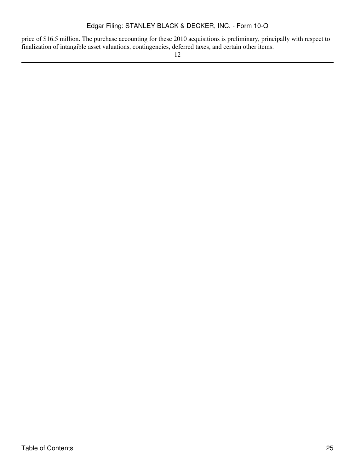price of \$16.5 million. The purchase accounting for these 2010 acquisitions is preliminary, principally with respect to finalization of intangible asset valuations, contingencies, deferred taxes, and certain other items.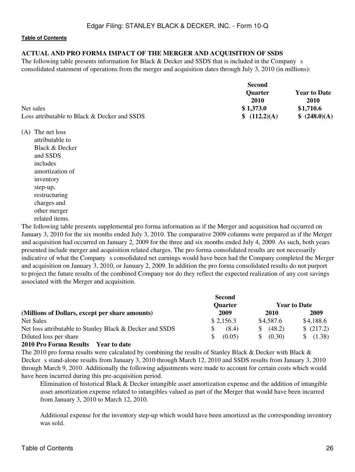#### **ACTUAL AND PRO FORMA IMPACT OF THE MERGER AND ACQUISITION OF SSDS**

The following table presents information for Black & Decker and SSDS that is included in the Company s consolidated statement of operations from the merger and acquisition dates through July 3, 2010 (in millions):

|                                              | <b>Second</b>  |                     |
|----------------------------------------------|----------------|---------------------|
|                                              | <b>Ouarter</b> | <b>Year to Date</b> |
|                                              | 2010           | 2010                |
| Net sales                                    | \$1,373.0      | \$1,710.6           |
| Loss attributable to Black & Decker and SSDS | \$ (112.2)(A)  | \$ (248.0)(A)       |

(A) The net loss

attributable to Black & Decker and SSDS includes amortization of inventory step-up, restructuring charges and other merger related items.

The following table presents supplemental pro forma information as if the Merger and acquisition had occurred on January 3, 2010 for the six months ended July 3, 2010. The comparative 2009 columns were prepared as if the Merger and acquisition had occurred on January 2, 2009 for the three and six months ended July 4, 2009. As such, both years presented include merger and acquisition related charges. The pro forma consolidated results are not necessarily indicative of what the Company s consolidated net earnings would have been had the Company completed the Merger and acquisition on January 3, 2010, or January 2, 2009. In addition the pro forma consolidated results do not purport to project the future results of the combined Company nor do they reflect the expected realization of any cost savings associated with the Merger and acquisition.

|                                                          | <b>Second</b>  |                     |           |  |  |
|----------------------------------------------------------|----------------|---------------------|-----------|--|--|
|                                                          | <b>Quarter</b> | <b>Year to Date</b> |           |  |  |
| (Millions of Dollars, except per share amounts)          | 2009           | 2010                | 2009      |  |  |
| Net Sales                                                | \$2,156.3      | \$4,587.6           | \$4,188.6 |  |  |
| Net loss attributable to Stanley Black & Decker and SSDS | (8.4)          | (48.2)<br>SS.       | \$(217.2) |  |  |
| Diluted loss per share                                   | (0.05)<br>\$.  | (0.30)<br>S.        | (1.38)    |  |  |
|                                                          |                |                     |           |  |  |

#### **2010 Pro Forma Results Year to date**

The 2010 pro forma results were calculated by combining the results of Stanley Black & Decker with Black & Decker s stand-alone results from January 3, 2010 through March 12, 2010 and SSDS results from January 3, 2010 through March 9, 2010. Additionally the following adjustments were made to account for certain costs which would have been incurred during this pre-acquisition period.

Elimination of historical Black & Decker intangible asset amortization expense and the addition of intangible asset amortization expense related to intangibles valued as part of the Merger that would have been incurred from January 3, 2010 to March 12, 2010.

Additional expense for the inventory step-up which would have been amortized as the corresponding inventory was sold.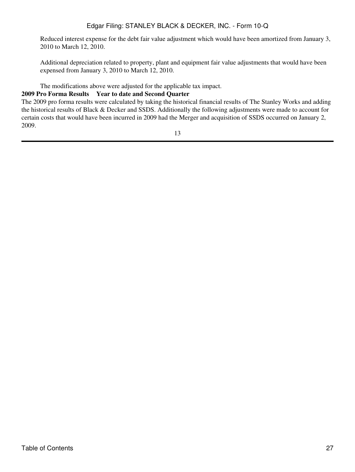Reduced interest expense for the debt fair value adjustment which would have been amortized from January 3, 2010 to March 12, 2010.

Additional depreciation related to property, plant and equipment fair value adjustments that would have been expensed from January 3, 2010 to March 12, 2010.

The modifications above were adjusted for the applicable tax impact.

#### **2009 Pro Forma Results Year to date and Second Quarter**

The 2009 pro forma results were calculated by taking the historical financial results of The Stanley Works and adding the historical results of Black & Decker and SSDS. Additionally the following adjustments were made to account for certain costs that would have been incurred in 2009 had the Merger and acquisition of SSDS occurred on January 2, 2009.

13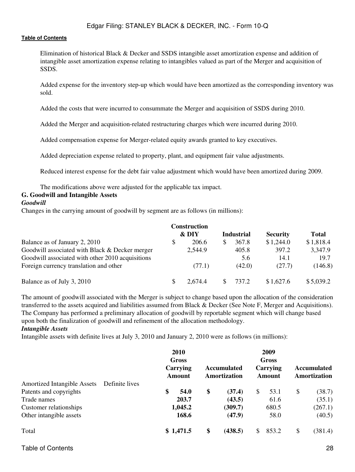Elimination of historical Black & Decker and SSDS intangible asset amortization expense and addition of intangible asset amortization expense relating to intangibles valued as part of the Merger and acquisition of SSDS.

Added expense for the inventory step-up which would have been amortized as the corresponding inventory was sold.

Added the costs that were incurred to consummate the Merger and acquisition of SSDS during 2010.

Added the Merger and acquisition-related restructuring charges which were incurred during 2010.

Added compensation expense for Merger-related equity awards granted to key executives.

Added depreciation expense related to property, plant, and equipment fair value adjustments.

Reduced interest expense for the debt fair value adjustment which would have been amortized during 2009.

The modifications above were adjusted for the applicable tax impact.

## **G. Goodwill and Intangible Assets**

#### *Goodwill*

Changes in the carrying amount of goodwill by segment are as follows (in millions):

|                                                  |   | <b>Construction</b> |                   |                 |              |
|--------------------------------------------------|---|---------------------|-------------------|-----------------|--------------|
|                                                  |   | & DIY               | <b>Industrial</b> | <b>Security</b> | <b>Total</b> |
| Balance as of January 2, 2010                    | S | 206.6               | 367.8             | \$1,244.0       | \$1,818.4    |
| Goodwill associated with Black & Decker merger   |   | 2,544.9             | 405.8             | 397.2           | 3,347.9      |
| Goodwill associated with other 2010 acquisitions |   |                     | 5.6               | 14.1            | 19.7         |
| Foreign currency translation and other           |   | (77.1)              | (42.0)            | (27.7)          | (146.8)      |
| Balance as of July 3, 2010                       |   | 2.674.4             | 737.2             | \$1,627.6       | \$5,039.2    |

The amount of goodwill associated with the Merger is subject to change based upon the allocation of the consideration transferred to the assets acquired and liabilities assumed from Black & Decker (See Note F, Merger and Acquisitions). The Company has performed a preliminary allocation of goodwill by reportable segment which will change based upon both the finalization of goodwill and refinement of the allocation methodology.

#### *Intangible Assets*

Intangible assets with definite lives at July 3, 2010 and January 2, 2010 were as follows (in millions):

|                                    |                | <b>2010</b><br>Gross<br>Carrying<br>Amount | <b>Accumulated</b><br>Amortization |    | 2009<br>Gross<br>Carrying<br>Amount | <b>Accumulated</b><br>Amortization |
|------------------------------------|----------------|--------------------------------------------|------------------------------------|----|-------------------------------------|------------------------------------|
| <b>Amortized Intangible Assets</b> | Definite lives |                                            |                                    |    |                                     |                                    |
| Patents and copyrights             |                | \$<br>54.0                                 | \$<br>(37.4)                       | \$ | 53.1                                | \$<br>(38.7)                       |
| Trade names                        |                | 203.7                                      | (43.5)                             |    | 61.6                                | (35.1)                             |
| Customer relationships             |                | 1,045.2                                    | (309.7)                            |    | 680.5                               | (267.1)                            |
| Other intangible assets            |                | 168.6                                      | (47.9)                             |    | 58.0                                | (40.5)                             |
| Total                              |                | \$1,471.5                                  | \$<br>(438.5)                      | S  | 853.2                               | \$<br>(381.4)                      |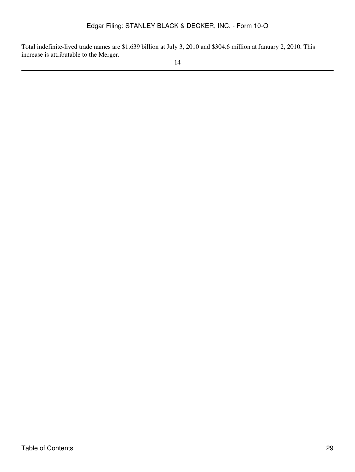Total indefinite-lived trade names are \$1.639 billion at July 3, 2010 and \$304.6 million at January 2, 2010. This increase is attributable to the Merger.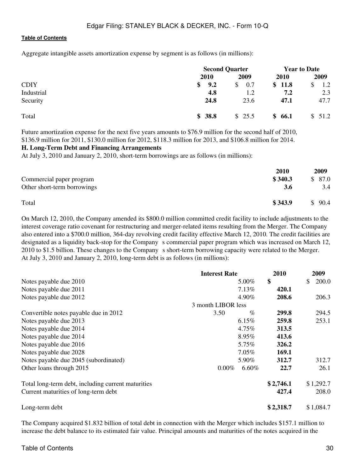Aggregate intangible assets amortization expense by segment is as follows (in millions):

|             |             | <b>Second Quarter</b> |             | <b>Year to Date</b> |  |
|-------------|-------------|-----------------------|-------------|---------------------|--|
|             | <b>2010</b> | 2009                  | <b>2010</b> | 2009                |  |
| <b>CDIY</b> | 9.2<br>SS.  | 0.7<br>S.             | \$11.8      | 1.2                 |  |
| Industrial  | 4.8         | 1.2                   | 7.2         | 2.3                 |  |
| Security    | 24.8        | 23.6                  | 47.1        | 47.7                |  |
| Total       | \$38.8      | \$25.5                | \$66.1      | \$51.2              |  |

Future amortization expense for the next five years amounts to \$76.9 million for the second half of 2010, \$136.9 million for 2011, \$130.0 million for 2012, \$118.3 million for 2013, and \$106.8 million for 2014.

#### **H. Long-Term Debt and Financing Arrangements**

At July 3, 2010 and January 2, 2010, short-term borrowings are as follows (in millions):

|                             | 2010    | 2009                  |
|-----------------------------|---------|-----------------------|
| Commercial paper program    | \$340.3 | \$87.0                |
| Other short-term borrowings | 3.6     | 3.4                   |
| Total                       | \$343.9 | 90.4<br>$\mathcal{S}$ |

On March 12, 2010, the Company amended its \$800.0 million committed credit facility to include adjustments to the interest coverage ratio covenant for restructuring and merger-related items resulting from the Merger. The Company also entered into a \$700.0 million, 364-day revolving credit facility effective March 12, 2010. The credit facilities are designated as a liquidity back-stop for the Company s commercial paper program which was increased on March 12, 2010 to \$1.5 billion. These changes to the Company s short-term borrowing capacity were related to the Merger. At July 3, 2010 and January 2, 2010, long-term debt is as follows (in millions):

|                                                    | <b>Interest Rate</b> | 2010      | 2009        |
|----------------------------------------------------|----------------------|-----------|-------------|
| Notes payable due 2010                             | 5.00%                | \$        | 200.0<br>\$ |
| Notes payable due 2011                             | 7.13%                | 420.1     |             |
| Notes payable due 2012                             | 4.90%                | 208.6     | 206.3       |
|                                                    | 3 month LIBOR less   |           |             |
| Convertible notes payable due in 2012              | 3.50<br>$\%$         | 299.8     | 294.5       |
| Notes payable due 2013                             | 6.15%                | 259.8     | 253.1       |
| Notes payable due 2014                             | 4.75%                | 313.5     |             |
| Notes payable due 2014                             | 8.95%                | 413.6     |             |
| Notes payable due 2016                             | 5.75%                | 326.2     |             |
| Notes payable due 2028                             | 7.05%                | 169.1     |             |
| Notes payable due 2045 (subordinated)              | 5.90%                | 312.7     | 312.7       |
| Other loans through 2015                           | $6.60\%$<br>$0.00\%$ | 22.7      | 26.1        |
| Total long-term debt, including current maturities |                      | \$2,746.1 | \$1,292.7   |
| Current maturities of long-term debt               |                      | 427.4     | 208.0       |
| Long-term debt                                     |                      | \$2,318.7 | \$1,084.7   |

The Company acquired \$1.832 billion of total debt in connection with the Merger which includes \$157.1 million to increase the debt balance to its estimated fair value. Principal amounts and maturities of the notes acquired in the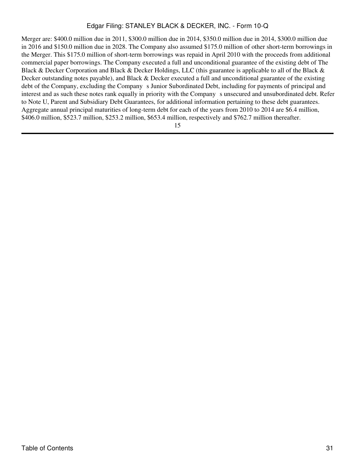Merger are: \$400.0 million due in 2011, \$300.0 million due in 2014, \$350.0 million due in 2014, \$300.0 million due in 2016 and \$150.0 million due in 2028. The Company also assumed \$175.0 million of other short-term borrowings in the Merger. This \$175.0 million of short-term borrowings was repaid in April 2010 with the proceeds from additional commercial paper borrowings. The Company executed a full and unconditional guarantee of the existing debt of The Black & Decker Corporation and Black & Decker Holdings, LLC (this guarantee is applicable to all of the Black & Decker outstanding notes payable), and Black & Decker executed a full and unconditional guarantee of the existing debt of the Company, excluding the Company s Junior Subordinated Debt, including for payments of principal and interest and as such these notes rank equally in priority with the Company s unsecured and unsubordinated debt. Refer to Note U, Parent and Subsidiary Debt Guarantees, for additional information pertaining to these debt guarantees. Aggregate annual principal maturities of long-term debt for each of the years from 2010 to 2014 are \$6.4 million, \$406.0 million, \$523.7 million, \$253.2 million, \$653.4 million, respectively and \$762.7 million thereafter.

15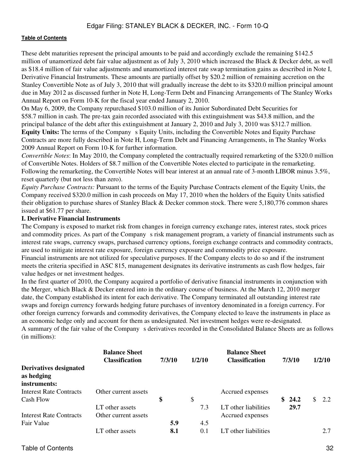These debt maturities represent the principal amounts to be paid and accordingly exclude the remaining \$142.5 million of unamortized debt fair value adjustment as of July 3, 2010 which increased the Black & Decker debt, as well as \$18.4 million of fair value adjustments and unamortized interest rate swap termination gains as described in Note I, Derivative Financial Instruments. These amounts are partially offset by \$20.2 million of remaining accretion on the Stanley Convertible Note as of July 3, 2010 that will gradually increase the debt to its \$320.0 million principal amount due in May 2012 as discussed further in Note H, Long-Term Debt and Financing Arrangements of The Stanley Works Annual Report on Form 10-K for the fiscal year ended January 2, 2010.

On May 6, 2009, the Company repurchased \$103.0 million of its Junior Subordinated Debt Securities for \$58.7 million in cash. The pre-tax gain recorded associated with this extinguishment was \$43.8 million, and the principal balance of the debt after this extinguishment at January 2, 2010 and July 3, 2010 was \$312.7 million.

**Equity Units:** The terms of the Company s Equity Units, including the Convertible Notes and Equity Purchase Contracts are more fully described in Note H, Long-Term Debt and Financing Arrangements, in The Stanley Works 2009 Annual Report on Form 10-K for further information.

*Convertible Notes*: In May 2010, the Company completed the contractually required remarketing of the \$320.0 million of Convertible Notes. Holders of \$8.7 million of the Convertible Notes elected to participate in the remarketing. Following the remarketing, the Convertible Notes will bear interest at an annual rate of 3-month LIBOR minus 3.5%, reset quarterly (but not less than zero).

*Equity Purchase Contracts:* Pursuant to the terms of the Equity Purchase Contracts element of the Equity Units, the Company received \$320.0 million in cash proceeds on May 17, 2010 when the holders of the Equity Units satisfied their obligation to purchase shares of Stanley Black & Decker common stock. There were 5,180,776 common shares issued at \$61.77 per share.

#### **I. Derivative Financial Instruments**

The Company is exposed to market risk from changes in foreign currency exchange rates, interest rates, stock prices and commodity prices. As part of the Company s risk management program, a variety of financial instruments such as interest rate swaps, currency swaps, purchased currency options, foreign exchange contracts and commodity contracts, are used to mitigate interest rate exposure, foreign currency exposure and commodity price exposure.

Financial instruments are not utilized for speculative purposes. If the Company elects to do so and if the instrument meets the criteria specified in ASC 815, management designates its derivative instruments as cash flow hedges, fair value hedges or net investment hedges.

In the first quarter of 2010, the Company acquired a portfolio of derivative financial instruments in conjunction with the Merger, which Black & Decker entered into in the ordinary course of business. At the March 12, 2010 merger date, the Company established its intent for each derivative. The Company terminated all outstanding interest rate swaps and foreign currency forwards hedging future purchases of inventory denominated in a foreign currency. For other foreign currency forwards and commodity derivatives, the Company elected to leave the instruments in place as an economic hedge only and account for them as undesignated. Net investment hedges were re-designated. A summary of the fair value of the Companys derivatives recorded in the Consolidated Balance Sheets are as follows

(in millions):

|                                                      | <b>Balance Sheet</b><br><b>Classification</b> | 7/3/10     | 1/2/10     | <b>Balance Sheet</b><br><b>Classification</b> | 7/3/10      | 1/2/10     |
|------------------------------------------------------|-----------------------------------------------|------------|------------|-----------------------------------------------|-------------|------------|
| Derivatives designated<br>as hedging<br>instruments: |                                               |            |            |                                               |             |            |
| <b>Interest Rate Contracts</b><br>Cash Flow          | Other current assets                          | \$         | \$         | Accrued expenses                              | 24.2<br>SS. | \$.<br>2.2 |
| <b>Interest Rate Contracts</b>                       | LT other assets<br>Other current assets       |            | 7.3        | LT other liabilities<br>Accrued expenses      | 29.7        |            |
| Fair Value                                           | LT other assets                               | 5.9<br>8.1 | 4.5<br>0.1 | LT other liabilities                          |             | 2.7        |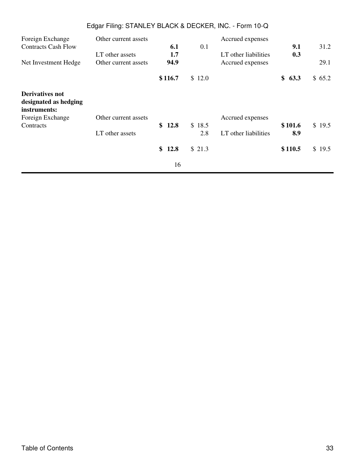|                                                          | Edgar Filing: STANLEY BLACK & DECKER, INC. - Form 10-Q |            |               |                      |                |        |
|----------------------------------------------------------|--------------------------------------------------------|------------|---------------|----------------------|----------------|--------|
| Foreign Exchange                                         | Other current assets                                   |            |               | Accrued expenses     |                |        |
| <b>Contracts Cash Flow</b>                               | LT other assets                                        | 6.1<br>1.7 | 0.1           | LT other liabilities | 9.1<br>0.3     | 31.2   |
| Net Investment Hedge                                     | Other current assets                                   | 94.9       |               | Accrued expenses     |                | 29.1   |
|                                                          |                                                        | \$116.7    | \$12.0        |                      | \$<br>63.3     | \$65.2 |
| Derivatives not<br>designated as hedging<br>instruments: |                                                        |            |               |                      |                |        |
| Foreign Exchange                                         | Other current assets                                   |            |               | Accrued expenses     |                |        |
| Contracts                                                | LT other assets                                        | \$12.8     | \$18.5<br>2.8 | LT other liabilities | \$101.6<br>8.9 | \$19.5 |
|                                                          |                                                        | \$<br>12.8 | \$21.3        |                      | \$110.5        | \$19.5 |
|                                                          |                                                        | 16         |               |                      |                |        |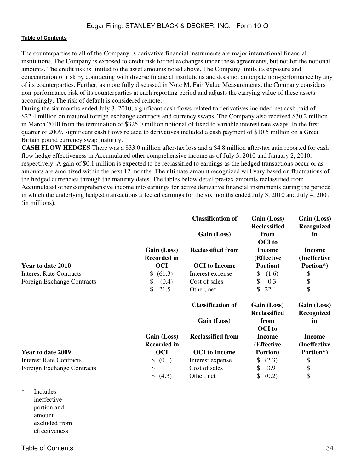The counterparties to all of the Company s derivative financial instruments are major international financial institutions. The Company is exposed to credit risk for net exchanges under these agreements, but not for the notional amounts. The credit risk is limited to the asset amounts noted above. The Company limits its exposure and concentration of risk by contracting with diverse financial institutions and does not anticipate non-performance by any of its counterparties. Further, as more fully discussed in Note M, Fair Value Measurements, the Company considers non-performance risk of its counterparties at each reporting period and adjusts the carrying value of these assets accordingly. The risk of default is considered remote.

During the six months ended July 3, 2010, significant cash flows related to derivatives included net cash paid of \$22.4 million on matured foreign exchange contracts and currency swaps. The Company also received \$30.2 million in March 2010 from the termination of \$325.0 million notional of fixed to variable interest rate swaps. In the first quarter of 2009, significant cash flows related to derivatives included a cash payment of \$10.5 million on a Great Britain pound currency swap maturity.

**CASH FLOW HEDGES** There was a \$33.0 million after-tax loss and a \$4.8 million after-tax gain reported for cash flow hedge effectiveness in Accumulated other comprehensive income as of July 3, 2010 and January 2, 2010, respectively. A gain of \$0.1 million is expected to be reclassified to earnings as the hedged transactions occur or as amounts are amortized within the next 12 months. The ultimate amount recognized will vary based on fluctuations of the hedged currencies through the maturity dates. The tables below detail pre-tax amounts reclassified from Accumulated other comprehensive income into earnings for active derivative financial instruments during the periods in which the underlying hedged transactions affected earnings for the six months ended July 3, 2010 and July 4, 2009 (in millions).

|                                   |                                   | <b>Classification of</b><br>Gain (Loss) | Gain (Loss)<br><b>Reclassified</b><br>from<br><b>OCI</b> to | Gain (Loss)<br>Recognized<br>in |
|-----------------------------------|-----------------------------------|-----------------------------------------|-------------------------------------------------------------|---------------------------------|
|                                   | Gain (Loss)                       | <b>Reclassified from</b>                | <b>Income</b>                                               | <b>Income</b>                   |
| Year to date 2010                 | <b>Recorded in</b><br><b>OCI</b>  | <b>OCI</b> to Income                    | (Effective<br>Portion)                                      | (Ineffective<br>Portion*)       |
| <b>Interest Rate Contracts</b>    | (61.3)<br>\$                      | Interest expense                        | (1.6)<br>S.                                                 | \$                              |
| <b>Foreign Exchange Contracts</b> | (0.4)<br>\$                       | Cost of sales                           | S<br>0.3                                                    | \$                              |
|                                   | \$<br>21.5                        | Other, net                              | \$<br>22.4                                                  | \$                              |
|                                   |                                   | <b>Classification of</b>                | Gain (Loss)<br><b>Reclassified</b>                          | Gain (Loss)<br>Recognized       |
|                                   |                                   | Gain (Loss)                             | from<br><b>OCI</b> to                                       | in                              |
|                                   | Gain (Loss)<br><b>Recorded in</b> | <b>Reclassified from</b>                | Income<br>(Effective                                        | <b>Income</b><br>(Ineffective   |
| Year to date 2009                 | <b>OCI</b>                        | <b>OCI</b> to Income                    | Portion)                                                    | Portion*)                       |
| <b>Interest Rate Contracts</b>    | \$<br>(0.1)                       | Interest expense                        | (2.3)                                                       | \$                              |
| <b>Foreign Exchange Contracts</b> | \$                                | Cost of sales                           | \$<br>3.9                                                   | \$                              |
|                                   | \$<br>(4.3)                       | Other, net                              | \$<br>(0.2)                                                 | \$                              |

\* Includes ineffective portion and amount excluded from effectiveness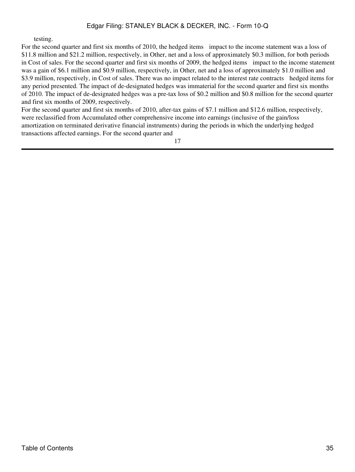testing.

For the second quarter and first six months of 2010, the hedged items impact to the income statement was a loss of \$11.8 million and \$21.2 million, respectively, in Other, net and a loss of approximately \$0.3 million, for both periods in Cost of sales. For the second quarter and first six months of 2009, the hedged items impact to the income statement was a gain of \$6.1 million and \$0.9 million, respectively, in Other, net and a loss of approximately \$1.0 million and \$3.9 million, respectively, in Cost of sales. There was no impact related to the interest rate contracts hedged items for any period presented. The impact of de-designated hedges was immaterial for the second quarter and first six months of 2010. The impact of de-designated hedges was a pre-tax loss of \$0.2 million and \$0.8 million for the second quarter and first six months of 2009, respectively.

For the second quarter and first six months of 2010, after-tax gains of \$7.1 million and \$12.6 million, respectively, were reclassified from Accumulated other comprehensive income into earnings (inclusive of the gain/loss amortization on terminated derivative financial instruments) during the periods in which the underlying hedged transactions affected earnings. For the second quarter and

17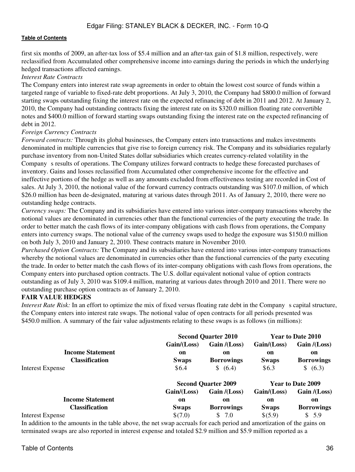first six months of 2009, an after-tax loss of \$5.4 million and an after-tax gain of \$1.8 million, respectively, were reclassified from Accumulated other comprehensive income into earnings during the periods in which the underlying hedged transactions affected earnings.

### *Interest Rate Contracts*

The Company enters into interest rate swap agreements in order to obtain the lowest cost source of funds within a targeted range of variable to fixed-rate debt proportions. At July 3, 2010, the Company had \$800.0 million of forward starting swaps outstanding fixing the interest rate on the expected refinancing of debt in 2011 and 2012. At January 2, 2010, the Company had outstanding contracts fixing the interest rate on its \$320.0 million floating rate convertible notes and \$400.0 million of forward starting swaps outstanding fixing the interest rate on the expected refinancing of debt in 2012.

## *Foreign Currency Contracts*

*Forward contracts:* Through its global businesses, the Company enters into transactions and makes investments denominated in multiple currencies that give rise to foreign currency risk. The Company and its subsidiaries regularly purchase inventory from non-United States dollar subsidiaries which creates currency-related volatility in the Company s results of operations. The Company utilizes forward contracts to hedge these forecasted purchases of inventory. Gains and losses reclassified from Accumulated other comprehensive income for the effective and ineffective portions of the hedge as well as any amounts excluded from effectiveness testing are recorded in Cost of sales. At July 3, 2010, the notional value of the forward currency contracts outstanding was \$107.0 million, of which \$26.0 million has been de-designated, maturing at various dates through 2011. As of January 2, 2010, there were no outstanding hedge contracts.

*Currency swaps:* The Company and its subsidiaries have entered into various inter-company transactions whereby the notional values are denominated in currencies other than the functional currencies of the party executing the trade. In order to better match the cash flows of its inter-company obligations with cash flows from operations, the Company enters into currency swaps. The notional value of the currency swaps used to hedge the exposure was \$150.0 million on both July 3, 2010 and January 2, 2010. These contracts mature in November 2010.

*Purchased Option Contracts:* The Company and its subsidiaries have entered into various inter-company transactions whereby the notional values are denominated in currencies other than the functional currencies of the party executing the trade. In order to better match the cash flows of its inter-company obligations with cash flows from operations, the Company enters into purchased option contracts. The U.S. dollar equivalent notional value of option contracts outstanding as of July 3, 2010 was \$109.4 million, maturing at various dates through 2010 and 2011. There were no outstanding purchase option contracts as of January 2, 2010.

## **FAIR VALUE HEDGES**

*Interest Rate Risk:* In an effort to optimize the mix of fixed versus floating rate debt in the Company s capital structure, the Company enters into interest rate swaps. The notional value of open contracts for all periods presented was \$450.0 million. A summary of the fair value adjustments relating to these swaps is as follows (in millions):

|                         | <b>Second Quarter 2010</b> |                   | Year to Date 2010        |                   |
|-------------------------|----------------------------|-------------------|--------------------------|-------------------|
|                         | Gain/(Loss)                | Gain / (Loss)     | Gain / (Loss)            | Gain / (Loss)     |
| <b>Income Statement</b> | on                         | on                | on                       | on                |
| <b>Classification</b>   | <b>Swaps</b>               | <b>Borrowings</b> | <b>Swaps</b>             | <b>Borrowings</b> |
| Interest Expense        | \$6.4                      | \$ (6.4)          | \$6.3                    | \$ (6.3)          |
|                         | <b>Second Quarter 2009</b> |                   | <b>Year to Date 2009</b> |                   |
|                         | Gain/(Loss)                | Gain /(Loss)      | Gain / (Loss)            | Gain /(Loss)      |
| <b>Income Statement</b> | on                         | on                | on                       | on                |
| <b>Classification</b>   | <b>Swaps</b>               | <b>Borrowings</b> | <b>Swaps</b>             | <b>Borrowings</b> |
| <b>Interest Expense</b> | \$(7.0)                    | 7.0<br>\$         | \$(5.9)                  | \$5.9             |

In addition to the amounts in the table above, the net swap accruals for each period and amortization of the gains on terminated swaps are also reported in interest expense and totaled \$2.9 million and \$5.9 million reported as a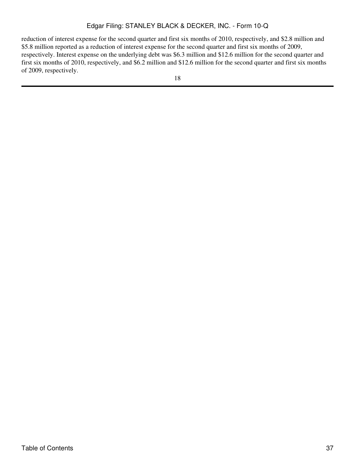reduction of interest expense for the second quarter and first six months of 2010, respectively, and \$2.8 million and \$5.8 million reported as a reduction of interest expense for the second quarter and first six months of 2009, respectively. Interest expense on the underlying debt was \$6.3 million and \$12.6 million for the second quarter and first six months of 2010, respectively, and \$6.2 million and \$12.6 million for the second quarter and first six months of 2009, respectively.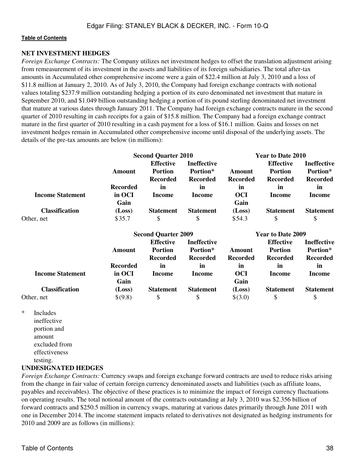### **NET INVESTMENT HEDGES**

*Foreign Exchange Contracts:* The Company utilizes net investment hedges to offset the translation adjustment arising from remeasurement of its investment in the assets and liabilities of its foreign subsidiaries. The total after-tax amounts in Accumulated other comprehensive income were a gain of \$22.4 million at July 3, 2010 and a loss of \$11.8 million at January 2, 2010. As of July 3, 2010, the Company had foreign exchange contracts with notional values totaling \$237.9 million outstanding hedging a portion of its euro denominated net investment that mature in September 2010, and \$1.049 billion outstanding hedging a portion of its pound sterling denominated net investment that mature at various dates through January 2011. The Company had foreign exchange contracts mature in the second quarter of 2010 resulting in cash receipts for a gain of \$15.8 million. The Company had a foreign exchange contract mature in the first quarter of 2010 resulting in a cash payment for a loss of \$16.1 million. Gains and losses on net investment hedges remain in Accumulated other comprehensive income until disposal of the underlying assets. The details of the pre-tax amounts are below (in millions):

|                         |                 | <b>Second Quarter 2010</b>         |                                | Year to Date 2010 |                                    |                                |  |
|-------------------------|-----------------|------------------------------------|--------------------------------|-------------------|------------------------------------|--------------------------------|--|
|                         | Amount          | <b>Effective</b><br><b>Portion</b> | <b>Ineffective</b><br>Portion* |                   | <b>Effective</b><br><b>Portion</b> | <b>Ineffective</b><br>Portion* |  |
|                         |                 | <b>Recorded</b>                    | <b>Recorded</b>                | <b>Recorded</b>   | <b>Recorded</b>                    | <b>Recorded</b>                |  |
|                         | <b>Recorded</b> | in                                 | <i>in</i>                      | in                | in                                 | in                             |  |
| <b>Income Statement</b> | in OCI          | Income                             | Income                         | <b>OCI</b>        | Income                             | Income                         |  |
|                         | Gain            |                                    |                                | Gain              |                                    |                                |  |
| <b>Classification</b>   | (Loss)          | <b>Statement</b>                   | <b>Statement</b>               | (Loss)            | <b>Statement</b>                   | <b>Statement</b>               |  |
| Other, net              | \$35.7          | \$                                 |                                | \$54.3            |                                    |                                |  |

|                         |                 | <b>Second Quarter 2009</b>         |                                |                 | <b>Year to Date 2009</b>           |                                |  |  |
|-------------------------|-----------------|------------------------------------|--------------------------------|-----------------|------------------------------------|--------------------------------|--|--|
|                         | Amount          | <b>Effective</b><br><b>Portion</b> | <b>Ineffective</b><br>Portion* | Amount          | <b>Effective</b><br><b>Portion</b> | <b>Ineffective</b><br>Portion* |  |  |
|                         |                 | <b>Recorded</b>                    | <b>Recorded</b>                | <b>Recorded</b> | <b>Recorded</b>                    | <b>Recorded</b>                |  |  |
|                         | <b>Recorded</b> | in                                 | <i>in</i>                      | <i>in</i>       | in                                 | in                             |  |  |
| <b>Income Statement</b> | in OCI          | Income                             | Income                         | OCI             | Income                             | Income                         |  |  |
|                         | Gain            |                                    |                                | Gain            |                                    |                                |  |  |
| <b>Classification</b>   | (Loss)          | <b>Statement</b>                   | <b>Statement</b>               | (Loss)          | <b>Statement</b>                   | <b>Statement</b>               |  |  |
| Other, net              | \$(9.8)         | S                                  | S                              | \$(3.0)         | S                                  |                                |  |  |

\* Includes ineffective portion and amount excluded from effectiveness testing.

### **UNDESIGNATED HEDGES**

*Foreign Exchange Contracts:* Currency swaps and foreign exchange forward contracts are used to reduce risks arising from the change in fair value of certain foreign currency denominated assets and liabilities (such as affiliate loans, payables and receivables). The objective of these practices is to minimize the impact of foreign currency fluctuations on operating results. The total notional amount of the contracts outstanding at July 3, 2010 was \$2.356 billion of forward contracts and \$250.5 million in currency swaps, maturing at various dates primarily through June 2011 with one in December 2014. The income statement impacts related to derivatives not designated as hedging instruments for 2010 and 2009 are as follows (in millions):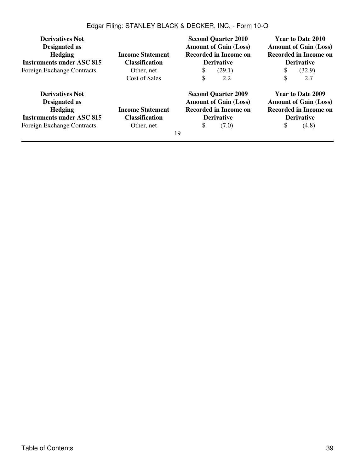| <b>Derivatives Not</b><br>Designated as<br><b>Hedging</b><br><b>Instruments under ASC 815</b> | <b>Income Statement</b><br><b>Classification</b> | <b>Second Quarter 2010</b><br><b>Amount of Gain (Loss)</b><br><b>Recorded in Income on</b><br><b>Derivative</b> | Year to Date 2010<br><b>Amount of Gain (Loss)</b><br><b>Recorded in Income on</b><br><b>Derivative</b> |  |  |
|-----------------------------------------------------------------------------------------------|--------------------------------------------------|-----------------------------------------------------------------------------------------------------------------|--------------------------------------------------------------------------------------------------------|--|--|
| <b>Foreign Exchange Contracts</b>                                                             | Other, net<br>Cost of Sales                      | (29.1)<br>\$<br>\$<br>2.2                                                                                       | (32.9)<br>S<br>\$<br>2.7                                                                               |  |  |
| <b>Derivatives Not</b><br>Designated as<br><b>Hedging</b><br><b>Income Statement</b>          |                                                  | <b>Second Quarter 2009</b><br><b>Amount of Gain (Loss)</b><br><b>Recorded in Income on</b>                      | <b>Year to Date 2009</b><br><b>Amount of Gain (Loss)</b><br><b>Recorded in Income on</b>               |  |  |
| <b>Instruments under ASC 815</b>                                                              | <b>Classification</b>                            | <b>Derivative</b>                                                                                               | <b>Derivative</b>                                                                                      |  |  |
| <b>Foreign Exchange Contracts</b>                                                             | Other, net                                       | \$<br>(7.0)<br>19                                                                                               | S<br>(4.8)                                                                                             |  |  |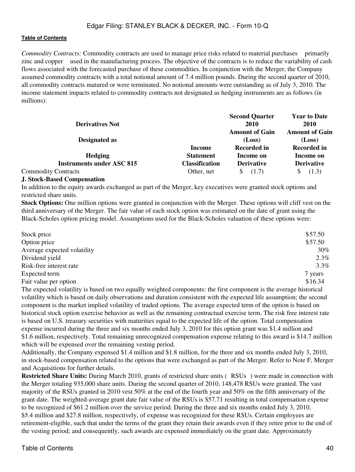*Commodity Contracts:* Commodity contracts are used to manage price risks related to material purchases primarily zinc and copper used in the manufacturing process. The objective of the contracts is to reduce the variability of cash flows associated with the forecasted purchase of these commodities. In conjunction with the Merger, the Company assumed commodity contracts with a total notional amount of 7.4 million pounds. During the second quarter of 2010, all commodity contracts matured or were terminated. No notional amounts were outstanding as of July 3, 2010. The income statement impacts related to commodity contracts not designated as hedging instruments are as follows (in millions):

| <b>Derivatives Not</b>           |                  | <b>Second Quarter</b><br><b>2010</b> | <b>Year to Date</b><br>2010 |  |
|----------------------------------|------------------|--------------------------------------|-----------------------------|--|
|                                  |                  | <b>Amount of Gain</b>                | <b>Amount of Gain</b>       |  |
| Designated as                    |                  | (Loss)                               | (Loss)                      |  |
|                                  | Income           | <b>Recorded in</b>                   | <b>Recorded in</b>          |  |
| <b>Hedging</b>                   | <b>Statement</b> | Income on                            | Income on                   |  |
| <b>Instruments under ASC 815</b> | Classification   | <b>Derivative</b>                    | <b>Derivative</b>           |  |
| <b>Commodity Contracts</b>       | Other, net       | (1.7)                                | (1.3)                       |  |

## **J. Stock-Based Compensation**

In addition to the equity awards exchanged as part of the Merger, key executives were granted stock options and restricted share units.

**Stock Options:** One million options were granted in conjunction with the Merger. These options will cliff vest on the third anniversary of the Merger. The fair value of each stock option was estimated on the date of grant using the Black-Scholes option pricing model. Assumptions used for the Black-Scholes valuation of these options were:

| Stock price                                                                                                        | \$57.50 |
|--------------------------------------------------------------------------------------------------------------------|---------|
| Option price                                                                                                       | \$57.50 |
| Average expected volatility                                                                                        | 30%     |
| Dividend yield                                                                                                     | $2.3\%$ |
| Risk-free interest rate                                                                                            | $3.3\%$ |
| Expected term                                                                                                      | 7 years |
| Fair value per option                                                                                              | \$16.34 |
| The expected volatility is based on two equally weighted components: the first component is the average historical |         |

volatility which is based on daily observations and duration consistent with the expected life assumption; the second component is the market implied volatility of traded options. The average expected term of the option is based on historical stock option exercise behavior as well as the remaining contractual exercise term. The risk free interest rate is based on U.S. treasury securities with maturities equal to the expected life of the option. Total compensation expense incurred during the three and six months ended July 3, 2010 for this option grant was \$1.4 million and \$1.6 million, respectively. Total remaining unrecognized compensation expense relating to this award is \$14.7 million which will be expensed over the remaining vesting period.

Additionally, the Company expensed \$1.4 million and \$1.8 million, for the three and six months ended July 3, 2010, in stock-based compensation related to the options that were exchanged as part of the Merger. Refer to Note F, Merger and Acquisitions for further details.

**Restricted Share Units:** During March 2010, grants of restricted share units (RSUs) were made in connection with the Merger totaling 935,000 share units. During the second quarter of 2010, 148,478 RSUs were granted. The vast majority of the RSUs granted in 2010 vest 50% at the end of the fourth year and 50% on the fifth anniversary of the grant date. The weighted-average grant date fair value of the RSUs is \$57.71 resulting in total compensation expense to be recognized of \$61.2 million over the service period. During the three and six months ended July 3, 2010, \$5.4 million and \$27.8 million, respectively, of expense was recognized for these RSUs. Certain employees are retirement-eligible, such that under the terms of the grant they retain their awards even if they retire prior to the end of the vesting period; and consequently, such awards are expensed immediately on the grant date. Approximately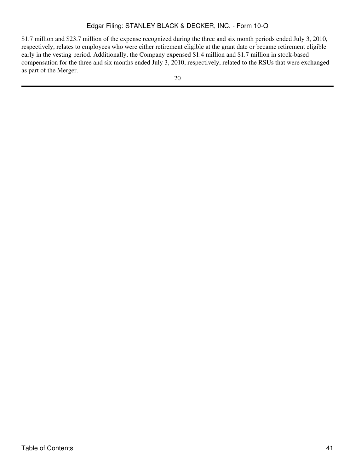\$1.7 million and \$23.7 million of the expense recognized during the three and six month periods ended July 3, 2010, respectively, relates to employees who were either retirement eligible at the grant date or became retirement eligible early in the vesting period. Additionally, the Company expensed \$1.4 million and \$1.7 million in stock-based compensation for the three and six months ended July 3, 2010, respectively, related to the RSUs that were exchanged as part of the Merger.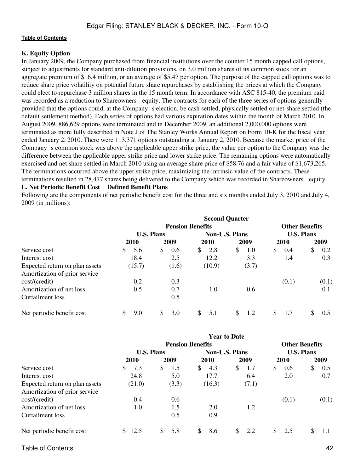## **K. Equity Option**

In January 2009, the Company purchased from financial institutions over the counter 15 month capped call options, subject to adjustments for standard anti-dilution provisions, on 3.0 million shares of its common stock for an aggregate premium of \$16.4 million, or an average of \$5.47 per option. The purpose of the capped call options was to reduce share price volatility on potential future share repurchases by establishing the prices at which the Company could elect to repurchase 3 million shares in the 15 month term. In accordance with ASC 815-40, the premium paid was recorded as a reduction to Shareowners equity. The contracts for each of the three series of options generally provided that the options could, at the Company s election, be cash settled, physically settled or net-share settled (the default settlement method). Each series of options had various expiration dates within the month of March 2010. In August 2009, 886,629 options were terminated and in December 2009, an additional 2,000,000 options were terminated as more fully described in Note J of The Stanley Works Annual Report on Form 10-K for the fiscal year ended January 2, 2010. There were 113,371 options outstanding at January 2, 2010. Because the market price of the Company s common stock was above the applicable upper strike price, the value per option to the Company was the difference between the applicable upper strike price and lower strike price. The remaining options were automatically exercised and net share settled in March 2010 using an average share price of \$58.76 and a fair value of \$1,673,265. The terminations occurred above the upper strike price, maximizing the intrinsic value of the contracts. These terminations resulted in 28,477 shares being delivered to the Company which was recorded in Shareowners equity. **L. Net Periodic Benefit Cost Defined Benefit Plans**

Following are the components of net periodic benefit cost for the three and six months ended July 3, 2010 and July 4, 2009 (in millions):

|                                | <b>Second Quarter</b> |                         |                |           |                       |               |  |  |  |  |
|--------------------------------|-----------------------|-------------------------|----------------|-----------|-----------------------|---------------|--|--|--|--|
|                                |                       | <b>Pension Benefits</b> |                |           | <b>Other Benefits</b> |               |  |  |  |  |
|                                |                       | <b>U.S. Plans</b>       | Non-U.S. Plans |           | <b>U.S. Plans</b>     |               |  |  |  |  |
|                                | 2010                  | 2009                    | <b>2010</b>    | 2009      | <b>2010</b>           | 2009          |  |  |  |  |
| Service cost                   | <sup>S</sup><br>5.6   | \$<br>0.6               | \$<br>2.8      | \$<br>1.0 | S.<br>0.4             | \$<br>0.2     |  |  |  |  |
| Interest cost                  | 18.4                  | 2.5                     | 12.2           | 3.3       | 1.4                   | 0.3           |  |  |  |  |
| Expected return on plan assets | (15.7)                | (1.6)                   | (10.9)         | (3.7)     |                       |               |  |  |  |  |
| Amortization of prior service  |                       |                         |                |           |                       |               |  |  |  |  |
| cost/(credit)                  | 0.2                   | 0.3                     |                |           | (0.1)                 | (0.1)         |  |  |  |  |
| Amortization of net loss       | 0.5                   | 0.7                     | 1.0            | 0.6       |                       | 0.1           |  |  |  |  |
| Curtailment loss               |                       | 0.5                     |                |           |                       |               |  |  |  |  |
| Net periodic benefit cost      | \$.<br>9.0            | 3.0<br>\$.              | \$.<br>5.1     | 1.2       | S<br>1.7              | $0.5^{\circ}$ |  |  |  |  |

|                                | <b>Year to Date</b> |                         |                     |                       |                       |           |  |  |  |
|--------------------------------|---------------------|-------------------------|---------------------|-----------------------|-----------------------|-----------|--|--|--|
|                                |                     | <b>Pension Benefits</b> |                     |                       | <b>Other Benefits</b> |           |  |  |  |
|                                | <b>U.S. Plans</b>   |                         |                     | <b>Non-U.S. Plans</b> | <b>U.S. Plans</b>     |           |  |  |  |
|                                | 2010                | 2009                    | 2010                | 2009                  | 2010                  | 2009      |  |  |  |
| Service cost                   | 7.3<br>S.           | 1.5<br><sup>S</sup>     | 4.3<br><sup>S</sup> | \$<br>1.7             | \$<br>0.6             | \$<br>0.5 |  |  |  |
| Interest cost                  | 24.8                | 5.0                     | 17.7                | 6.4                   | 2.0                   | 0.7       |  |  |  |
| Expected return on plan assets | (21.0)              | (3.3)                   | (16.3)              | (7.1)                 |                       |           |  |  |  |
| Amortization of prior service  |                     |                         |                     |                       |                       |           |  |  |  |
| cost/(credit)                  | 0.4                 | $0.6^{\circ}$           |                     |                       | (0.1)                 | (0.1)     |  |  |  |
| Amortization of net loss       | 1.0                 | 1.5                     | 2.0                 | 1.2                   |                       |           |  |  |  |
| Curtailment loss               |                     | 0.5                     | 0.9                 |                       |                       |           |  |  |  |
| Net periodic benefit cost      | \$12.5              | 5.8<br>$\mathbb{S}$     | 8.6<br>\$.          | 2.2<br>S.             | 2.5<br>\$.            | S<br>1.1  |  |  |  |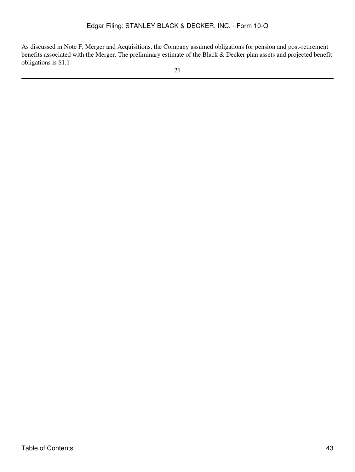As discussed in Note F, Merger and Acquisitions, the Company assumed obligations for pension and post-retirement benefits associated with the Merger. The preliminary estimate of the Black & Decker plan assets and projected benefit obligations is \$1.1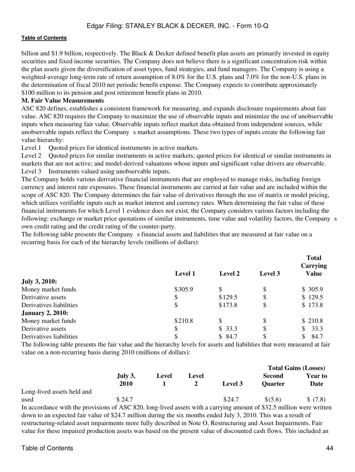billion and \$1.9 billion, respectively. The Black & Decker defined benefit plan assets are primarily invested in equity securities and fixed income securities. The Company does not believe there is a significant concentration risk within the plan assets given the diversification of asset types, fund strategies, and fund managers. The Company is using a weighted-average long-term rate of return assumption of 8.0% for the U.S. plans and 7.0% for the non-U.S. plans in the determination of fiscal 2010 net periodic benefit expense. The Company expects to contribute approximately \$100 million to its pension and post retirement benefit plans in 2010.

## **M. Fair Value Measurements**

ASC 820 defines, establishes a consistent framework for measuring, and expands disclosure requirements about fair value. ASC 820 requires the Company to maximize the use of observable inputs and minimize the use of unobservable inputs when measuring fair value. Observable inputs reflect market data obtained from independent sources, while unobservable inputs reflect the Company s market assumptions. These two types of inputs create the following fair value hierarchy:

Level 1 Quoted prices for identical instruments in active markets.

Level 2 Quoted prices for similar instruments in active markets; quoted prices for identical or similar instruments in markets that are not active; and model-derived valuations whose inputs and significant value drivers are observable. Level 3 Instruments valued using unobservable inputs.

The Company holds various derivative financial instruments that are employed to manage risks, including foreign currency and interest rate exposures. These financial instruments are carried at fair value and are included within the scope of ASC 820. The Company determines the fair value of derivatives through the use of matrix or model pricing, which utilizes verifiable inputs such as market interest and currency rates. When determining the fair value of these financial instruments for which Level 1 evidence does not exist, the Company considers various factors including the following: exchange or market price quotations of similar instruments, time value and volatility factors, the Company s own credit rating and the credit rating of the counter-party.

The following table presents the Company s financial assets and liabilities that are measured at fair value on a recurring basis for each of the hierarchy levels (millions of dollars):

|                         | <b>Level 1</b> | <b>Level 2</b> | Level 3 | <b>Total</b><br>Carrying<br><b>Value</b> |
|-------------------------|----------------|----------------|---------|------------------------------------------|
| <b>July 3, 2010:</b>    |                |                |         |                                          |
| Money market funds      | \$305.9        | \$             | \$      | \$305.9                                  |
| Derivative assets       | \$             | \$129.5        | \$      | \$129.5                                  |
| Derivatives liabilities | \$             | \$173.8        | \$      | \$173.8                                  |
| <b>January 2, 2010:</b> |                |                |         |                                          |
| Money market funds      | \$210.8        | \$             | \$      | \$210.8                                  |
| Derivative assets       | \$             | \$33.3         | \$      | 33.3<br>S.                               |
| Derivatives liabilities | \$             | \$84.7         | \$      | \$<br>84.7                               |

The following table presents the fair value and the hierarchy levels for assets and liabilities that were measured at fair value on a non-recurring basis during 2010 (millions of dollars):

|                            |         |       |       |         |                | TOTAL GALLIS (LOSSES) |
|----------------------------|---------|-------|-------|---------|----------------|-----------------------|
|                            | July 3, | Level | Level |         | Second         | <b>Year to</b>        |
|                            | 2010    |       |       | Level 3 | <b>Ouarter</b> | Date                  |
| Long-lived assets held and |         |       |       |         |                |                       |
| used                       | \$24.7  |       |       | \$24.7  | \$ (5.6)       | \$(7.8)               |

In accordance with the provisions of ASC 820, long-lived assets with a carrying amount of \$32.5 million were written down to an expected fair value of \$24.7 million during the six months ended July 3, 2010. This was a result of restructuring-related asset impairments more fully described in Note O, Restructuring and Asset Impairments. Fair value for these impaired production assets was based on the present value of discounted cash flows. This included an

**Total Gains (Losses)**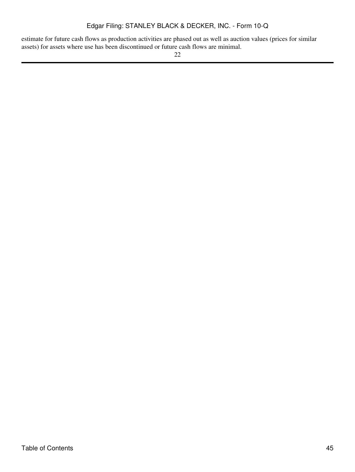estimate for future cash flows as production activities are phased out as well as auction values (prices for similar assets) for assets where use has been discontinued or future cash flows are minimal.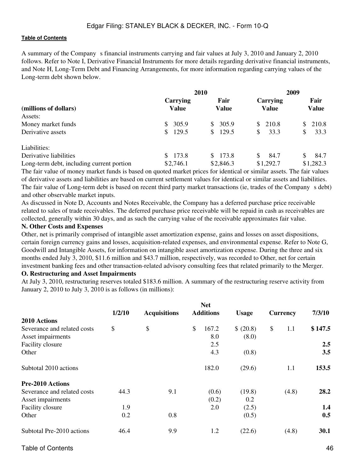A summary of the Companys financial instruments carrying and fair values at July 3, 2010 and January 2, 2010 follows. Refer to Note I, Derivative Financial Instruments for more details regarding derivative financial instruments, and Note H, Long-Term Debt and Financing Arrangements, for more information regarding carrying values of the Long-term debt shown below.

|                                           |                   | 2010                   | 2009                            |                      |  |  |
|-------------------------------------------|-------------------|------------------------|---------------------------------|----------------------|--|--|
| (millions of dollars)                     | Carrying<br>Value | Fair<br><b>Value</b>   | <b>Carrying</b><br><b>Value</b> | Fair<br><b>Value</b> |  |  |
| Assets:                                   |                   |                        |                                 |                      |  |  |
| Money market funds                        | 305.9<br>S.       | 305.9<br>\$.           | \$210.8                         | 210.8                |  |  |
| Derivative assets                         | 129.5<br>\$       | 129.5<br><sup>\$</sup> | 33.3<br>S                       | 33.3<br>\$           |  |  |
| Liabilities:                              |                   |                        |                                 |                      |  |  |
| Derivative liabilities                    | 173.8<br>S.       | 173.8<br>S.            | 84.7<br>S                       | 84.7                 |  |  |
| Long-term debt, including current portion | \$2,746.1         | \$2,846.3              | \$1,292.7                       | \$1,282.3            |  |  |

The fair value of money market funds is based on quoted market prices for identical or similar assets. The fair values of derivative assets and liabilities are based on current settlement values for identical or similar assets and liabilities. The fair value of Long-term debt is based on recent third party market transactions (ie, trades of the Company s debt) and other observable market inputs.

As discussed in Note D, Accounts and Notes Receivable, the Company has a deferred purchase price receivable related to sales of trade receivables. The deferred purchase price receivable will be repaid in cash as receivables are collected, generally within 30 days, and as such the carrying value of the receivable approximates fair value.

# **N. Other Costs and Expenses**

Other, net is primarily comprised of intangible asset amortization expense, gains and losses on asset dispositions, certain foreign currency gains and losses, acquisition-related expenses, and environmental expense. Refer to Note G, Goodwill and Intangible Assets, for information on intangible asset amortization expense. During the three and six months ended July 3, 2010, \$11.6 million and \$43.7 million, respectively, was recorded to Other, net for certain investment banking fees and other transaction-related advisory consulting fees that related primarily to the Merger.

### **O. Restructuring and Asset Impairments**

At July 3, 2010, restructuring reserves totaled \$183.6 million. A summary of the restructuring reserve activity from January 2, 2010 to July 3, 2010 is as follows (in millions):

|                             | <b>Net</b> |                     |                        |              |                 |                  |  |
|-----------------------------|------------|---------------------|------------------------|--------------|-----------------|------------------|--|
|                             | 1/2/10     | <b>Acquisitions</b> | <b>Additions</b>       | <b>Usage</b> | <b>Currency</b> | 7/3/10           |  |
| 2010 Actions                |            |                     |                        |              |                 |                  |  |
| Severance and related costs | \$         | \$                  | $\mathcal{S}$<br>167.2 | \$ (20.8)    | \$<br>1.1       | \$147.5          |  |
| Asset impairments           |            |                     | 8.0                    | (8.0)        |                 |                  |  |
| Facility closure            |            |                     | 2.5                    |              |                 | 2.5              |  |
| Other                       |            |                     | 4.3                    | (0.8)        |                 | 3.5              |  |
| Subtotal 2010 actions       |            |                     | 182.0                  | (29.6)       | 1.1             | 153.5            |  |
| <b>Pre-2010 Actions</b>     |            |                     |                        |              |                 |                  |  |
| Severance and related costs | 44.3       | 9.1                 | (0.6)                  | (19.8)       | (4.8)           | 28.2             |  |
| Asset impairments           |            |                     | (0.2)                  | 0.2          |                 |                  |  |
| Facility closure            | 1.9        |                     | 2.0                    | (2.5)        |                 | $1.4\phantom{0}$ |  |
| Other                       | 0.2        | 0.8                 |                        | (0.5)        |                 | 0.5              |  |
| Subtotal Pre-2010 actions   | 46.4       | 9.9                 | 1.2                    | (22.6)       | (4.8)           | 30.1             |  |
|                             |            |                     |                        |              |                 |                  |  |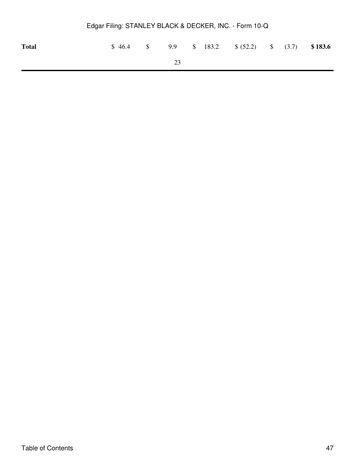| <b>Total</b> |  |    |  | $$46.4$ $$9.9$ $$183.2$ $$(52.2)$ $$(3.7)$ $$183.6$ |  |  |
|--------------|--|----|--|-----------------------------------------------------|--|--|
|              |  | 23 |  |                                                     |  |  |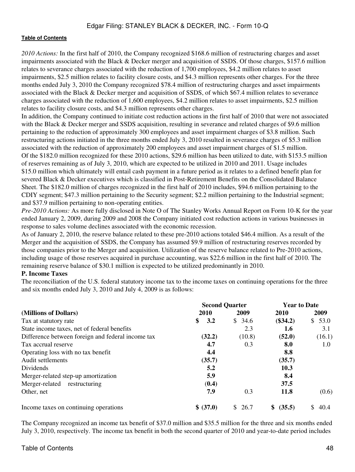*2010 Actions:* In the first half of 2010, the Company recognized \$168.6 million of restructuring charges and asset impairments associated with the Black & Decker merger and acquisition of SSDS. Of those charges, \$157.6 million relates to severance charges associated with the reduction of 1,700 employees, \$4.2 million relates to asset impairments, \$2.5 million relates to facility closure costs, and \$4.3 million represents other charges. For the three months ended July 3, 2010 the Company recognized \$78.4 million of restructuring charges and asset impairments associated with the Black & Decker merger and acquisition of SSDS, of which \$67.4 million relates to severance charges associated with the reduction of 1,600 employees, \$4.2 million relates to asset impairments, \$2.5 million relates to facility closure costs, and \$4.3 million represents other charges.

In addition, the Company continued to initiate cost reduction actions in the first half of 2010 that were not associated with the Black & Decker merger and SSDS acquisition, resulting in severance and related charges of \$9.6 million pertaining to the reduction of approximately 300 employees and asset impairment charges of \$3.8 million. Such restructuring actions initiated in the three months ended July 3, 2010 resulted in severance charges of \$5.3 million associated with the reduction of approximately 200 employees and asset impairment charges of \$1.5 million. Of the \$182.0 million recognized for these 2010 actions, \$29.6 million has been utilized to date, with \$153.5 million of reserves remaining as of July 3, 2010, which are expected to be utilized in 2010 and 2011. Usage includes \$15.0 million which ultimately will entail cash payment in a future period as it relates to a defined benefit plan for severed Black & Decker executives which is classified in Post-Retirement Benefits on the Consolidated Balance Sheet. The \$182.0 million of charges recognized in the first half of 2010 includes, \$94.6 million pertaining to the CDIY segment; \$47.3 million pertaining to the Security segment; \$2.2 million pertaining to the Industrial segment; and \$37.9 million pertaining to non-operating entities.

*Pre-2010 Actions:* As more fully disclosed in Note O of The Stanley Works Annual Report on Form 10-K for the year ended January 2, 2009, during 2009 and 2008 the Company initiated cost reduction actions in various businesses in response to sales volume declines associated with the economic recession.

As of January 2, 2010, the reserve balance related to these pre-2010 actions totaled \$46.4 million. As a result of the Merger and the acquisition of SSDS, the Company has assumed \$9.9 million of restructuring reserves recorded by those companies prior to the Merger and acquisition. Utilization of the reserve balance related to Pre-2010 actions, including usage of those reserves acquired in purchase accounting, was \$22.6 million in the first half of 2010. The remaining reserve balance of \$30.1 million is expected to be utilized predominantly in 2010.

## **P. Income Taxes**

The reconciliation of the U.S. federal statutory income tax to the income taxes on continuing operations for the three and six months ended July 3, 2010 and July 4, 2009 is as follows:

|                                                   | <b>Second Quarter</b> |        | <b>Year to Date</b> |             |  |  |
|---------------------------------------------------|-----------------------|--------|---------------------|-------------|--|--|
| (Millions of Dollars)                             | 2010                  | 2009   | 2010                | 2009        |  |  |
| Tax at statutory rate                             | \$<br>3.2             | \$34.6 | $(\$34.2)$          | \$53.0      |  |  |
| State income taxes, net of federal benefits       |                       | 2.3    | 1.6                 | 3.1         |  |  |
| Difference between foreign and federal income tax | (32.2)                | (10.8) | (52.0)              | (16.1)      |  |  |
| Tax accrual reserve                               | 4.7                   | 0.3    | 8.0                 | 1.0         |  |  |
| Operating loss with no tax benefit                | 4.4                   |        | 8.8                 |             |  |  |
| Audit settlements                                 | (35.7)                |        | (35.7)              |             |  |  |
| Dividends                                         | 5.2                   |        | 10.3                |             |  |  |
| Merger-related step-up amortization               | 5.9                   |        | 8.4                 |             |  |  |
| Merger-related restructuring                      | (0.4)                 |        | 37.5                |             |  |  |
| Other, net                                        | 7.9                   | 0.3    | 11.8                | (0.6)       |  |  |
| Income taxes on continuing operations             | \$ (37.0)             | \$26.7 | (35.5)<br>S.        | 40.4<br>\$. |  |  |

The Company recognized an income tax benefit of \$37.0 million and \$35.5 million for the three and six months ended July 3, 2010, respectively. The income tax benefit in both the second quarter of 2010 and year-to-date period includes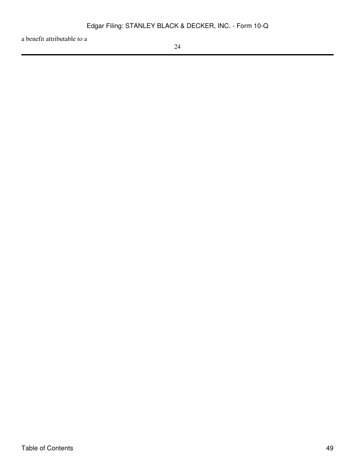a benefit attributable to a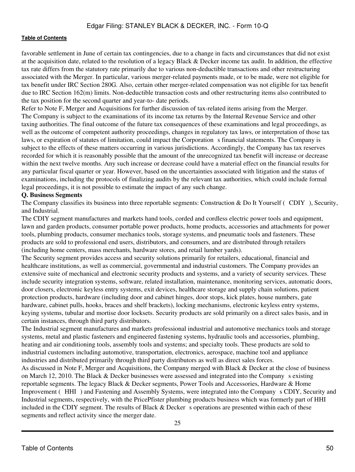favorable settlement in June of certain tax contingencies, due to a change in facts and circumstances that did not exist at the acquisition date, related to the resolution of a legacy Black & Decker income tax audit. In addition, the effective tax rate differs from the statutory rate primarily due to various non-deductible transactions and other restructuring associated with the Merger. In particular, various merger-related payments made, or to be made, were not eligible for tax benefit under IRC Section 280G. Also, certain other merger-related compensation was not eligible for tax benefit due to IRC Section 162(m) limits. Non-deductible transaction costs and other restructuring items also contributed to the tax position for the second quarter and year-to- date periods.

Refer to Note F, Merger and Acquisitions for further discussion of tax-related items arising from the Merger. The Company is subject to the examinations of its income tax returns by the Internal Revenue Service and other taxing authorities. The final outcome of the future tax consequences of these examinations and legal proceedings, as well as the outcome of competent authority proceedings, changes in regulatory tax laws, or interpretation of those tax laws, or expiration of statutes of limitation, could impact the Corporation s financial statements. The Company is subject to the effects of these matters occurring in various jurisdictions. Accordingly, the Company has tax reserves recorded for which it is reasonably possible that the amount of the unrecognized tax benefit will increase or decrease within the next twelve months. Any such increase or decrease could have a material effect on the financial results for any particular fiscal quarter or year. However, based on the uncertainties associated with litigation and the status of examinations, including the protocols of finalizing audits by the relevant tax authorities, which could include formal legal proceedings, it is not possible to estimate the impact of any such change.

## **Q. Business Segments**

The Company classifies its business into three reportable segments: Construction & Do It Yourself (CDIY), Security, and Industrial.

The CDIY segment manufactures and markets hand tools, corded and cordless electric power tools and equipment, lawn and garden products, consumer portable power products, home products, accessories and attachments for power tools, plumbing products, consumer mechanics tools, storage systems, and pneumatic tools and fasteners. These products are sold to professional end users, distributors, and consumers, and are distributed through retailers (including home centers, mass merchants, hardware stores, and retail lumber yards).

The Security segment provides access and security solutions primarily for retailers, educational, financial and healthcare institutions, as well as commercial, governmental and industrial customers. The Company provides an extensive suite of mechanical and electronic security products and systems, and a variety of security services. These include security integration systems, software, related installation, maintenance, monitoring services, automatic doors, door closers, electronic keyless entry systems, exit devices, healthcare storage and supply chain solutions, patient protection products, hardware (including door and cabinet hinges, door stops, kick plates, house numbers, gate hardware, cabinet pulls, hooks, braces and shelf brackets), locking mechanisms, electronic keyless entry systems, keying systems, tubular and mortise door locksets. Security products are sold primarily on a direct sales basis, and in certain instances, through third party distributors.

The Industrial segment manufactures and markets professional industrial and automotive mechanics tools and storage systems, metal and plastic fasteners and engineered fastening systems, hydraulic tools and accessories, plumbing, heating and air conditioning tools, assembly tools and systems; and specialty tools. These products are sold to industrial customers including automotive, transportation, electronics, aerospace, machine tool and appliance industries and distributed primarily through third party distributors as well as direct sales forces.

As discussed in Note F, Merger and Acquisitions, the Company merged with Black & Decker at the close of business on March 12, 2010. The Black  $&$  Decker businesses were assessed and integrated into the Company s existing reportable segments. The legacy Black & Decker segments, Power Tools and Accessories, Hardware & Home Improvement (HHI) and Fastening and Assembly Systems, were integrated into the Companys CDIY, Security and Industrial segments, respectively, with the PricePfister plumbing products business which was formerly part of HHI included in the CDIY segment. The results of Black  $&$  Decker s operations are presented within each of these segments and reflect activity since the merger date.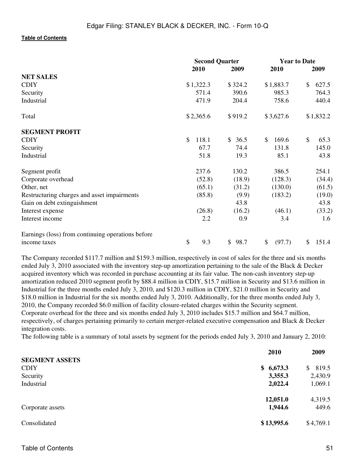|                                                   |             | <b>Second Quarter</b> |              | <b>Year to Date</b>   |
|---------------------------------------------------|-------------|-----------------------|--------------|-----------------------|
|                                                   | 2010        | 2009                  | 2010         | 2009                  |
| <b>NET SALES</b>                                  |             |                       |              |                       |
| <b>CDIY</b>                                       | \$1,322.3   | \$324.2               | \$1,883.7    | $\mathbb{S}$<br>627.5 |
| Security                                          | 571.4       | 390.6                 | 985.3        | 764.3                 |
| Industrial                                        | 471.9       | 204.4                 | 758.6        | 440.4                 |
| Total                                             | \$2,365.6   | \$919.2               | \$3,627.6    | \$1,832.2             |
| <b>SEGMENT PROFIT</b>                             |             |                       |              |                       |
| <b>CDIY</b>                                       | \$<br>118.1 | 36.5<br><sup>\$</sup> | 169.6<br>\$  | \$<br>65.3            |
| Security                                          | 67.7        | 74.4                  | 131.8        | 145.0                 |
| Industrial                                        | 51.8        | 19.3                  | 85.1         | 43.8                  |
| Segment profit                                    | 237.6       | 130.2                 | 386.5        | 254.1                 |
| Corporate overhead                                | (52.8)      | (18.9)                | (128.3)      | (34.4)                |
| Other, net                                        | (65.1)      | (31.2)                | (130.0)      | (61.5)                |
| Restructuring charges and asset impairments       | (85.8)      | (9.9)                 | (183.2)      | (19.0)                |
| Gain on debt extinguishment                       |             | 43.8                  |              | 43.8                  |
| Interest expense                                  | (26.8)      | (16.2)                | (46.1)       | (33.2)                |
| Interest income                                   | 2.2         | 0.9                   | 3.4          | 1.6                   |
| Earnings (loss) from continuing operations before |             |                       |              |                       |
| income taxes                                      | \$<br>9.3   | 98.7<br>\$            | \$<br>(97.7) | 151.4<br>\$           |

The Company recorded \$117.7 million and \$159.3 million, respectively in cost of sales for the three and six months ended July 3, 2010 associated with the inventory step-up amortization pertaining to the sale of the Black & Decker acquired inventory which was recorded in purchase accounting at its fair value. The non-cash inventory step-up amortization reduced 2010 segment profit by \$88.4 million in CDIY, \$15.7 million in Security and \$13.6 million in Industrial for the three months ended July 3, 2010, and \$120.3 million in CDIY, \$21.0 million in Security and \$18.0 million in Industrial for the six months ended July 3, 2010. Additionally, for the three months ended July 3, 2010, the Company recorded \$6.0 million of facility closure-related charges within the Security segment. Corporate overhead for the three and six months ended July 3, 2010 includes \$15.7 million and \$64.7 million, respectively, of charges pertaining primarily to certain merger-related executive compensation and Black & Decker integration costs.

The following table is a summary of total assets by segment for the periods ended July 3, 2010 and January 2, 2010:

|                       | 2010       | 2009        |
|-----------------------|------------|-------------|
| <b>SEGMENT ASSETS</b> |            |             |
| <b>CDIY</b>           | \$6,673.3  | 819.5<br>S. |
| Security              | 3,355.3    | 2,430.9     |
| Industrial            | 2,022.4    | 1,069.1     |
|                       | 12,051.0   | 4,319.5     |
| Corporate assets      | 1,944.6    | 449.6       |
| Consolidated          | \$13,995.6 | \$4,769.1   |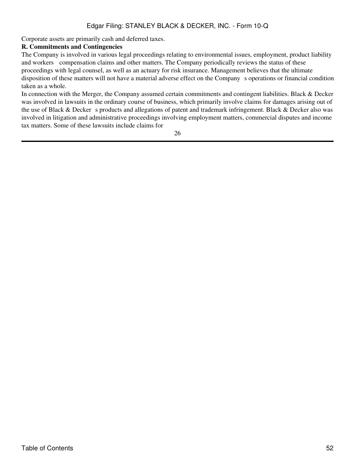Corporate assets are primarily cash and deferred taxes.

## **R. Commitments and Contingencies**

The Company is involved in various legal proceedings relating to environmental issues, employment, product liability and workers compensation claims and other matters. The Company periodically reviews the status of these proceedings with legal counsel, as well as an actuary for risk insurance. Management believes that the ultimate disposition of these matters will not have a material adverse effect on the Companys operations or financial condition taken as a whole.

In connection with the Merger, the Company assumed certain commitments and contingent liabilities. Black & Decker was involved in lawsuits in the ordinary course of business, which primarily involve claims for damages arising out of the use of Black & Decker s products and allegations of patent and trademark infringement. Black & Decker also was involved in litigation and administrative proceedings involving employment matters, commercial disputes and income tax matters. Some of these lawsuits include claims for

26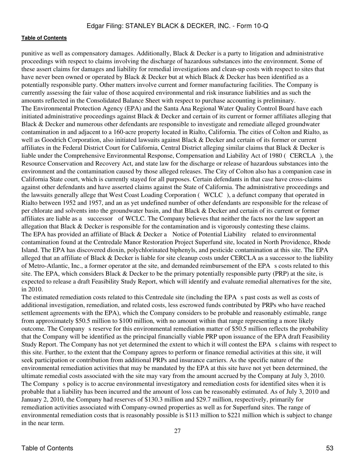punitive as well as compensatory damages. Additionally, Black & Decker is a party to litigation and administrative proceedings with respect to claims involving the discharge of hazardous substances into the environment. Some of these assert claims for damages and liability for remedial investigations and clean-up costs with respect to sites that have never been owned or operated by Black & Decker but at which Black & Decker has been identified as a potentially responsible party. Other matters involve current and former manufacturing facilities. The Company is currently assessing the fair value of those acquired environmental and risk insurance liabilities and as such the amounts reflected in the Consolidated Balance Sheet with respect to purchase accounting is preliminary. The Environmental Protection Agency (EPA) and the Santa Ana Regional Water Quality Control Board have each initiated administrative proceedings against Black & Decker and certain of its current or former affiliates alleging that Black & Decker and numerous other defendants are responsible to investigate and remediate alleged groundwater contamination in and adjacent to a 160-acre property located in Rialto, California. The cities of Colton and Rialto, as well as Goodrich Corporation, also initiated lawsuits against Black & Decker and certain of its former or current affiliates in the Federal District Court for California, Central District alleging similar claims that Black & Decker is liable under the Comprehensive Environmental Response, Compensation and Liability Act of 1980 (CERCLA), the Resource Conservation and Recovery Act, and state law for the discharge or release of hazardous substances into the environment and the contamination caused by those alleged releases. The City of Colton also has a companion case in California State court, which is currently stayed for all purposes. Certain defendants in that case have cross-claims against other defendants and have asserted claims against the State of California. The administrative proceedings and the lawsuits generally allege that West Coast Loading Corporation (WCLC), a defunct company that operated in Rialto between 1952 and 1957, and an as yet undefined number of other defendants are responsible for the release of per chlorate and solvents into the groundwater basin, and that Black & Decker and certain of its current or former affiliates are liable as a successor of WCLC. The Company believes that neither the facts nor the law support an allegation that Black & Decker is responsible for the contamination and is vigorously contesting these claims. The EPA has provided an affiliate of Black & Decker a Notice of Potential Liability related to environmental contamination found at the Centredale Manor Restoration Project Superfund site, located in North Providence, Rhode Island. The EPA has discovered dioxin, polychlorinated biphenyls, and pesticide contamination at this site. The EPA alleged that an affiliate of Black & Decker is liable for site cleanup costs under CERCLA as a successor to the liability of Metro-Atlantic, Inc., a former operator at the site, and demanded reimbursement of the EPA s costs related to this site. The EPA, which considers Black & Decker to be the primary potentially responsible party (PRP) at the site, is expected to release a draft Feasibility Study Report, which will identify and evaluate remedial alternatives for the site, in 2010.

The estimated remediation costs related to this Centredale site (including the EPA s past costs as well as costs of additional investigation, remediation, and related costs, less escrowed funds contributed by PRPs who have reached settlement agreements with the EPA), which the Company considers to be probable and reasonably estimable, range from approximately \$50.5 million to \$100 million, with no amount within that range representing a more likely outcome. The Company s reserve for this environmental remediation matter of \$50.5 million reflects the probability that the Company will be identified as the principal financially viable PRP upon issuance of the EPA draft Feasibility Study Report. The Company has not yet determined the extent to which it will contest the EPA s claims with respect to this site. Further, to the extent that the Company agrees to perform or finance remedial activities at this site, it will seek participation or contribution from additional PRPs and insurance carriers. As the specific nature of the environmental remediation activities that may be mandated by the EPA at this site have not yet been determined, the ultimate remedial costs associated with the site may vary from the amount accrued by the Company at July 3, 2010. The Company s policy is to accrue environmental investigatory and remediation costs for identified sites when it is probable that a liability has been incurred and the amount of loss can be reasonably estimated. As of July 3, 2010 and January 2, 2010, the Company had reserves of \$130.3 million and \$29.7 million, respectively, primarily for remediation activities associated with Company-owned properties as well as for Superfund sites. The range of environmental remediation costs that is reasonably possible is \$113 million to \$221 million which is subject to change in the near term.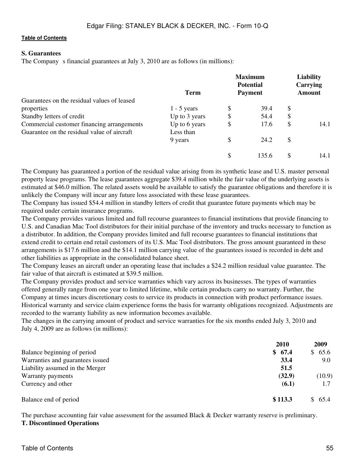### **S. Guarantees**

The Company s financial guarantees at July 3, 2010 are as follows (in millions):

|                                             | <b>Term</b>   | <b>Maximum</b><br><b>Potential</b><br><b>Payment</b> | <b>Liability</b><br><b>Carrying</b><br><b>Amount</b> |      |  |
|---------------------------------------------|---------------|------------------------------------------------------|------------------------------------------------------|------|--|
| Guarantees on the residual values of leased |               |                                                      |                                                      |      |  |
| properties                                  | $1 - 5$ years | \$<br>39.4                                           | S                                                    |      |  |
| Standby letters of credit                   | Up to 3 years | \$<br>54.4                                           | \$                                                   |      |  |
| Commercial customer financing arrangements  | Up to 6 years | \$<br>17.6                                           | \$                                                   | 14.1 |  |
| Guarantee on the residual value of aircraft | Less than     |                                                      |                                                      |      |  |
|                                             | 9 years       | \$<br>24.2                                           | \$                                                   |      |  |
|                                             |               | \$<br>135.6                                          | S                                                    | 14.1 |  |

The Company has guaranteed a portion of the residual value arising from its synthetic lease and U.S. master personal property lease programs. The lease guarantees aggregate \$39.4 million while the fair value of the underlying assets is estimated at \$46.0 million. The related assets would be available to satisfy the guarantee obligations and therefore it is unlikely the Company will incur any future loss associated with these lease guarantees.

The Company has issued \$54.4 million in standby letters of credit that guarantee future payments which may be required under certain insurance programs.

The Company provides various limited and full recourse guarantees to financial institutions that provide financing to U.S. and Canadian Mac Tool distributors for their initial purchase of the inventory and trucks necessary to function as a distributor. In addition, the Company provides limited and full recourse guarantees to financial institutions that extend credit to certain end retail customers of its U.S. Mac Tool distributors. The gross amount guaranteed in these arrangements is \$17.6 million and the \$14.1 million carrying value of the guarantees issued is recorded in debt and other liabilities as appropriate in the consolidated balance sheet.

The Company leases an aircraft under an operating lease that includes a \$24.2 million residual value guarantee. The fair value of that aircraft is estimated at \$39.5 million.

The Company provides product and service warranties which vary across its businesses. The types of warranties offered generally range from one year to limited lifetime, while certain products carry no warranty. Further, the Company at times incurs discretionary costs to service its products in connection with product performance issues. Historical warranty and service claim experience forms the basis for warranty obligations recognized. Adjustments are recorded to the warranty liability as new information becomes available.

The changes in the carrying amount of product and service warranties for the six months ended July 3, 2010 and July 4, 2009 are as follows (in millions):

|                                  | <b>2010</b> | 2009   |
|----------------------------------|-------------|--------|
| Balance beginning of period      | \$67.4      | \$65.6 |
| Warranties and guarantees issued | 33.4        | 9.0    |
| Liability assumed in the Merger  | 51.5        |        |
| Warranty payments                | (32.9)      | (10.9) |
| Currency and other               | (6.1)       | 1.7    |
| Balance end of period            | \$113.3     | \$65.4 |

The purchase accounting fair value assessment for the assumed Black & Decker warranty reserve is preliminary. **T. Discontinued Operations**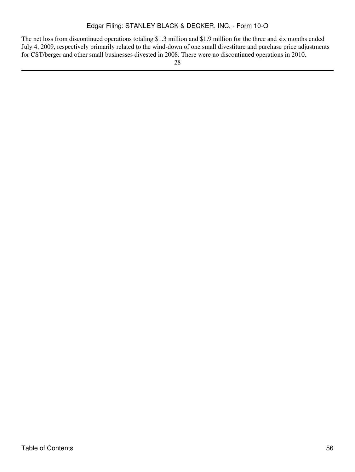The net loss from discontinued operations totaling \$1.3 million and \$1.9 million for the three and six months ended July 4, 2009, respectively primarily related to the wind-down of one small divestiture and purchase price adjustments for CST/berger and other small businesses divested in 2008. There were no discontinued operations in 2010.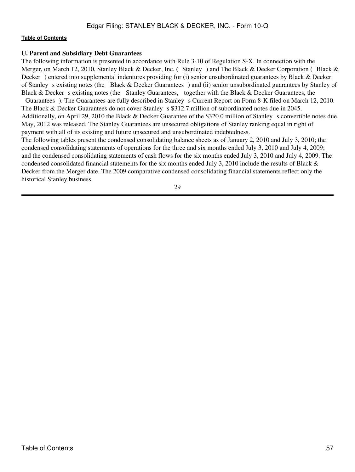#### **U. Parent and Subsidiary Debt Guarantees**

The following information is presented in accordance with Rule 3-10 of Regulation S-X. In connection with the Merger, on March 12, 2010, Stanley Black & Decker, Inc. (Stanley) and The Black & Decker Corporation (Black & Decker) entered into supplemental indentures providing for (i) senior unsubordinated guarantees by Black & Decker of Stanley s existing notes (the Black & Decker Guarantees) and (ii) senior unsubordinated guarantees by Stanley of Black & Decker s existing notes (the Stanley Guarantees, together with the Black & Decker Guarantees, the Guarantees). The Guarantees are fully described in Stanley s Current Report on Form 8-K filed on March 12, 2010. The Black & Decker Guarantees do not cover Stanley s \$312.7 million of subordinated notes due in 2045. Additionally, on April 29, 2010 the Black & Decker Guarantee of the \$320.0 million of Stanley s convertible notes due May, 2012 was released. The Stanley Guarantees are unsecured obligations of Stanley ranking equal in right of

payment with all of its existing and future unsecured and unsubordinated indebtedness.

The following tables present the condensed consolidating balance sheets as of January 2, 2010 and July 3, 2010; the condensed consolidating statements of operations for the three and six months ended July 3, 2010 and July 4, 2009; and the condensed consolidating statements of cash flows for the six months ended July 3, 2010 and July 4, 2009. The condensed consolidated financial statements for the six months ended July 3, 2010 include the results of Black & Decker from the Merger date. The 2009 comparative condensed consolidating financial statements reflect only the historical Stanley business.

29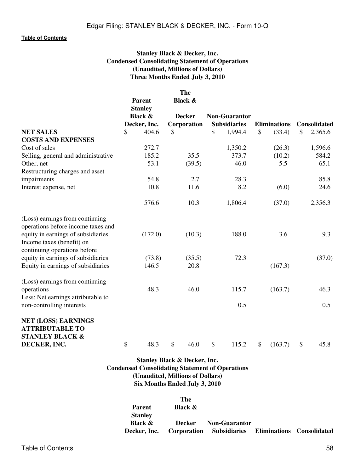## **Stanley Black & Decker, Inc. Condensed Consolidating Statement of Operations (Unaudited, Millions of Dollars) Three Months Ended July 3, 2010**

|                                            |                          |                    | <b>The</b>    |                      |                     |               |                     |                     |
|--------------------------------------------|--------------------------|--------------------|---------------|----------------------|---------------------|---------------|---------------------|---------------------|
|                                            | Parent<br><b>Stanley</b> | <b>Black &amp;</b> |               |                      |                     |               |                     |                     |
|                                            | <b>Black &amp;</b>       |                    | <b>Decker</b> | <b>Non-Guarantor</b> |                     |               |                     |                     |
|                                            | Decker, Inc.             |                    | Corporation   |                      | <b>Subsidiaries</b> |               | <b>Eliminations</b> | <b>Consolidated</b> |
| <b>NET SALES</b>                           | \$<br>404.6              | \$                 |               | \$                   | 1,994.4             | \$            | (33.4)              | \$<br>2,365.6       |
| <b>COSTS AND EXPENSES</b>                  |                          |                    |               |                      |                     |               |                     |                     |
| Cost of sales                              | 272.7                    |                    |               |                      | 1,350.2             |               | (26.3)              | 1,596.6             |
| Selling, general and administrative        | 185.2                    |                    | 35.5          |                      | 373.7               |               | (10.2)              | 584.2               |
| Other, net                                 | 53.1                     |                    | (39.5)        |                      | 46.0                |               | 5.5                 | 65.1                |
| Restructuring charges and asset            |                          |                    |               |                      |                     |               |                     |                     |
| impairments                                | 54.8                     |                    | 2.7           |                      | 28.3                |               |                     | 85.8                |
| Interest expense, net                      | 10.8                     |                    | 11.6          |                      | 8.2                 |               | (6.0)               | 24.6                |
|                                            | 576.6                    |                    | 10.3          |                      | 1,806.4             |               | (37.0)              | 2,356.3             |
| (Loss) earnings from continuing            |                          |                    |               |                      |                     |               |                     |                     |
| operations before income taxes and         |                          |                    |               |                      |                     |               |                     |                     |
| equity in earnings of subsidiaries         | (172.0)                  |                    | (10.3)        |                      | 188.0               |               | 3.6                 | 9.3                 |
| Income taxes (benefit) on                  |                          |                    |               |                      |                     |               |                     |                     |
| continuing operations before               |                          |                    |               |                      |                     |               |                     |                     |
| equity in earnings of subsidiaries         | (73.8)                   |                    | (35.5)        |                      | 72.3                |               |                     | (37.0)              |
| Equity in earnings of subsidiaries         | 146.5                    |                    | 20.8          |                      |                     |               | (167.3)             |                     |
| (Loss) earnings from continuing            |                          |                    |               |                      |                     |               |                     |                     |
| operations                                 | 48.3                     |                    | 46.0          |                      | 115.7               |               | (163.7)             | 46.3                |
| Less: Net earnings attributable to         |                          |                    |               |                      |                     |               |                     |                     |
| non-controlling interests                  |                          |                    |               |                      | 0.5                 |               |                     | 0.5                 |
| <b>NET (LOSS) EARNINGS</b>                 |                          |                    |               |                      |                     |               |                     |                     |
| <b>ATTRIBUTABLE TO</b>                     |                          |                    |               |                      |                     |               |                     |                     |
| <b>STANLEY BLACK &amp;</b><br>DECKER, INC. | \$<br>48.3               | \$                 | 46.0          | \$                   | 115.2               | $\mathcal{S}$ | (163.7)             | \$<br>45.8          |
|                                            |                          |                    |               |                      |                     |               |                     |                     |

## **Stanley Black & Decker, Inc. Condensed Consolidating Statement of Operations (Unaudited, Millions of Dollars) Six Months Ended July 3, 2010**

|                    | The                |                          |                                  |
|--------------------|--------------------|--------------------------|----------------------------------|
| Parent             | <b>Black &amp;</b> |                          |                                  |
| <b>Stanley</b>     |                    |                          |                                  |
| <b>Black &amp;</b> | Decker             | Non-Guarantor            |                                  |
| Decker, Inc.       |                    | Corporation Subsidiaries | <b>Eliminations</b> Consolidated |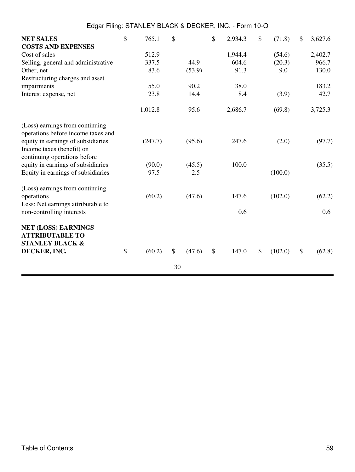|                                     | Edgar Filing: STANLEY BLACK & DECKER, INC. - Form 10-Q |         |    |        |    |         |    |         |    |         |
|-------------------------------------|--------------------------------------------------------|---------|----|--------|----|---------|----|---------|----|---------|
| <b>NET SALES</b>                    | \$                                                     | 765.1   | \$ |        | \$ | 2,934.3 | \$ | (71.8)  | \$ | 3,627.6 |
| <b>COSTS AND EXPENSES</b>           |                                                        |         |    |        |    |         |    |         |    |         |
| Cost of sales                       |                                                        | 512.9   |    |        |    | 1,944.4 |    | (54.6)  |    | 2,402.7 |
| Selling, general and administrative |                                                        | 337.5   |    | 44.9   |    | 604.6   |    | (20.3)  |    | 966.7   |
| Other, net                          |                                                        | 83.6    |    | (53.9) |    | 91.3    |    | 9.0     |    | 130.0   |
| Restructuring charges and asset     |                                                        |         |    |        |    |         |    |         |    |         |
| impairments                         |                                                        | 55.0    |    | 90.2   |    | 38.0    |    |         |    | 183.2   |
| Interest expense, net               |                                                        | 23.8    |    | 14.4   |    | 8.4     |    | (3.9)   |    | 42.7    |
|                                     |                                                        | 1,012.8 |    | 95.6   |    | 2,686.7 |    | (69.8)  |    | 3,725.3 |
| (Loss) earnings from continuing     |                                                        |         |    |        |    |         |    |         |    |         |
| operations before income taxes and  |                                                        |         |    |        |    |         |    |         |    |         |
| equity in earnings of subsidiaries  |                                                        | (247.7) |    | (95.6) |    | 247.6   |    | (2.0)   |    | (97.7)  |
| Income taxes (benefit) on           |                                                        |         |    |        |    |         |    |         |    |         |
| continuing operations before        |                                                        |         |    |        |    |         |    |         |    |         |
| equity in earnings of subsidiaries  |                                                        | (90.0)  |    | (45.5) |    | 100.0   |    |         |    | (35.5)  |
| Equity in earnings of subsidiaries  |                                                        | 97.5    |    | 2.5    |    |         |    | (100.0) |    |         |
| (Loss) earnings from continuing     |                                                        |         |    |        |    |         |    |         |    |         |
| operations                          |                                                        | (60.2)  |    | (47.6) |    | 147.6   |    | (102.0) |    | (62.2)  |
| Less: Net earnings attributable to  |                                                        |         |    |        |    |         |    |         |    |         |
| non-controlling interests           |                                                        |         |    |        |    | 0.6     |    |         |    | 0.6     |
| <b>NET (LOSS) EARNINGS</b>          |                                                        |         |    |        |    |         |    |         |    |         |
| <b>ATTRIBUTABLE TO</b>              |                                                        |         |    |        |    |         |    |         |    |         |
| <b>STANLEY BLACK &amp;</b>          |                                                        |         |    |        |    |         |    |         |    |         |
| DECKER, INC.                        | \$                                                     | (60.2)  | \$ | (47.6) | \$ | 147.0   | \$ | (102.0) | \$ | (62.8)  |
|                                     |                                                        |         | 30 |        |    |         |    |         |    |         |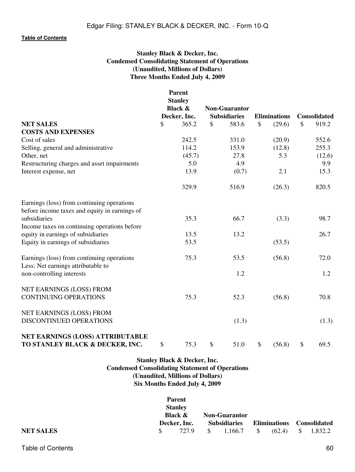## **Stanley Black & Decker, Inc. Condensed Consolidating Statement of Operations (Unaudited, Millions of Dollars) Three Months Ended July 4, 2009**

|                                                                                             | <b>Parent</b><br><b>Stanley</b><br><b>Black &amp;</b> |                                                                                                                                                                                                                                                 |                     |             |
|---------------------------------------------------------------------------------------------|-------------------------------------------------------|-------------------------------------------------------------------------------------------------------------------------------------------------------------------------------------------------------------------------------------------------|---------------------|-------------|
|                                                                                             | Decker, Inc.                                          | <b>Non-Guarantor</b><br><b>Subsidiaries</b><br><b>Eliminations</b><br>583.6<br>\$<br>(29.6)<br>331.0<br>(20.9)<br>153.9<br>(12.8)<br>27.8<br>5.3<br>4.9<br>(0.7)<br>2.1<br>516.9<br>(26.3)<br>66.7<br>(3.3)<br>13.2<br>(53.5)<br>53.5<br>(56.8) | <b>Consolidated</b> |             |
| <b>NET SALES</b>                                                                            | \$<br>365.2                                           | \$                                                                                                                                                                                                                                              |                     | \$<br>919.2 |
| <b>COSTS AND EXPENSES</b>                                                                   |                                                       |                                                                                                                                                                                                                                                 |                     |             |
| Cost of sales                                                                               | 242.5                                                 |                                                                                                                                                                                                                                                 |                     | 552.6       |
| Selling, general and administrative                                                         | 114.2                                                 |                                                                                                                                                                                                                                                 |                     | 255.3       |
| Other, net                                                                                  | (45.7)                                                |                                                                                                                                                                                                                                                 |                     | (12.6)      |
| Restructuring charges and asset impairments                                                 | 5.0                                                   |                                                                                                                                                                                                                                                 |                     | 9.9         |
| Interest expense, net                                                                       | 13.9                                                  |                                                                                                                                                                                                                                                 |                     | 15.3        |
|                                                                                             | 329.9                                                 |                                                                                                                                                                                                                                                 |                     | 820.5       |
| Earnings (loss) from continuing operations<br>before income taxes and equity in earnings of |                                                       |                                                                                                                                                                                                                                                 |                     |             |
| subsidiaries                                                                                | 35.3                                                  |                                                                                                                                                                                                                                                 |                     | 98.7        |
| Income taxes on continuing operations before                                                |                                                       |                                                                                                                                                                                                                                                 |                     |             |
| equity in earnings of subsidiaries                                                          | 13.5                                                  |                                                                                                                                                                                                                                                 |                     | 26.7        |
| Equity in earnings of subsidiaries                                                          | 53.5                                                  |                                                                                                                                                                                                                                                 |                     |             |
| Earnings (loss) from continuing operations<br>Less: Net earnings attributable to            | 75.3                                                  |                                                                                                                                                                                                                                                 |                     | 72.0        |
| non-controlling interests                                                                   |                                                       | 1.2                                                                                                                                                                                                                                             |                     | 1.2         |
| NET EARNINGS (LOSS) FROM<br><b>CONTINUING OPERATIONS</b>                                    | 75.3                                                  | 52.3                                                                                                                                                                                                                                            | (56.8)              | 70.8        |
|                                                                                             |                                                       |                                                                                                                                                                                                                                                 |                     |             |
| NET EARNINGS (LOSS) FROM                                                                    |                                                       |                                                                                                                                                                                                                                                 |                     |             |
| DISCONTINUED OPERATIONS                                                                     |                                                       | (1.3)                                                                                                                                                                                                                                           |                     | (1.3)       |
| NET EARNINGS (LOSS) ATTRIBUTABLE<br>TO STANLEY BLACK & DECKER, INC.                         | \$<br>75.3                                            | \$<br>51.0                                                                                                                                                                                                                                      | \$<br>(56.8)        | \$<br>69.5  |

## **Stanley Black & Decker, Inc. Condensed Consolidating Statement of Operations (Unaudited, Millions of Dollars) Six Months Ended July 4, 2009**

|                  | <b>Parent</b><br><b>Stanley</b> |  |                      |                      |             |                           |
|------------------|---------------------------------|--|----------------------|----------------------|-------------|---------------------------|
|                  | <b>Black &amp;</b>              |  |                      | <b>Non-Guarantor</b> |             |                           |
|                  | Decker, Inc.                    |  | <b>Subsidiaries</b>  |                      |             | Eliminations Consolidated |
| <b>NET SALES</b> | 727.9                           |  | $\frac{\$}{1.166.7}$ | S –                  | $(62.4)$ \$ | 1,832.2                   |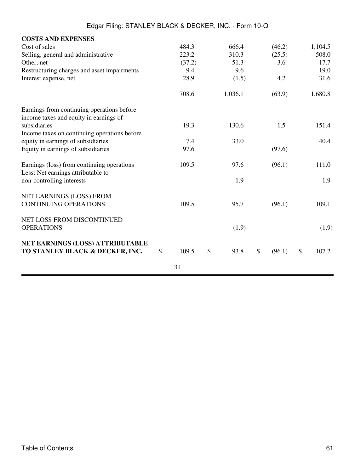| <b>COSTS AND EXPENSES</b>                    |             |            |              |             |
|----------------------------------------------|-------------|------------|--------------|-------------|
| Cost of sales                                | 484.3       | 666.4      | (46.2)       | 1,104.5     |
| Selling, general and administrative          | 223.2       | 310.3      | (25.5)       | 508.0       |
| Other, net                                   | (37.2)      | 51.3       | 3.6          | 17.7        |
| Restructuring charges and asset impairments  | 9.4         | 9.6        |              | 19.0        |
| Interest expense, net                        | 28.9        | (1.5)      | 4.2          | 31.6        |
|                                              | 708.6       | 1,036.1    | (63.9)       | 1,680.8     |
| Earnings from continuing operations before   |             |            |              |             |
| income taxes and equity in earnings of       |             |            |              |             |
| subsidiaries                                 | 19.3        | 130.6      | 1.5          | 151.4       |
| Income taxes on continuing operations before |             |            |              |             |
| equity in earnings of subsidiaries           | 7.4         | 33.0       |              | 40.4        |
| Equity in earnings of subsidiaries           | 97.6        |            | (97.6)       |             |
| Earnings (loss) from continuing operations   | 109.5       | 97.6       | (96.1)       | 111.0       |
| Less: Net earnings attributable to           |             |            |              |             |
| non-controlling interests                    |             | 1.9        |              | 1.9         |
| <b>NET EARNINGS (LOSS) FROM</b>              |             |            |              |             |
| <b>CONTINUING OPERATIONS</b>                 | 109.5       | 95.7       | (96.1)       | 109.1       |
| NET LOSS FROM DISCONTINUED                   |             |            |              |             |
| <b>OPERATIONS</b>                            |             | (1.9)      |              | (1.9)       |
| NET EARNINGS (LOSS) ATTRIBUTABLE             |             |            |              |             |
| TO STANLEY BLACK & DECKER, INC.              | \$<br>109.5 | \$<br>93.8 | \$<br>(96.1) | \$<br>107.2 |
|                                              | 31          |            |              |             |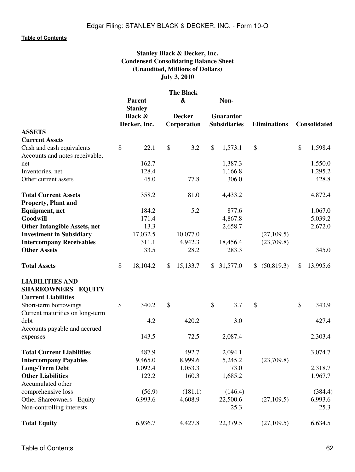# **Stanley Black & Decker, Inc. Condensed Consolidating Balance Sheet (Unaudited, Millions of Dollars) July 3, 2010**

|                                     | <b>The Black</b> |                                 |                           |                   |    |                     |                     |                |
|-------------------------------------|------------------|---------------------------------|---------------------------|-------------------|----|---------------------|---------------------|----------------|
|                                     |                  | <b>Parent</b><br><b>Stanley</b> |                           | $\boldsymbol{\&}$ |    | Non-                |                     |                |
|                                     |                  | <b>Black &amp;</b>              |                           | <b>Decker</b>     |    | <b>Guarantor</b>    |                     |                |
|                                     |                  | Decker, Inc.                    |                           | Corporation       |    | <b>Subsidiaries</b> | <b>Eliminations</b> | Consolidated   |
| <b>ASSETS</b>                       |                  |                                 |                           |                   |    |                     |                     |                |
| <b>Current Assets</b>               |                  |                                 |                           |                   |    |                     |                     |                |
| Cash and cash equivalents           | \$               | 22.1                            | $\boldsymbol{\mathsf{S}}$ | 3.2               | \$ | 1,573.1             | \$                  | \$<br>1,598.4  |
| Accounts and notes receivable,      |                  |                                 |                           |                   |    |                     |                     |                |
| net                                 |                  | 162.7                           |                           |                   |    | 1,387.3             |                     | 1,550.0        |
| Inventories, net                    |                  | 128.4                           |                           |                   |    | 1,166.8             |                     | 1,295.2        |
| Other current assets                |                  | 45.0                            |                           | 77.8              |    | 306.0               |                     | 428.8          |
| <b>Total Current Assets</b>         |                  | 358.2                           |                           | 81.0              |    | 4,433.2             |                     | 4,872.4        |
| <b>Property, Plant and</b>          |                  |                                 |                           |                   |    |                     |                     |                |
| <b>Equipment</b> , net              |                  | 184.2                           |                           | 5.2               |    | 877.6               |                     | 1,067.0        |
| Goodwill                            |                  | 171.4                           |                           |                   |    | 4,867.8             |                     | 5,039.2        |
| <b>Other Intangible Assets, net</b> |                  | 13.3                            |                           |                   |    | 2,658.7             |                     | 2,672.0        |
| <b>Investment in Subsidiary</b>     |                  | 17,032.5                        |                           | 10,077.0          |    |                     | (27, 109.5)         |                |
| <b>Intercompany Receivables</b>     |                  | 311.1                           |                           | 4,942.3           |    | 18,456.4            | (23,709.8)          |                |
| <b>Other Assets</b>                 |                  | 33.5                            |                           | 28.2              |    | 283.3               |                     | 345.0          |
| <b>Total Assets</b>                 | \$               | 18,104.2                        | \$                        | 15,133.7          | S. | 31,577.0            | \$<br>(50, 819.3)   | \$<br>13,995.6 |
| <b>LIABILITIES AND</b>              |                  |                                 |                           |                   |    |                     |                     |                |
| SHAREOWNERS EQUITY                  |                  |                                 |                           |                   |    |                     |                     |                |
| <b>Current Liabilities</b>          |                  |                                 |                           |                   |    |                     |                     |                |
| Short-term borrowings               | \$               | 340.2                           | $\boldsymbol{\mathsf{S}}$ |                   | \$ | 3.7                 | \$                  | \$<br>343.9    |
| Current maturities on long-term     |                  |                                 |                           |                   |    |                     |                     |                |
| debt                                |                  | 4.2                             |                           | 420.2             |    | 3.0                 |                     | 427.4          |
| Accounts payable and accrued        |                  |                                 |                           |                   |    |                     |                     |                |
| expenses                            |                  | 143.5                           |                           | 72.5              |    | 2,087.4             |                     | 2,303.4        |
| <b>Total Current Liabilities</b>    |                  | 487.9                           |                           | 492.7             |    | 2,094.1             |                     | 3,074.7        |
| <b>Intercompany Payables</b>        |                  | 9,465.0                         |                           | 8,999.6           |    | 5,245.2             | (23,709.8)          |                |
| <b>Long-Term Debt</b>               |                  | 1,092.4                         |                           | 1,053.3           |    | 173.0               |                     | 2,318.7        |
| <b>Other Liabilities</b>            |                  | 122.2                           |                           | 160.3             |    | 1,685.2             |                     | 1,967.7        |
| Accumulated other                   |                  |                                 |                           |                   |    |                     |                     |                |
| comprehensive loss                  |                  | (56.9)                          |                           | (181.1)           |    | (146.4)             |                     | (384.4)        |
| Other Shareowners<br>Equity         |                  | 6,993.6                         |                           | 4,608.9           |    | 22,500.6            | (27, 109.5)         | 6,993.6        |
| Non-controlling interests           |                  |                                 |                           |                   |    | 25.3                |                     | 25.3           |
|                                     |                  |                                 |                           |                   |    |                     |                     |                |
| <b>Total Equity</b>                 |                  | 6,936.7                         |                           | 4,427.8           |    | 22,379.5            | (27, 109.5)         | 6,634.5        |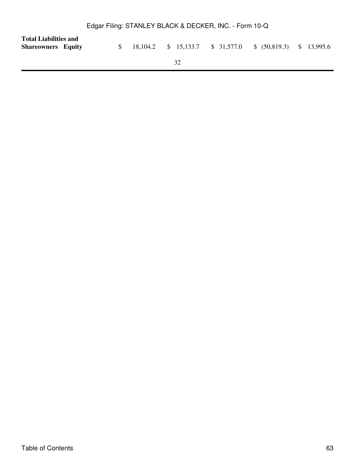| <b>Total Liabilities and</b><br><b>Shareowners</b> Equity |  |    | 18,104.2 \$ 15,133.7 \$ 31,577.0 \$ (50,819.3) \$ 13,995.6 |  |
|-----------------------------------------------------------|--|----|------------------------------------------------------------|--|
|                                                           |  | 32 |                                                            |  |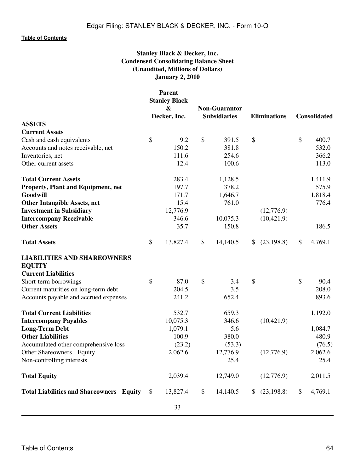# **Stanley Black & Decker, Inc. Condensed Consolidating Balance Sheet (Unaudited, Millions of Dollars) January 2, 2010**

|                                                     |               | <b>Parent</b><br><b>Stanley Black</b><br>$\boldsymbol{\&}$<br>Decker, Inc. | <b>Non-Guarantor</b><br><b>Subsidiaries</b> | <b>Eliminations</b> |             | <b>Consolidated</b> |         |
|-----------------------------------------------------|---------------|----------------------------------------------------------------------------|---------------------------------------------|---------------------|-------------|---------------------|---------|
| <b>ASSETS</b>                                       |               |                                                                            |                                             |                     |             |                     |         |
| <b>Current Assets</b>                               |               |                                                                            |                                             |                     |             |                     |         |
| Cash and cash equivalents                           | $\mathcal{S}$ | 9.2                                                                        | \$<br>391.5                                 | \$                  |             | $\mathcal{S}$       | 400.7   |
| Accounts and notes receivable, net                  |               | 150.2                                                                      | 381.8                                       |                     |             |                     | 532.0   |
| Inventories, net                                    |               | 111.6                                                                      | 254.6                                       |                     |             |                     | 366.2   |
| Other current assets                                |               | 12.4                                                                       | 100.6                                       |                     |             |                     | 113.0   |
| <b>Total Current Assets</b>                         |               | 283.4                                                                      | 1,128.5                                     |                     |             |                     | 1,411.9 |
| Property, Plant and Equipment, net                  |               | 197.7                                                                      | 378.2                                       |                     |             |                     | 575.9   |
| Goodwill                                            |               | 171.7                                                                      | 1,646.7                                     |                     |             |                     | 1,818.4 |
| <b>Other Intangible Assets, net</b>                 |               | 15.4                                                                       | 761.0                                       |                     |             |                     | 776.4   |
| <b>Investment in Subsidiary</b>                     |               | 12,776.9                                                                   |                                             |                     | (12,776.9)  |                     |         |
| <b>Intercompany Receivable</b>                      |               | 346.6                                                                      | 10,075.3                                    |                     | (10, 421.9) |                     |         |
| <b>Other Assets</b>                                 |               | 35.7                                                                       | 150.8                                       |                     |             |                     | 186.5   |
| <b>Total Assets</b>                                 | \$            | 13,827.4                                                                   | \$<br>14,140.5                              | \$                  | (23, 198.8) | \$                  | 4,769.1 |
| <b>LIABILITIES AND SHAREOWNERS</b><br><b>EQUITY</b> |               |                                                                            |                                             |                     |             |                     |         |
| <b>Current Liabilities</b>                          |               |                                                                            |                                             |                     |             |                     |         |
| Short-term borrowings                               | \$            | 87.0                                                                       | \$<br>3.4                                   | \$                  |             | \$                  | 90.4    |
| Current maturities on long-term debt                |               | 204.5                                                                      | 3.5                                         |                     |             |                     | 208.0   |
| Accounts payable and accrued expenses               |               | 241.2                                                                      | 652.4                                       |                     |             |                     | 893.6   |
| <b>Total Current Liabilities</b>                    |               | 532.7                                                                      | 659.3                                       |                     |             |                     | 1,192.0 |
| <b>Intercompany Payables</b>                        |               | 10,075.3                                                                   | 346.6                                       |                     | (10, 421.9) |                     |         |
| <b>Long-Term Debt</b>                               |               | 1,079.1                                                                    | 5.6                                         |                     |             |                     | 1,084.7 |
| <b>Other Liabilities</b>                            |               | 100.9                                                                      | 380.0                                       |                     |             |                     | 480.9   |
| Accumulated other comprehensive loss                |               | (23.2)                                                                     | (53.3)                                      |                     |             |                     | (76.5)  |
| Other Shareowners Equity                            |               | 2,062.6                                                                    | 12,776.9                                    |                     | (12,776.9)  |                     | 2,062.6 |
| Non-controlling interests                           |               |                                                                            | 25.4                                        |                     |             |                     | 25.4    |
| <b>Total Equity</b>                                 |               | 2,039.4                                                                    | 12,749.0                                    |                     | (12,776.9)  |                     | 2,011.5 |
| <b>Total Liabilities and Shareowners Equity</b>     | $\mathcal{S}$ | 13,827.4                                                                   | \$<br>14,140.5                              |                     | (23,198.8)  | \$                  | 4,769.1 |
|                                                     |               | 33                                                                         |                                             |                     |             |                     |         |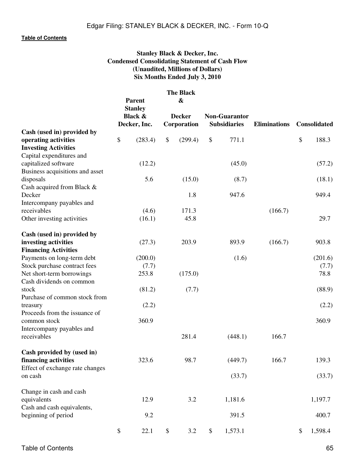# **Stanley Black & Decker, Inc. Condensed Consolidating Statement of Cash Flow (Unaudited, Millions of Dollars) Six Months Ended July 3, 2010**

|                                           | <b>Parent</b><br><b>Stanley</b><br><b>Black &amp;</b> | <b>The Black</b><br>$\boldsymbol{\&}$<br><b>Decker</b> | <b>Non-Guarantor</b> |                     |                     |
|-------------------------------------------|-------------------------------------------------------|--------------------------------------------------------|----------------------|---------------------|---------------------|
| Cash (used in) provided by                | Decker, Inc.                                          | Corporation                                            | <b>Subsidiaries</b>  | <b>Eliminations</b> | <b>Consolidated</b> |
| operating activities                      | \$<br>(283.4)                                         | \$<br>(299.4)                                          | \$<br>771.1          |                     | \$<br>188.3         |
| <b>Investing Activities</b>               |                                                       |                                                        |                      |                     |                     |
| Capital expenditures and                  |                                                       |                                                        |                      |                     |                     |
| capitalized software                      | (12.2)                                                |                                                        | (45.0)               |                     | (57.2)              |
| Business acquisitions and asset           |                                                       |                                                        |                      |                     |                     |
| disposals                                 | 5.6                                                   | (15.0)                                                 | (8.7)                |                     | (18.1)              |
| Cash acquired from Black &                |                                                       |                                                        |                      |                     |                     |
| Decker                                    |                                                       | 1.8                                                    | 947.6                |                     | 949.4               |
| Intercompany payables and                 |                                                       |                                                        |                      |                     |                     |
| receivables                               | (4.6)                                                 | 171.3                                                  |                      | (166.7)             |                     |
| Other investing activities                | (16.1)                                                | 45.8                                                   |                      |                     | 29.7                |
|                                           |                                                       |                                                        |                      |                     |                     |
| Cash (used in) provided by                |                                                       |                                                        |                      |                     |                     |
| investing activities                      | (27.3)                                                | 203.9                                                  | 893.9                | (166.7)             | 903.8               |
| <b>Financing Activities</b>               |                                                       |                                                        |                      |                     |                     |
| Payments on long-term debt                | (200.0)                                               |                                                        | (1.6)                |                     | (201.6)             |
| Stock purchase contract fees              | (7.7)                                                 |                                                        |                      |                     | (7.7)               |
| Net short-term borrowings                 | 253.8                                                 | (175.0)                                                |                      |                     | 78.8                |
| Cash dividends on common                  |                                                       |                                                        |                      |                     |                     |
| stock                                     | (81.2)                                                | (7.7)                                                  |                      |                     | (88.9)              |
| Purchase of common stock from             |                                                       |                                                        |                      |                     |                     |
| treasury                                  | (2.2)                                                 |                                                        |                      |                     | (2.2)               |
| Proceeds from the issuance of             |                                                       |                                                        |                      |                     |                     |
| common stock                              | 360.9                                                 |                                                        |                      |                     | 360.9               |
| Intercompany payables and                 |                                                       |                                                        |                      |                     |                     |
| receivables                               |                                                       | 281.4                                                  | (448.1)              | 166.7               |                     |
|                                           |                                                       |                                                        |                      |                     |                     |
| Cash provided by (used in)                |                                                       |                                                        |                      |                     |                     |
| financing activities                      | 323.6                                                 | 98.7                                                   | (449.7)              | 166.7               | 139.3               |
| Effect of exchange rate changes           |                                                       |                                                        |                      |                     |                     |
| on cash                                   |                                                       |                                                        | (33.7)               |                     | (33.7)              |
|                                           |                                                       |                                                        |                      |                     |                     |
| Change in cash and cash                   | 12.9                                                  | 3.2                                                    | 1,181.6              |                     | 1,197.7             |
| equivalents<br>Cash and cash equivalents, |                                                       |                                                        |                      |                     |                     |
| beginning of period                       | 9.2                                                   |                                                        | 391.5                |                     | 400.7               |
|                                           |                                                       |                                                        |                      |                     |                     |
|                                           | \$<br>22.1                                            | \$<br>3.2                                              | \$<br>1,573.1        |                     | \$<br>1,598.4       |
|                                           |                                                       |                                                        |                      |                     |                     |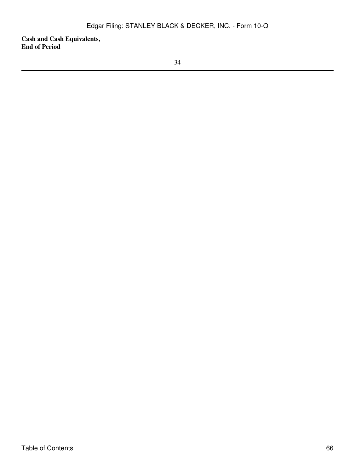**Cash and Cash Equivalents, End of Period**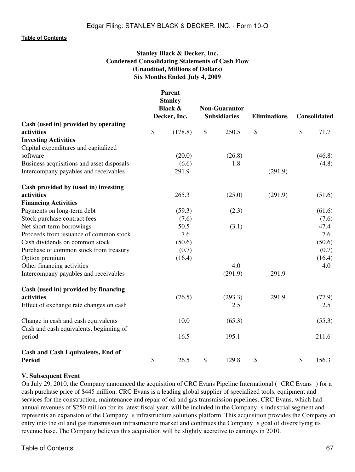# **Stanley Black & Decker, Inc. Condensed Consolidating Statements of Cash Flow (Unaudited, Millions of Dollars) Six Months Ended July 4, 2009**

**Parent**

|                                           | rarent<br><b>Stanley</b><br><b>Black &amp;</b><br>Decker, Inc. | <b>Non-Guarantor</b><br><b>Subsidiaries</b> |         | <b>Eliminations</b> |               | <b>Consolidated</b> |  |
|-------------------------------------------|----------------------------------------------------------------|---------------------------------------------|---------|---------------------|---------------|---------------------|--|
| Cash (used in) provided by operating      |                                                                |                                             |         |                     |               |                     |  |
| activities                                | \$<br>(178.8)                                                  | \$                                          | 250.5   | \$                  | $\mathcal{S}$ | 71.7                |  |
| <b>Investing Activities</b>               |                                                                |                                             |         |                     |               |                     |  |
| Capital expenditures and capitalized      |                                                                |                                             |         |                     |               |                     |  |
| software                                  | (20.0)                                                         |                                             | (26.8)  |                     |               | (46.8)              |  |
| Business acquisitions and asset disposals | (6.6)                                                          |                                             | 1.8     |                     |               | (4.8)               |  |
| Intercompany payables and receivables     | 291.9                                                          |                                             |         | (291.9)             |               |                     |  |
| Cash provided by (used in) investing      |                                                                |                                             |         |                     |               |                     |  |
| activities                                | 265.3                                                          |                                             | (25.0)  | (291.9)             |               | (51.6)              |  |
| <b>Financing Activities</b>               |                                                                |                                             |         |                     |               |                     |  |
| Payments on long-term debt                | (59.3)                                                         |                                             | (2.3)   |                     |               | (61.6)              |  |
| Stock purchase contract fees              | (7.6)                                                          |                                             |         |                     |               | (7.6)               |  |
| Net short-term borrowings                 | 50.5                                                           |                                             | (3.1)   |                     |               | 47.4                |  |
| Proceeds from issuance of common stock    | 7.6                                                            |                                             |         |                     |               | 7.6                 |  |
| Cash dividends on common stock            | (50.6)                                                         |                                             |         |                     |               | (50.6)              |  |
| Purchase of common stock from treasury    | (0.7)                                                          |                                             |         |                     |               | (0.7)               |  |
| Option premium                            | (16.4)                                                         |                                             |         |                     |               | (16.4)              |  |
| Other financing activities                |                                                                |                                             | 4.0     |                     |               | 4.0                 |  |
| Intercompany payables and receivables     |                                                                |                                             | (291.9) | 291.9               |               |                     |  |
| Cash (used in) provided by financing      |                                                                |                                             |         |                     |               |                     |  |
| activities                                | (76.5)                                                         |                                             | (293.3) | 291.9               |               | (77.9)              |  |
| Effect of exchange rate changes on cash   |                                                                |                                             | 2.5     |                     |               | 2.5                 |  |
| Change in cash and cash equivalents       | 10.0                                                           |                                             | (65.3)  |                     |               | (55.3)              |  |
| Cash and cash equivalents, beginning of   |                                                                |                                             |         |                     |               |                     |  |
| period                                    | 16.5                                                           |                                             | 195.1   |                     |               | 211.6               |  |
| Cash and Cash Equivalents, End of         |                                                                |                                             |         |                     |               |                     |  |
| <b>Period</b>                             | \$<br>26.5                                                     | \$                                          | 129.8   | \$                  | \$            | 156.3               |  |

### **V. Subsequent Event**

On July 29, 2010, the Company announced the acquisition of CRC Evans Pipeline International (CRC Evans) for a cash purchase price of \$445 million. CRC Evans is a leading global supplier of specialized tools, equipment and services for the construction, maintenance and repair of oil and gas transmission pipelines. CRC Evans, which had annual revenues of \$250 million for its latest fiscal year, will be included in the Companys industrial segment and represents an expansion of the Company s infrastructure solutions platform. This acquisition provides the Company an entry into the oil and gas transmission infrastructure market and continues the Company s goal of diversifying its revenue base. The Company believes this acquisition will be slightly accretive to earnings in 2010.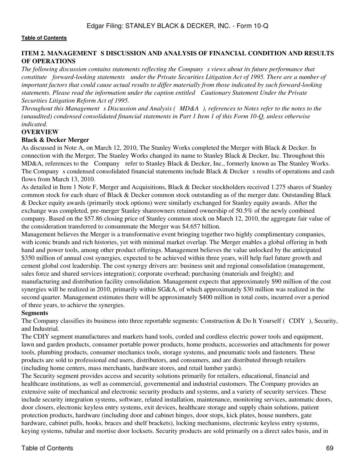## **ITEM 2. MANAGEMENT S DISCUSSION AND ANALYSIS OF FINANCIAL CONDITION AND RESULTS OF OPERATIONS**

The following discussion contains statements reflecting the Company s views about its future performance that *constitute forward-looking statements under the Private Securities Litigation Act of 1995. There are a number of important factors that could cause actual results to differ materially from those indicated by such forward-looking statements. Please read the information under the caption entitled Cautionary Statement Under the Private Securities Litigation Reform Act of 1995.*

*Throughout this Management s Discussion and Analysis (MD&A), references to Notes refer to the notes to the (unaudited) condensed consolidated financial statements in Part 1 Item 1 of this Form 10-Q, unless otherwise indicated.*

## **OVERVIEW**

### **Black & Decker Merger**

As discussed in Note A, on March 12, 2010, The Stanley Works completed the Merger with Black & Decker. In connection with the Merger, The Stanley Works changed its name to Stanley Black & Decker, Inc. Throughout this MD&A, references to the Company refer to Stanley Black & Decker, Inc., formerly known as The Stanley Works. The Company s condensed consolidated financial statements include Black & Decker s results of operations and cash flows from March 13, 2010.

As detailed in Item 1 Note F, Merger and Acquisitions, Black & Decker stockholders received 1.275 shares of Stanley common stock for each share of Black & Decker common stock outstanding as of the merger date. Outstanding Black & Decker equity awards (primarily stock options) were similarly exchanged for Stanley equity awards. After the exchange was completed, pre-merger Stanley shareowners retained ownership of 50.5% of the newly combined company. Based on the \$57.86 closing price of Stanley common stock on March 12, 2010, the aggregate fair value of the consideration transferred to consummate the Merger was \$4.657 billion.

Management believes the Merger is a transformative event bringing together two highly complimentary companies, with iconic brands and rich histories, yet with minimal market overlap. The Merger enables a global offering in both hand and power tools, among other product offerings. Management believes the value unlocked by the anticipated \$350 million of annual cost synergies, expected to be achieved within three years, will help fuel future growth and cement global cost leadership. The cost synergy drivers are: business unit and regional consolidation (management, sales force and shared services integration); corporate overhead; purchasing (materials and freight); and manufacturing and distribution facility consolidation. Management expects that approximately \$90 million of the cost synergies will be realized in 2010, primarily within SG&A, of which approximately \$30 million was realized in the second quarter. Management estimates there will be approximately \$400 million in total costs, incurred over a period of three years, to achieve the synergies.

### **Segments**

The Company classifies its business into three reportable segments: Construction & Do It Yourself (CDIY), Security, and Industrial.

The CDIY segment manufactures and markets hand tools, corded and cordless electric power tools and equipment, lawn and garden products, consumer portable power products, home products, accessories and attachments for power tools, plumbing products, consumer mechanics tools, storage systems, and pneumatic tools and fasteners. These products are sold to professional end users, distributors, and consumers, and are distributed through retailers (including home centers, mass merchants, hardware stores, and retail lumber yards).

The Security segment provides access and security solutions primarily for retailers, educational, financial and healthcare institutions, as well as commercial, governmental and industrial customers. The Company provides an extensive suite of mechanical and electronic security products and systems, and a variety of security services. These include security integration systems, software, related installation, maintenance, monitoring services, automatic doors, door closers, electronic keyless entry systems, exit devices, healthcare storage and supply chain solutions, patient protection products, hardware (including door and cabinet hinges, door stops, kick plates, house numbers, gate hardware, cabinet pulls, hooks, braces and shelf brackets), locking mechanisms, electronic keyless entry systems, keying systems, tubular and mortise door locksets. Security products are sold primarily on a direct sales basis, and in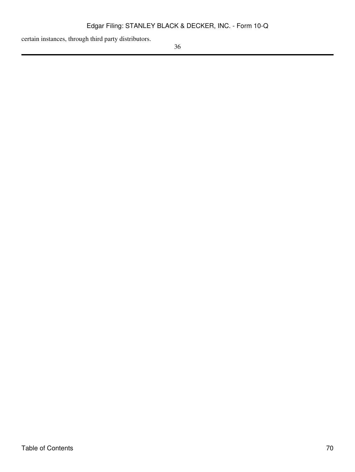certain instances, through third party distributors.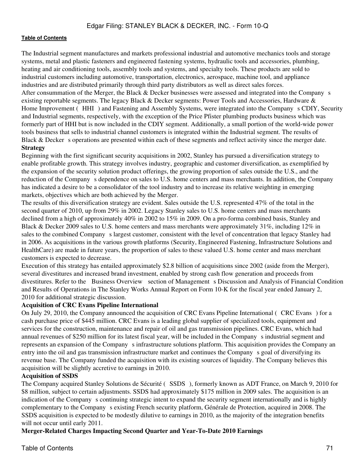The Industrial segment manufactures and markets professional industrial and automotive mechanics tools and storage systems, metal and plastic fasteners and engineered fastening systems, hydraulic tools and accessories, plumbing, heating and air conditioning tools, assembly tools and systems, and specialty tools. These products are sold to industrial customers including automotive, transportation, electronics, aerospace, machine tool, and appliance industries and are distributed primarily through third party distributors as well as direct sales forces.

After consummation of the Merger, the Black & Decker businesses were assessed and integrated into the Company s existing reportable segments. The legacy Black & Decker segments: Power Tools and Accessories, Hardware & Home Improvement (HHI) and Fastening and Assembly Systems, were integrated into the Company s CDIY, Security and Industrial segments, respectively, with the exception of the Price Pfister plumbing products business which was formerly part of HHI but is now included in the CDIY segment. Additionally, a small portion of the world-wide power tools business that sells to industrial channel customers is integrated within the Industrial segment. The results of Black  $&$  Decker s operations are presented within each of these segments and reflect activity since the merger date. **Strategy**

## Beginning with the first significant security acquisitions in 2002, Stanley has pursued a diversification strategy to enable profitable growth. This strategy involves industry, geographic and customer diversification, as exemplified by the expansion of the security solution product offerings, the growing proportion of sales outside the U.S., and the reduction of the Company s dependence on sales to U.S. home centers and mass merchants. In addition, the Company has indicated a desire to be a consolidator of the tool industry and to increase its relative weighting in emerging markets, objectives which are both achieved by the Merger.

The results of this diversification strategy are evident. Sales outside the U.S. represented 47% of the total in the second quarter of 2010, up from 29% in 2002. Legacy Stanley sales to U.S. home centers and mass merchants declined from a high of approximately 40% in 2002 to 15% in 2009. On a pro-forma combined basis, Stanley and Black & Decker 2009 sales to U.S. home centers and mass merchants were approximately 31%, including 12% in sales to the combined Company s largest customer, consistent with the level of concentration that legacy Stanley had in 2006. As acquisitions in the various growth platforms (Security, Engineered Fastening, Infrastructure Solutions and HealthCare) are made in future years, the proportion of sales to these valued U.S. home center and mass merchant customers is expected to decrease.

Execution of this strategy has entailed approximately \$2.8 billion of acquisitions since 2002 (aside from the Merger), several divestitures and increased brand investment, enabled by strong cash flow generation and proceeds from divestitures. Refer to the Business Overview section of Management s Discussion and Analysis of Financial Condition and Results of Operations in The Stanley Works Annual Report on Form 10-K for the fiscal year ended January 2, 2010 for additional strategic discussion.

## **Acquisition of CRC Evans Pipeline International**

On July 29, 2010, the Company announced the acquisition of CRC Evans Pipeline International (CRC Evans) for a cash purchase price of \$445 million. CRC Evans is a leading global supplier of specialized tools, equipment and services for the construction, maintenance and repair of oil and gas transmission pipelines. CRC Evans, which had annual revenues of \$250 million for its latest fiscal year, will be included in the Company s industrial segment and represents an expansion of the Company s infrastructure solutions platform. This acquisition provides the Company an entry into the oil and gas transmission infrastructure market and continues the Company s goal of diversifying its revenue base. The Company funded the acquisition with its existing sources of liquidity. The Company believes this acquisition will be slightly accretive to earnings in 2010.

### **Acquisition of SSDS**

The Company acquired Stanley Solutions de Sécurité (SSDS), formerly known as ADT France, on March 9, 2010 for \$8 million, subject to certain adjustments. SSDS had approximately \$175 million in 2009 sales. The acquisition is an indication of the Company s continuing strategic intent to expand the security segment internationally and is highly complementary to the Company s existing French security platform, Générale de Protection, acquired in 2008. The SSDS acquisition is expected to be modestly dilutive to earnings in 2010, as the majority of the integration benefits will not occur until early 2011.

**Merger-Related Charges Impacting Second Quarter and Year-To-Date 2010 Earnings**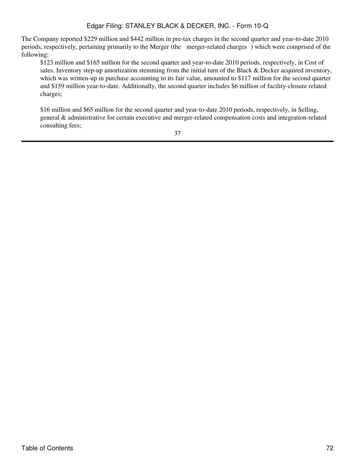The Company reported \$229 million and \$442 million in pre-tax charges in the second quarter and year-to-date 2010 periods, respectively, pertaining primarily to the Merger (the merger-related charges) which were comprised of the following:

\$123 million and \$165 million for the second quarter and year-to-date 2010 periods, respectively, in Cost of sales. Inventory step-up amortization stemming from the initial turn of the Black & Decker acquired inventory, which was written-up in purchase accounting to its fair value, amounted to \$117 million for the second quarter and \$159 million year-to-date. Additionally, the second quarter includes \$6 million of facility-closure related charges;

\$16 million and \$65 million for the second quarter and year-to-date 2010 periods, respectively, in Selling, general & administrative for certain executive and merger-related compensation costs and integration-related consulting fees;

37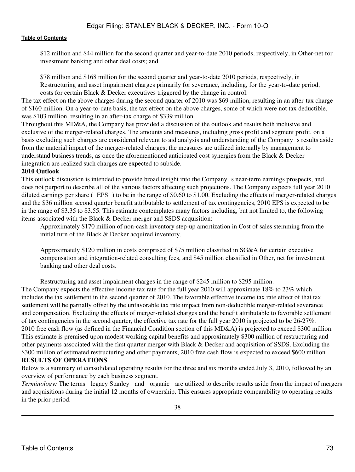\$12 million and \$44 million for the second quarter and year-to-date 2010 periods, respectively, in Other-net for investment banking and other deal costs; and

\$78 million and \$168 million for the second quarter and year-to-date 2010 periods, respectively, in Restructuring and asset impairment charges primarily for severance, including, for the year-to-date period, costs for certain Black & Decker executives triggered by the change in control.

The tax effect on the above charges during the second quarter of 2010 was \$69 million, resulting in an after-tax charge of \$160 million. On a year-to-date basis, the tax effect on the above charges, some of which were not tax deductible, was \$103 million, resulting in an after-tax charge of \$339 million.

Throughout this MD&A, the Company has provided a discussion of the outlook and results both inclusive and exclusive of the merger-related charges. The amounts and measures, including gross profit and segment profit, on a basis excluding such charges are considered relevant to aid analysis and understanding of the Company s results aside from the material impact of the merger-related charges; the measures are utilized internally by management to understand business trends, as once the aforementioned anticipated cost synergies from the Black & Decker integration are realized such charges are expected to subside.

#### **2010 Outlook**

This outlook discussion is intended to provide broad insight into the Companys near-term earnings prospects, and does not purport to describe all of the various factors affecting such projections. The Company expects full year 2010 diluted earnings per share  $($  EPS) to be in the range of \$0.60 to \$1.00. Excluding the effects of merger-related charges and the \$36 million second quarter benefit attributable to settlement of tax contingencies, 2010 EPS is expected to be in the range of \$3.35 to \$3.55. This estimate contemplates many factors including, but not limited to, the following items associated with the Black & Decker merger and SSDS acquisition:

Approximately \$170 million of non-cash inventory step-up amortization in Cost of sales stemming from the initial turn of the Black & Decker acquired inventory.

Approximately \$120 million in costs comprised of \$75 million classified in SG&A for certain executive compensation and integration-related consulting fees, and \$45 million classified in Other, net for investment banking and other deal costs.

Restructuring and asset impairment charges in the range of \$245 million to \$295 million.

The Company expects the effective income tax rate for the full year 2010 will approximate 18% to 23% which includes the tax settlement in the second quarter of 2010. The favorable effective income tax rate effect of that tax settlement will be partially offset by the unfavorable tax rate impact from non-deductible merger-related severance and compensation. Excluding the effects of merger-related charges and the benefit attributable to favorable settlement of tax contingencies in the second quarter, the effective tax rate for the full year 2010 is projected to be 26-27%. 2010 free cash flow (as defined in the Financial Condition section of this MD&A) is projected to exceed \$300 million. This estimate is premised upon modest working capital benefits and approximately \$300 million of restructuring and other payments associated with the first quarter merger with Black & Decker and acquisition of SSDS. Excluding the \$300 million of estimated restructuring and other payments, 2010 free cash flow is expected to exceed \$600 million. **RESULTS OF OPERATIONS**

Below is a summary of consolidated operating results for the three and six months ended July 3, 2010, followed by an overview of performance by each business segment.

*Terminology:* The terms legacy Stanley and organic are utilized to describe results aside from the impact of mergers and acquisitions during the initial 12 months of ownership. This ensures appropriate comparability to operating results in the prior period.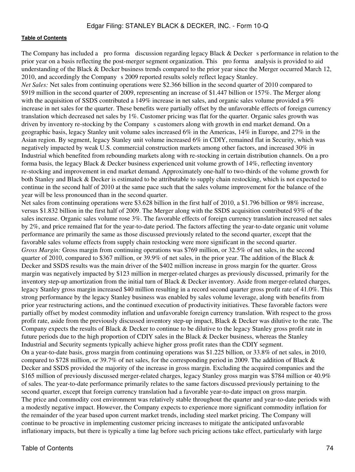The Company has included a pro forma discussion regarding legacy Black  $&$  Decker s performance in relation to the prior year on a basis reflecting the post-merger segment organization. This pro forma analysis is provided to aid understanding of the Black & Decker business trends compared to the prior year since the Merger occurred March 12, 2010, and accordingly the Company s 2009 reported results solely reflect legacy Stanley.

*Net Sales:* Net sales from continuing operations were \$2.366 billion in the second quarter of 2010 compared to \$919 million in the second quarter of 2009, representing an increase of \$1.447 billion or 157%. The Merger along with the acquisition of SSDS contributed a 149% increase in net sales, and organic sales volume provided a 9% increase in net sales for the quarter. These benefits were partially offset by the unfavorable effects of foreign currency translation which decreased net sales by 1%. Customer pricing was flat for the quarter. Organic sales growth was driven by inventory re-stocking by the Company s customers along with growth in end market demand. On a geographic basis, legacy Stanley unit volume sales increased 6% in the Americas, 14% in Europe, and 27% in the Asian region. By segment, legacy Stanley unit volume increased 6% in CDIY, remained flat in Security, which was negatively impacted by weak U.S. commercial construction markets among other factors, and increased 30% in Industrial which benefited from rebounding markets along with re-stocking in certain distribution channels. On a pro forma basis, the legacy Black & Decker business experienced unit volume growth of 14%, reflecting inventory re-stocking and improvement in end market demand. Approximately one-half to two-thirds of the volume growth for both Stanley and Black & Decker is estimated to be attributable to supply chain restocking, which is not expected to continue in the second half of 2010 at the same pace such that the sales volume improvement for the balance of the year will be less pronounced than in the second quarter.

Net sales from continuing operations were \$3.628 billion in the first half of 2010, a \$1.796 billion or 98% increase, versus \$1.832 billion in the first half of 2009. The Merger along with the SSDS acquisition contributed 93% of the sales increase. Organic sales volume rose 3%. The favorable effects of foreign currency translation increased net sales by 2%, and price remained flat for the year-to-date period. The factors affecting the year-to-date organic unit volume performance are primarily the same as those discussed previously related to the second quarter, except that the favorable sales volume effects from supply chain restocking were more significant in the second quarter. *Gross Margin:* Gross margin from continuing operations was \$769 million, or 32.5% of net sales, in the second quarter of 2010, compared to \$367 million, or 39.9% of net sales, in the prior year. The addition of the Black & Decker and SSDS results was the main driver of the \$402 million increase in gross margin for the quarter. Gross margin was negatively impacted by \$123 million in merger-related charges as previously discussed, primarily for the inventory step-up amortization from the initial turn of Black & Decker inventory. Aside from merger-related charges, legacy Stanley gross margin increased \$40 million resulting in a record second quarter gross profit rate of 41.0%. This strong performance by the legacy Stanley business was enabled by sales volume leverage, along with benefits from prior year restructuring actions, and the continued execution of productivity initiatives. These favorable factors were partially offset by modest commodity inflation and unfavorable foreign currency translation. With respect to the gross profit rate, aside from the previously discussed inventory step-up impact, Black & Decker was dilutive to the rate. The Company expects the results of Black & Decker to continue to be dilutive to the legacy Stanley gross profit rate in future periods due to the high proportion of CDIY sales in the Black & Decker business, whereas the Stanley Industrial and Security segments typically achieve higher gross profit rates than the CDIY segment. On a year-to-date basis, gross margin from continuing operations was \$1.225 billion, or 33.8% of net sales, in 2010, compared to \$728 million, or 39.7% of net sales, for the corresponding period in 2009. The addition of Black & Decker and SSDS provided the majority of the increase in gross margin. Excluding the acquired companies and the \$165 million of previously discussed merger-related charges, legacy Stanley gross margin was \$784 million or 40.9% of sales. The year-to-date performance primarily relates to the same factors discussed previously pertaining to the second quarter, except that foreign currency translation had a favorable year-to-date impact on gross margin. The price and commodity cost environment was relatively stable throughout the quarter and year-to-date periods with a modestly negative impact. However, the Company expects to experience more significant commodity inflation for the remainder of the year based upon current market trends, including steel market pricing. The Company will continue to be proactive in implementing customer pricing increases to mitigate the anticipated unfavorable inflationary impacts, but there is typically a time lag before such pricing actions take effect, particularly with large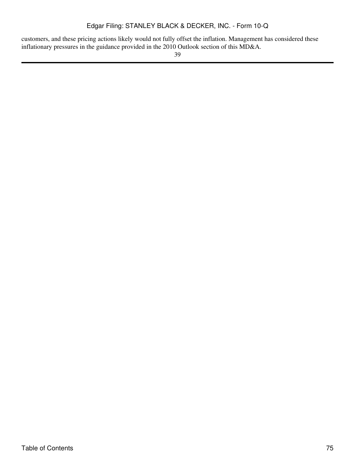customers, and these pricing actions likely would not fully offset the inflation. Management has considered these inflationary pressures in the guidance provided in the 2010 Outlook section of this MD&A.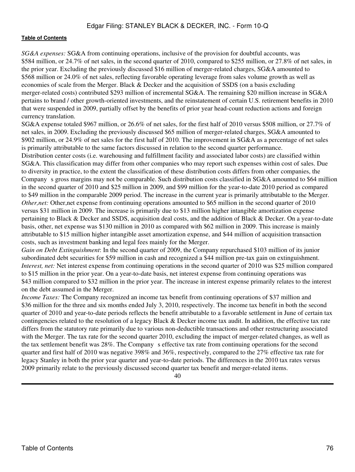*SG&A expenses:* SG&A from continuing operations, inclusive of the provision for doubtful accounts, was \$584 million, or 24.7% of net sales, in the second quarter of 2010, compared to \$255 million, or 27.8% of net sales, in the prior year. Excluding the previously discussed \$16 million of merger-related charges, SG&A amounted to \$568 million or 24.0% of net sales, reflecting favorable operating leverage from sales volume growth as well as economies of scale from the Merger. Black & Decker and the acquisition of SSDS (on a basis excluding merger-related costs) contributed \$293 million of incremental SG&A. The remaining \$20 million increase in SG&A pertains to brand / other growth-oriented investments, and the reinstatement of certain U.S. retirement benefits in 2010 that were suspended in 2009, partially offset by the benefits of prior year head-count reduction actions and foreign currency translation.

SG&A expense totaled \$967 million, or 26.6% of net sales, for the first half of 2010 versus \$508 million, or 27.7% of net sales, in 2009. Excluding the previously discussed \$65 million of merger-related charges, SG&A amounted to \$902 million, or 24.9% of net sales for the first half of 2010. The improvement in SG&A as a percentage of net sales is primarily attributable to the same factors discussed in relation to the second quarter performance.

Distribution center costs (i.e. warehousing and fulfillment facility and associated labor costs) are classified within SG&A. This classification may differ from other companies who may report such expenses within cost of sales. Due to diversity in practice, to the extent the classification of these distribution costs differs from other companies, the Company s gross margins may not be comparable. Such distribution costs classified in SG&A amounted to \$64 million in the second quarter of 2010 and \$25 million in 2009, and \$99 million for the year-to-date 2010 period as compared to \$49 million in the comparable 2009 period. The increase in the current year is primarily attributable to the Merger. *Other,net:* Other,net expense from continuing operations amounted to \$65 million in the second quarter of 2010 versus \$31 million in 2009. The increase is primarily due to \$13 million higher intangible amortization expense pertaining to Black & Decker and SSDS, acquisition deal costs, and the addition of Black & Decker. On a year-to-date basis, other, net expense was \$130 million in 2010 as compared with \$62 million in 2009. This increase is mainly attributable to \$15 million higher intangible asset amortization expense, and \$44 million of acquisition transaction costs, such as investment banking and legal fees mainly for the Merger.

*Gain on Debt Extinguishment*: In the second quarter of 2009, the Company repurchased \$103 million of its junior subordinated debt securities for \$59 million in cash and recognized a \$44 million pre-tax gain on extinguishment. *Interest, net:* Net interest expense from continuing operations in the second quarter of 2010 was \$25 million compared to \$15 million in the prior year. On a year-to-date basis, net interest expense from continuing operations was \$43 million compared to \$32 million in the prior year. The increase in interest expense primarily relates to the interest on the debt assumed in the Merger.

*Income Taxes:* The Company recognized an income tax benefit from continuing operations of \$37 million and \$36 million for the three and six months ended July 3, 2010, respectively. The income tax benefit in both the second quarter of 2010 and year-to-date periods reflects the benefit attributable to a favorable settlement in June of certain tax contingencies related to the resolution of a legacy Black & Decker income tax audit. In addition, the effective tax rate differs from the statutory rate primarily due to various non-deductible transactions and other restructuring associated with the Merger. The tax rate for the second quarter 2010, excluding the impact of merger-related changes, as well as the tax settlement benefit was 28%. The Company s effective tax rate from continuing operations for the second quarter and first half of 2010 was negative 398% and 36%, respectively, compared to the 27% effective tax rate for legacy Stanley in both the prior year quarter and year-to-date periods. The differences in the 2010 tax rates versus 2009 primarily relate to the previously discussed second quarter tax benefit and merger-related items.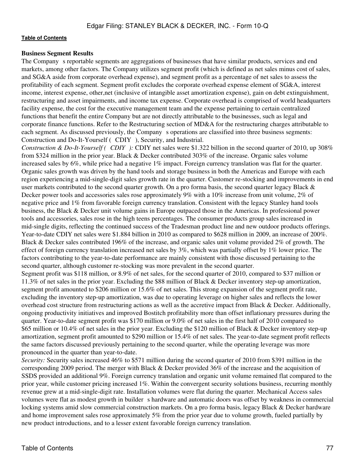#### **Business Segment Results**

The Company s reportable segments are aggregations of businesses that have similar products, services and end markets, among other factors. The Company utilizes segment profit (which is defined as net sales minus cost of sales, and SG&A aside from corporate overhead expense), and segment profit as a percentage of net sales to assess the profitability of each segment. Segment profit excludes the corporate overhead expense element of SG&A, interest income, interest expense, other,net (inclusive of intangible asset amortization expense), gain on debt extinguishment, restructuring and asset impairments, and income tax expense. Corporate overhead is comprised of world headquarters facility expense, the cost for the executive management team and the expense pertaining to certain centralized functions that benefit the entire Company but are not directly attributable to the businesses, such as legal and corporate finance functions. Refer to the Restructuring section of MD&A for the restructuring charges attributable to each segment. As discussed previously, the Company s operations are classified into three business segments: Construction and Do-It-Yourself (CDIY), Security, and Industrial.

*Construction & Do-It-Yourself (CDIY):* CDIY net sales were \$1.322 billion in the second quarter of 2010, up 308% from \$324 million in the prior year. Black & Decker contributed 303% of the increase. Organic sales volume increased sales by 6%, while price had a negative 1% impact. Foreign currency translation was flat for the quarter. Organic sales growth was driven by the hand tools and storage business in both the Americas and Europe with each region experiencing a mid-single-digit sales growth rate in the quarter. Customer re-stocking and improvements in end user markets contributed to the second quarter growth. On a pro forma basis, the second quarter legacy Black & Decker power tools and accessories sales rose approximately 9% with a 10% increase from unit volume, 2% of negative price and 1% from favorable foreign currency translation. Consistent with the legacy Stanley hand tools business, the Black & Decker unit volume gains in Europe outpaced those in the Americas. In professional power tools and accessories, sales rose in the high teens percentages. The consumer products group sales increased in mid-single digits, reflecting the continued success of the Tradesman product line and new outdoor products offerings. Year-to-date CDIY net sales were \$1.884 billion in 2010 as compared to \$628 million in 2009, an increase of 200%. Black & Decker sales contributed 196% of the increase, and organic sales unit volume provided 2% of growth. The effect of foreign currency translation increased net sales by  $3\%$ , which was partially offset by  $1\%$  lower price. The factors contributing to the year-to-date performance are mainly consistent with those discussed pertaining to the second quarter, although customer re-stocking was more prevalent in the second quarter.

Segment profit was \$118 million, or 8.9% of net sales, for the second quarter of 2010, compared to \$37 million or 11.3% of net sales in the prior year. Excluding the \$88 million of Black & Decker inventory step-up amortization, segment profit amounted to \$206 million or 15.6% of net sales. This strong expansion of the segment profit rate, excluding the inventory step-up amortization, was due to operating leverage on higher sales and reflects the lower overhead cost structure from restructuring actions as well as the accretive impact from Black & Decker. Additionally, ongoing productivity initiatives and improved Bostitch profitability more than offset inflationary pressures during the quarter. Year-to-date segment profit was \$170 million or 9.0% of net sales in the first half of 2010 compared to \$65 million or 10.4% of net sales in the prior year. Excluding the \$120 million of Black & Decker inventory step-up amortization, segment profit amounted to \$290 million or 15.4% of net sales. The year-to-date segment profit reflects the same factors discussed previously pertaining to the second quarter, while the operating leverage was more pronounced in the quarter than year-to-date.

*Security:* Security sales increased 46% to \$571 million during the second quarter of 2010 from \$391 million in the corresponding 2009 period. The merger with Black & Decker provided 36% of the increase and the acquisition of SSDS provided an additional 9%. Foreign currency translation and organic unit volume remained flat compared to the prior year, while customer pricing increased 1%. Within the convergent security solutions business, recurring monthly revenue grew at a mid-single-digit rate. Installation volumes were flat during the quarter. Mechanical Access sales volumes were flat as modest growth in builder s hardware and automatic doors was offset by weakness in commercial locking systems amid slow commercial construction markets. On a pro forma basis, legacy Black & Decker hardware and home improvement sales rose approximately 5% from the prior year due to volume growth, fueled partially by new product introductions, and to a lesser extent favorable foreign currency translation.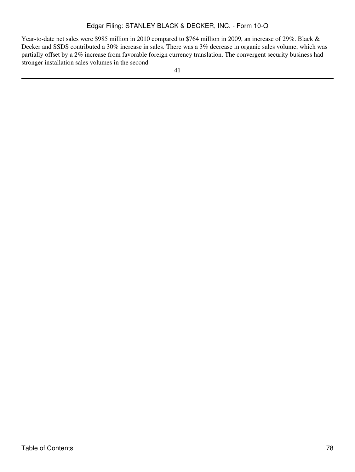Year-to-date net sales were \$985 million in 2010 compared to \$764 million in 2009, an increase of 29%. Black & Decker and SSDS contributed a 30% increase in sales. There was a 3% decrease in organic sales volume, which was partially offset by a 2% increase from favorable foreign currency translation. The convergent security business had stronger installation sales volumes in the second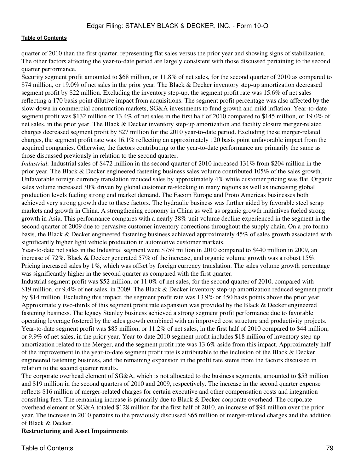quarter of 2010 than the first quarter, representing flat sales versus the prior year and showing signs of stabilization. The other factors affecting the year-to-date period are largely consistent with those discussed pertaining to the second quarter performance.

Security segment profit amounted to \$68 million, or 11.8% of net sales, for the second quarter of 2010 as compared to \$74 million, or 19.0% of net sales in the prior year. The Black & Decker inventory step-up amortization decreased segment profit by \$22 million. Excluding the inventory step-up, the segment profit rate was 15.6% of net sales reflecting a 170 basis point dilutive impact from acquisitions. The segment profit percentage was also affected by the slow-down in commercial construction markets, SG&A investments to fund growth and mild inflation. Year-to-date segment profit was \$132 million or 13.4% of net sales in the first half of 2010 compared to \$145 million, or 19.0% of net sales, in the prior year. The Black & Decker inventory step-up amortization and facility closure merger-related charges decreased segment profit by \$27 million for the 2010 year-to-date period. Excluding these merger-related charges, the segment profit rate was 16.1% reflecting an approximately 120 basis point unfavorable impact from the acquired companies. Otherwise, the factors contributing to the year-to-date performance are primarily the same as those discussed previously in relation to the second quarter.

*Industrial:* Industrial sales of \$472 million in the second quarter of 2010 increased 131% from \$204 million in the prior year. The Black & Decker engineered fastening business sales volume contributed 105% of the sales growth. Unfavorable foreign currency translation reduced sales by approximately 4% while customer pricing was flat. Organic sales volume increased 30% driven by global customer re-stocking in many regions as well as increasing global production levels fueling strong end market demand. The Facom Europe and Proto Americas businesses both achieved very strong growth due to these factors. The hydraulic business was further aided by favorable steel scrap markets and growth in China. A strengthening economy in China as well as organic growth initiatives fueled strong growth in Asia. This performance compares with a nearly 38% unit volume decline experienced in the segment in the second quarter of 2009 due to pervasive customer inventory corrections throughout the supply chain. On a pro forma basis, the Black & Decker engineered fastening business achieved approximately 45% of sales growth associated with significantly higher light vehicle production in automotive customer markets.

Year-to-date net sales in the Industrial segment were \$759 million in 2010 compared to \$440 million in 2009, an increase of 72%. Black & Decker generated 57% of the increase, and organic volume growth was a robust 15%. Pricing increased sales by 1%, which was offset by foreign currency translation. The sales volume growth percentage was significantly higher in the second quarter as compared with the first quarter.

Industrial segment profit was \$52 million, or 11.0% of net sales, for the second quarter of 2010, compared with \$19 million, or 9.4% of net sales, in 2009. The Black & Decker inventory step-up amortization reduced segment profit by \$14 million. Excluding this impact, the segment profit rate was 13.9% or 450 basis points above the prior year. Approximately two-thirds of this segment profit rate expansion was provided by the Black & Decker engineered fastening business. The legacy Stanley business achieved a strong segment profit performance due to favorable operating leverage fostered by the sales growth combined with an improved cost structure and productivity projects. Year-to-date segment profit was \$85 million, or 11.2% of net sales, in the first half of 2010 compared to \$44 million, or 9.9% of net sales, in the prior year. Year-to-date 2010 segment profit includes \$18 million of inventory step-up amortization related to the Merger, and the segment profit rate was 13.6% aside from this impact. Approximately half of the improvement in the year-to-date segment profit rate is attributable to the inclusion of the Black & Decker engineered fastening business, and the remaining expansion in the profit rate stems from the factors discussed in relation to the second quarter results.

The corporate overhead element of SG&A, which is not allocated to the business segments, amounted to \$53 million and \$19 million in the second quarters of 2010 and 2009, respectively. The increase in the second quarter expense reflects \$16 million of merger-related charges for certain executive and other compensation costs and integration consulting fees. The remaining increase is primarily due to Black & Decker corporate overhead. The corporate overhead element of SG&A totaled \$128 million for the first half of 2010, an increase of \$94 million over the prior year. The increase in 2010 pertains to the previously discussed \$65 million of merger-related charges and the addition of Black & Decker.

# **Restructuring and Asset Impairments**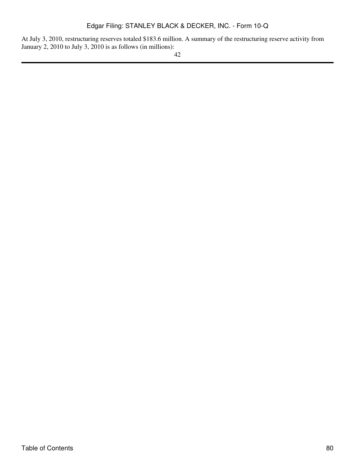At July 3, 2010, restructuring reserves totaled \$183.6 million. A summary of the restructuring reserve activity from January 2, 2010 to July 3, 2010 is as follows (in millions):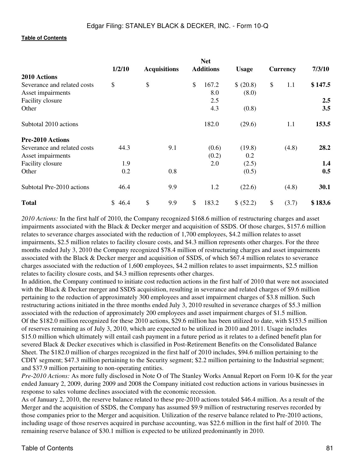|                             | 1/2/10<br><b>Acquisitions</b> |    | <b>Net</b><br><b>Additions</b> |    | <b>Usage</b> | <b>Currency</b> |    | 7/3/10 |         |
|-----------------------------|-------------------------------|----|--------------------------------|----|--------------|-----------------|----|--------|---------|
| 2010 Actions                |                               |    |                                |    |              |                 |    |        |         |
| Severance and related costs | \$                            | \$ |                                | \$ | 167.2        | \$ (20.8)       | \$ | 1.1    | \$147.5 |
| Asset impairments           |                               |    |                                |    | 8.0          | (8.0)           |    |        |         |
| Facility closure            |                               |    |                                |    | 2.5          |                 |    |        | $2.5\,$ |
| Other                       |                               |    |                                |    | 4.3          | (0.8)           |    |        | 3.5     |
| Subtotal 2010 actions       |                               |    |                                |    | 182.0        | (29.6)          |    | 1.1    | 153.5   |
| <b>Pre-2010 Actions</b>     |                               |    |                                |    |              |                 |    |        |         |
| Severance and related costs | 44.3                          |    | 9.1                            |    | (0.6)        | (19.8)          |    | (4.8)  | 28.2    |
| Asset impairments           |                               |    |                                |    | (0.2)        | 0.2             |    |        |         |
| Facility closure            | 1.9                           |    |                                |    | 2.0          | (2.5)           |    |        | 1.4     |
| Other                       | 0.2                           |    | 0.8                            |    |              | (0.5)           |    |        | 0.5     |
| Subtotal Pre-2010 actions   | 46.4                          |    | 9.9                            |    | 1.2          | (22.6)          |    | (4.8)  | 30.1    |
| <b>Total</b>                | \$46.4                        | \$ | 9.9                            | \$ | 183.2        | \$ (52.2)       | \$ | (3.7)  | \$183.6 |

*2010 Actions:* In the first half of 2010, the Company recognized \$168.6 million of restructuring charges and asset impairments associated with the Black & Decker merger and acquisition of SSDS. Of those charges, \$157.6 million relates to severance charges associated with the reduction of 1,700 employees, \$4.2 million relates to asset impairments, \$2.5 million relates to facility closure costs, and \$4.3 million represents other charges. For the three months ended July 3, 2010 the Company recognized \$78.4 million of restructuring charges and asset impairments associated with the Black & Decker merger and acquisition of SSDS, of which \$67.4 million relates to severance charges associated with the reduction of 1,600 employees, \$4.2 million relates to asset impairments, \$2.5 million relates to facility closure costs, and \$4.3 million represents other charges.

In addition, the Company continued to initiate cost reduction actions in the first half of 2010 that were not associated with the Black & Decker merger and SSDS acquisition, resulting in severance and related charges of \$9.6 million pertaining to the reduction of approximately 300 employees and asset impairment charges of \$3.8 million. Such restructuring actions initiated in the three months ended July 3, 2010 resulted in severance charges of \$5.3 million associated with the reduction of approximately 200 employees and asset impairment charges of \$1.5 million. Of the \$182.0 million recognized for these 2010 actions, \$29.6 million has been utilized to date, with \$153.5 million of reserves remaining as of July 3, 2010, which are expected to be utilized in 2010 and 2011. Usage includes \$15.0 million which ultimately will entail cash payment in a future period as it relates to a defined benefit plan for severed Black & Decker executives which is classified in Post-Retirement Benefits on the Consolidated Balance Sheet. The \$182.0 million of charges recognized in the first half of 2010 includes, \$94.6 million pertaining to the CDIY segment; \$47.3 million pertaining to the Security segment; \$2.2 million pertaining to the Industrial segment; and \$37.9 million pertaining to non-operating entities.

*Pre-2010 Actions:* As more fully disclosed in Note O of The Stanley Works Annual Report on Form 10-K for the year ended January 2, 2009, during 2009 and 2008 the Company initiated cost reduction actions in various businesses in response to sales volume declines associated with the economic recession.

As of January 2, 2010, the reserve balance related to these pre-2010 actions totaled \$46.4 million. As a result of the Merger and the acquisition of SSDS, the Company has assumed \$9.9 million of restructuring reserves recorded by those companies prior to the Merger and acquisition. Utilization of the reserve balance related to Pre-2010 actions, including usage of those reserves acquired in purchase accounting, was \$22.6 million in the first half of 2010. The remaining reserve balance of \$30.1 million is expected to be utilized predominantly in 2010.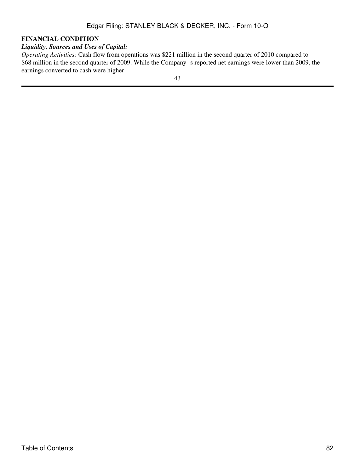# **FINANCIAL CONDITION**

# *Liquidity, Sources and Uses of Capital:*

*Operating Activities:* Cash flow from operations was \$221 million in the second quarter of 2010 compared to \$68 million in the second quarter of 2009. While the Company s reported net earnings were lower than 2009, the earnings converted to cash were higher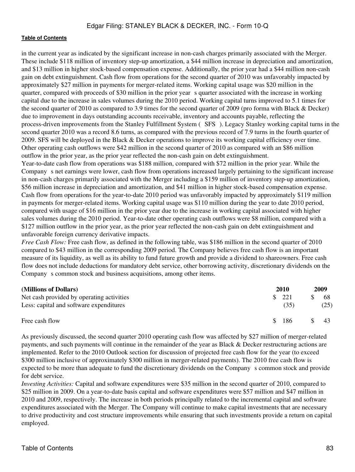in the current year as indicated by the significant increase in non-cash charges primarily associated with the Merger. These include \$118 million of inventory step-up amortization, a \$44 million increase in depreciation and amortization, and \$13 million in higher stock-based compensation expense. Additionally, the prior year had a \$44 million non-cash gain on debt extinguishment. Cash flow from operations for the second quarter of 2010 was unfavorably impacted by approximately \$27 million in payments for merger-related items. Working capital usage was \$20 million in the quarter, compared with proceeds of \$30 million in the prior years quarter associated with the increase in working capital due to the increase in sales volumes during the 2010 period. Working capital turns improved to 5.1 times for the second quarter of 2010 as compared to 3.9 times for the second quarter of 2009 (pro forma with Black & Decker) due to improvement in days outstanding accounts receivable, inventory and accounts payable, reflecting the process-driven improvements from the Stanley Fulfillment System (SFS). Legacy Stanley working capital turns in the second quarter 2010 was a record 8.6 turns, as compared with the previous record of 7.9 turns in the fourth quarter of 2009. SFS will be deployed in the Black & Decker operations to improve its working capital efficiency over time. Other operating cash outflows were \$42 million in the second quarter of 2010 as compared with an \$86 million outflow in the prior year, as the prior year reflected the non-cash gain on debt extinguishment.

Year-to-date cash flow from operations was \$188 million, compared with \$72 million in the prior year. While the Company s net earnings were lower, cash flow from operations increased largely pertaining to the significant increase in non-cash charges primarily associated with the Merger including a \$159 million of inventory step-up amortization, \$56 million increase in depreciation and amortization, and \$41 million in higher stock-based compensation expense. Cash flow from operations for the year-to-date 2010 period was unfavorably impacted by approximately \$119 million in payments for merger-related items. Working capital usage was \$110 million during the year to date 2010 period, compared with usage of \$16 million in the prior year due to the increase in working capital associated with higher sales volumes during the 2010 period. Year-to-date other operating cash outflows were \$8 million, compared with a \$127 million outflow in the prior year, as the prior year reflected the non-cash gain on debt extinguishment and unfavorable foreign currency derivative impacts.

*Free Cash Flow:* Free cash flow, as defined in the following table, was \$186 million in the second quarter of 2010 compared to \$43 million in the corresponding 2009 period. The Company believes free cash flow is an important measure of its liquidity, as well as its ability to fund future growth and provide a dividend to shareowners. Free cash flow does not include deductions for mandatory debt service, other borrowing activity, discretionary dividends on the Company s common stock and business acquisitions, among other items.

| (Millions of Dollars)                                                                | 2010 |             | 2009 |            |
|--------------------------------------------------------------------------------------|------|-------------|------|------------|
| Net cash provided by operating activities<br>Less: capital and software expenditures |      | 221<br>(35) |      | 68<br>(25) |
| Free cash flow                                                                       | -SS  | 186         |      |            |

As previously discussed, the second quarter 2010 operating cash flow was affected by \$27 million of merger-related payments, and such payments will continue in the remainder of the year as Black & Decker restructuring actions are implemented. Refer to the 2010 Outlook section for discussion of projected free cash flow for the year (to exceed \$300 million inclusive of approximately \$300 million in merger-related payments). The 2010 free cash flow is expected to be more than adequate to fund the discretionary dividends on the Company s common stock and provide for debt service.

*Investing Activities:* Capital and software expenditures were \$35 million in the second quarter of 2010, compared to \$25 million in 2009. On a year-to-date basis capital and software expenditures were \$57 million and \$47 million in 2010 and 2009, respectively. The increase in both periods principally related to the incremental capital and software expenditures associated with the Merger. The Company will continue to make capital investments that are necessary to drive productivity and cost structure improvements while ensuring that such investments provide a return on capital employed.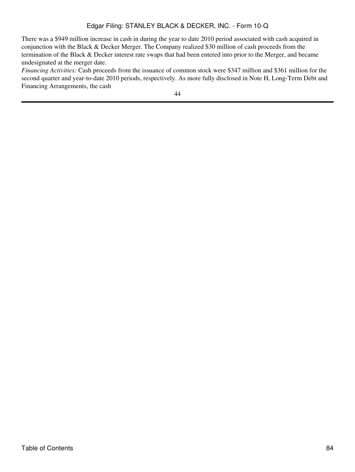There was a \$949 million increase in cash in during the year to date 2010 period associated with cash acquired in conjunction with the Black & Decker Merger. The Company realized \$30 million of cash proceeds from the termination of the Black & Decker interest rate swaps that had been entered into prior to the Merger, and became undesignated at the merger date.

*Financing Activities:* Cash proceeds from the issuance of common stock were \$347 million and \$361 million for the second quarter and year-to-date 2010 periods, respectively. As more fully disclosed in Note H, Long-Term Debt and Financing Arrangements, the cash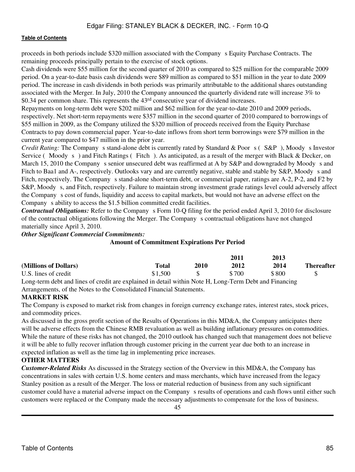proceeds in both periods include \$320 million associated with the Companys Equity Purchase Contracts. The remaining proceeds principally pertain to the exercise of stock options.

Cash dividends were \$55 million for the second quarter of 2010 as compared to \$25 million for the comparable 2009 period. On a year-to-date basis cash dividends were \$89 million as compared to \$51 million in the year to date 2009 period. The increase in cash dividends in both periods was primarily attributable to the additional shares outstanding associated with the Merger. In July, 2010 the Company announced the quarterly dividend rate will increase 3% to \$0.34 per common share. This represents the 43rd consecutive year of dividend increases.

Repayments on long-term debt were \$202 million and \$62 million for the year-to-date 2010 and 2009 periods, respectively. Net short-term repayments were \$357 million in the second quarter of 2010 compared to borrowings of \$55 million in 2009, as the Company utilized the \$320 million of proceeds received from the Equity Purchase Contracts to pay down commercial paper. Year-to-date inflows from short term borrowings were \$79 million in the current year compared to \$47 million in the prior year.

*Credit Rating:* The Company s stand-alone debt is currently rated by Standard & Poor s (S&P), Moody s Investor Service (Moody s) and Fitch Ratings (Fitch). As anticipated, as a result of the merger with Black & Decker, on March 15, 2010 the Company s senior unsecured debt was reaffirmed at A by S&P and downgraded by Moody s and Fitch to Baa1 and A-, respectively. Outlooks vary and are currently negative, stable and stable by S&P, Moody s and Fitch, respectively. The Company s stand-alone short-term debt, or commercial paper, ratings are A-2, P-2, and F2 by S&P, Moody s, and Fitch, respectively. Failure to maintain strong investment grade ratings level could adversely affect the Companys cost of funds, liquidity and access to capital markets, but would not have an adverse effect on the Company s ability to access the \$1.5 billion committed credit facilities.

*Contractual Obligations:* Refer to the Company s Form 10-Q filing for the period ended April 3, 2010 for disclosure of the contractual obligations following the Merger. The Companys contractual obligations have not changed materially since April 3, 2010.

*Other Significant Commercial Commitments:*

#### **Amount of Commitment Expirations Per Period**

|                       |              |      | 2011  | 2013  |                   |
|-----------------------|--------------|------|-------|-------|-------------------|
| (Millions of Dollars) | <b>Total</b> | 2010 | 2012  | 2014  | <b>Thereafter</b> |
| U.S. lines of credit  | \$1,500      |      | \$700 | \$800 |                   |

Long-term debt and lines of credit are explained in detail within Note H, Long-Term Debt and Financing Arrangements, of the Notes to the Consolidated Financial Statements.

# **MARKET RISK**

The Company is exposed to market risk from changes in foreign currency exchange rates, interest rates, stock prices, and commodity prices.

As discussed in the gross profit section of the Results of Operations in this MD&A, the Company anticipates there will be adverse effects from the Chinese RMB revaluation as well as building inflationary pressures on commodities. While the nature of these risks has not changed, the 2010 outlook has changed such that management does not believe it will be able to fully recover inflation through customer pricing in the current year due both to an increase in expected inflation as well as the time lag in implementing price increases.

# **OTHER MATTERS**

*Customer-Related Risks* As discussed in the Strategy section of the Overview in this MD&A, the Company has concentrations in sales with certain U.S. home centers and mass merchants, which have increased from the legacy Stanley position as a result of the Merger. The loss or material reduction of business from any such significant customer could have a material adverse impact on the Companys results of operations and cash flows until either such customers were replaced or the Company made the necessary adjustments to compensate for the loss of business.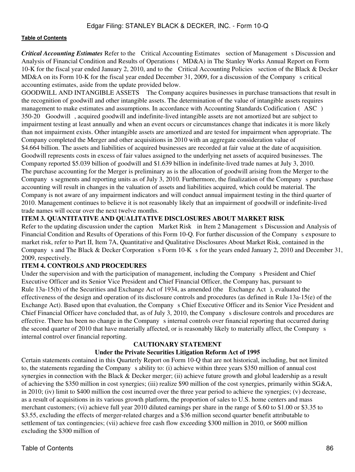**Critical Accounting Estimates** Refer to the Critical Accounting Estimates section of Management s Discussion and Analysis of Financial Condition and Results of Operations (MD&A) in The Stanley Works Annual Report on Form 10-K for the fiscal year ended January 2, 2010, and to the Critical Accounting Policies section of the Black & Decker MD&A on its Form 10-K for the fiscal year ended December 31, 2009, for a discussion of the Company s critical accounting estimates, aside from the update provided below.

GOODWILL AND INTANGIBLE ASSETS The Company acquires businesses in purchase transactions that result in the recognition of goodwill and other intangible assets. The determination of the value of intangible assets requires management to make estimates and assumptions. In accordance with Accounting Standards Codification (ASC) 350-20 Goodwill, acquired goodwill and indefinite-lived intangible assets are not amortized but are subject to impairment testing at least annually and when an event occurs or circumstances change that indicates it is more likely than not impairment exists. Other intangible assets are amortized and are tested for impairment when appropriate. The Company completed the Merger and other acquisitions in 2010 with an aggregate consideration value of \$4.664 billion. The assets and liabilities of acquired businesses are recorded at fair value at the date of acquisition. Goodwill represents costs in excess of fair values assigned to the underlying net assets of acquired businesses. The Company reported \$5.039 billion of goodwill and \$1.639 billion in indefinite-lived trade names at July 3, 2010. The purchase accounting for the Merger is preliminary as is the allocation of goodwill arising from the Merger to the Company s segments and reporting units as of July 3, 2010. Furthermore, the finalization of the Company s purchase accounting will result in changes in the valuation of assets and liabilities acquired, which could be material. The Company is not aware of any impairment indicators and will conduct annual impairment testing in the third quarter of 2010. Management continues to believe it is not reasonably likely that an impairment of goodwill or indefinite-lived trade names will occur over the next twelve months.

# **ITEM 3. QUANTITATIVE AND QUALITATIVE DISCLOSURES ABOUT MARKET RISK**

Refer to the updating discussion under the caption Market Risk in Item 2 Management s Discussion and Analysis of Financial Condition and Results of Operations of this Form 10-Q. For further discussion of the Companys exposure to market risk, refer to Part II, Item 7A, Quantitative and Qualitative Disclosures About Market Risk, contained in the Company s and The Black & Decker Corporation s Form  $10-K$  s for the years ended January 2, 2010 and December 31, 2009, respectively.

# **ITEM 4. CONTROLS AND PROCEDURES**

Under the supervision and with the participation of management, including the Company s President and Chief Executive Officer and its Senior Vice President and Chief Financial Officer, the Company has, pursuant to Rule 13a-15(b) of the Securities and Exchange Act of 1934, as amended (the Exchange Act), evaluated the effectiveness of the design and operation of its disclosure controls and procedures (as defined in Rule 13a-15(e) of the Exchange Act). Based upon that evaluation, the Company s Chief Executive Officer and its Senior Vice President and Chief Financial Officer have concluded that, as of July 3, 2010, the Company s disclosure controls and procedures are effective. There has been no change in the Company s internal controls over financial reporting that occurred during the second quarter of 2010 that have materially affected, or is reasonably likely to materially affect, the Companys internal control over financial reporting.

#### **CAUTIONARY STATEMENT**

# **Under the Private Securities Litigation Reform Act of 1995**

Certain statements contained in this Quarterly Report on Form 10-Q that are not historical, including, but not limited to, the statements regarding the Companys ability to: (i) achieve within three years \$350 million of annual cost synergies in connection with the Black & Decker merger; (ii) achieve future growth and global leadership as a result of achieving the \$350 million in cost synergies; (iii) realize \$90 million of the cost synergies, primarily within SG&A, in 2010; (iv) limit to \$400 million the cost incurred over the three year period to achieve the synergies; (v) decrease, as a result of acquisitions in its various growth platform, the proportion of sales to U.S. home centers and mass merchant customers; (vi) achieve full year 2010 diluted earnings per share in the range of \$.60 to \$1.00 or \$3.35 to \$3.55, excluding the effects of merger-related charges and a \$36 million second quarter benefit attributable to settlement of tax contingencies; (vii) achieve free cash flow exceeding \$300 million in 2010, or \$600 million excluding the \$300 million of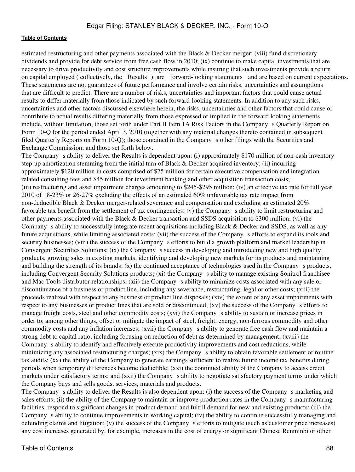estimated restructuring and other payments associated with the Black & Decker merger; (viii) fund discretionary dividends and provide for debt service from free cash flow in 2010; (ix) continue to make capital investments that are necessary to drive productivity and cost structure improvements while insuring that such investments provide a return on capital employed ( collectively, the Results); are forward-looking statements and are based on current expectations. These statements are not guarantees of future performance and involve certain risks, uncertainties and assumptions that are difficult to predict. There are a number of risks, uncertainties and important factors that could cause actual results to differ materially from those indicated by such forward-looking statements. In addition to any such risks, uncertainties and other factors discussed elsewhere herein, the risks, uncertainties and other factors that could cause or contribute to actual results differing materially from those expressed or implied in the forward looking statements include, without limitation, those set forth under Part II Item 1A Risk Factors in the Companys Quarterly Report on Form 10-Q for the period ended April 3, 2010 (together with any material changes thereto contained in subsequent filed Quarterly Reports on Form 10-Q); those contained in the Companys other filings with the Securities and Exchange Commission; and those set forth below.

The Company s ability to deliver the Results is dependent upon: (i) approximately \$170 million of non-cash inventory step-up amortization stemming from the initial turn of Black & Decker acquired inventory; (ii) incurring approximately \$120 million in costs comprised of \$75 million for certain executive compensation and integration related consulting fees and \$45 million for investment banking and other acquisition transaction costs; (iii) restructuring and asset impairment charges amounting to \$245-\$295 million; (iv) an effective tax rate for full year 2010 of 18-23% or 26-27% excluding the effects of an estimated 60% unfavorable tax rate impact from non-deductible Black & Decker merger-related severance and compensation and excluding an estimated 20% favorable tax benefit from the settlement of tax contingencies; (v) the Company s ability to limit restructuring and other payments associated with the Black & Decker transaction and SSDS acquisition to \$300 million; (vi) the Company s ability to successfully integrate recent acquisitions including Black  $&$  Decker and SSDS, as well as any future acquisitions, while limiting associated costs; (vii) the success of the Companys efforts to expand its tools and security businesses; (viii) the success of the Company s efforts to build a growth platform and market leadership in Convergent Securities Solutions; (ix) the Company s success in developing and introducing new and high quality products, growing sales in existing markets, identifying and developing new markets for its products and maintaining and building the strength of its brands;  $(x)$  the continued acceptance of technologies used in the Company s products, including Convergent Security Solutions products; (xi) the Company s ability to manage existing Sonitrol franchisee and Mac Tools distributor relationships; (xii) the Company s ability to minimize costs associated with any sale or discontinuance of a business or product line, including any severance, restructuring, legal or other costs; (xiii) the proceeds realized with respect to any business or product line disposals; (xiv) the extent of any asset impairments with respect to any businesses or product lines that are sold or discontinued; (xv) the success of the Company s efforts to manage freight costs, steel and other commodity costs; (xvi) the Company s ability to sustain or increase prices in order to, among other things, offset or mitigate the impact of steel, freight, energy, non-ferrous commodity and other commodity costs and any inflation increases; (xvii) the Company s ability to generate free cash flow and maintain a strong debt to capital ratio, including focusing on reduction of debt as determined by management; (xviii) the Company s ability to identify and effectively execute productivity improvements and cost reductions, while minimizing any associated restructuring charges; (xix) the Company s ability to obtain favorable settlement of routine tax audits; (xx) the ability of the Company to generate earnings sufficient to realize future income tax benefits during periods when temporary differences become deductible; (xxi) the continued ability of the Company to access credit markets under satisfactory terms; and (xxii) the Company s ability to negotiate satisfactory payment terms under which the Company buys and sells goods, services, materials and products.

The Company s ability to deliver the Results is also dependent upon: (i) the success of the Company s marketing and sales efforts; (ii) the ability of the Company to maintain or improve production rates in the Company s manufacturing facilities, respond to significant changes in product demand and fulfill demand for new and existing products; (iii) the Company s ability to continue improvements in working capital; (iv) the ability to continue successfully managing and defending claims and litigation; (v) the success of the Company s efforts to mitigate (such as customer price increases) any cost increases generated by, for example, increases in the cost of energy or significant Chinese Renminbi or other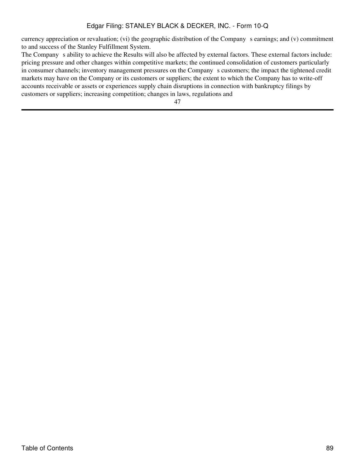currency appreciation or revaluation; (vi) the geographic distribution of the Company s earnings; and (v) commitment to and success of the Stanley Fulfillment System.

The Company s ability to achieve the Results will also be affected by external factors. These external factors include: pricing pressure and other changes within competitive markets; the continued consolidation of customers particularly in consumer channels; inventory management pressures on the Company s customers; the impact the tightened credit markets may have on the Company or its customers or suppliers; the extent to which the Company has to write-off accounts receivable or assets or experiences supply chain disruptions in connection with bankruptcy filings by customers or suppliers; increasing competition; changes in laws, regulations and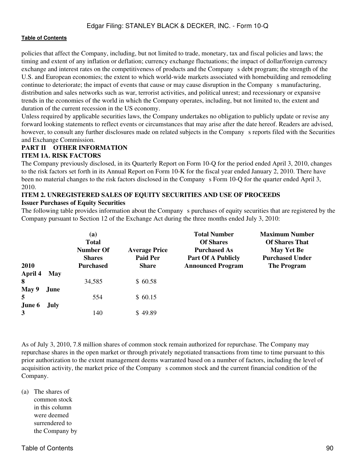policies that affect the Company, including, but not limited to trade, monetary, tax and fiscal policies and laws; the timing and extent of any inflation or deflation; currency exchange fluctuations; the impact of dollar/foreign currency exchange and interest rates on the competitiveness of products and the Company s debt program; the strength of the U.S. and European economies; the extent to which world-wide markets associated with homebuilding and remodeling continue to deteriorate; the impact of events that cause or may cause disruption in the Company s manufacturing, distribution and sales networks such as war, terrorist activities, and political unrest; and recessionary or expansive trends in the economies of the world in which the Company operates, including, but not limited to, the extent and duration of the current recession in the US economy.

Unless required by applicable securities laws, the Company undertakes no obligation to publicly update or revise any forward looking statements to reflect events or circumstances that may arise after the date hereof. Readers are advised, however, to consult any further disclosures made on related subjects in the Company s reports filed with the Securities and Exchange Commission.

# **PART II OTHER INFORMATION ITEM 1A. RISK FACTORS**

The Company previously disclosed, in its Quarterly Report on Form 10-Q for the period ended April 3, 2010, changes to the risk factors set forth in its Annual Report on Form 10-K for the fiscal year ended January 2, 2010. There have been no material changes to the risk factors disclosed in the Company s Form 10-Q for the quarter ended April 3, 2010.

### **ITEM 2. UNREGISTERED SALES OF EQUITY SECURITIES AND USE OF PROCEEDS Issuer Purchases of Equity Securities**

The following table provides information about the Company s purchases of equity securities that are registered by the Company pursuant to Section 12 of the Exchange Act during the three months ended July 3, 2010:

| <b>2010</b> |       | (a)<br><b>Total</b><br><b>Number Of</b><br><b>Shares</b><br><b>Purchased</b> | <b>Average Price</b><br><b>Paid Per</b><br><b>Share</b> | <b>Total Number</b><br><b>Of Shares</b><br><b>Purchased As</b><br><b>Part Of A Publicly</b><br><b>Announced Program</b> | <b>Maximum Number</b><br><b>Of Shares That</b><br><b>May Yet Be</b><br><b>Purchased Under</b><br><b>The Program</b> |
|-------------|-------|------------------------------------------------------------------------------|---------------------------------------------------------|-------------------------------------------------------------------------------------------------------------------------|---------------------------------------------------------------------------------------------------------------------|
| April 4     | May   |                                                                              |                                                         |                                                                                                                         |                                                                                                                     |
| 8           |       | 34,585                                                                       | \$60.58                                                 |                                                                                                                         |                                                                                                                     |
| May 9       | June. |                                                                              |                                                         |                                                                                                                         |                                                                                                                     |
| 5           |       | 554                                                                          | \$60.15                                                 |                                                                                                                         |                                                                                                                     |
| June 6      | July  |                                                                              |                                                         |                                                                                                                         |                                                                                                                     |
| 3           |       | 140                                                                          | \$49.89                                                 |                                                                                                                         |                                                                                                                     |

As of July 3, 2010, 7.8 million shares of common stock remain authorized for repurchase. The Company may repurchase shares in the open market or through privately negotiated transactions from time to time pursuant to this prior authorization to the extent management deems warranted based on a number of factors, including the level of acquisition activity, the market price of the Company s common stock and the current financial condition of the Company.

(a) The shares of common stock in this column were deemed surrendered to the Company by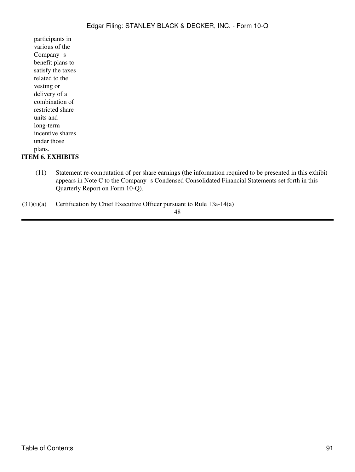participants in various of the Company<sub>s</sub> benefit plans to satisfy the taxes related to the vesting or delivery of a combination of restricted share units and long-term incentive shares under those plans. **ITEM 6. EXHIBITS**

> (11) Statement re-computation of per share earnings (the information required to be presented in this exhibit appears in Note C to the Company s Condensed Consolidated Financial Statements set forth in this Quarterly Report on Form 10-Q).

 $(31)(i)(a)$  Certification by Chief Executive Officer pursuant to Rule 13a-14(a)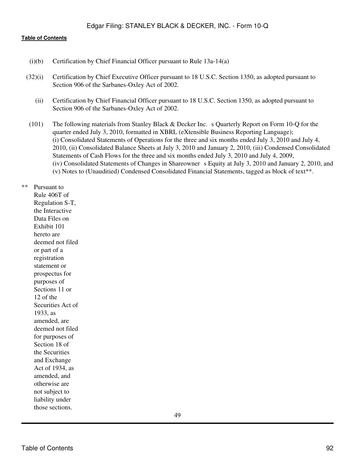#### **[Table of Contents](#page-3-0)**

- (i)(b) Certification by Chief Financial Officer pursuant to Rule 13a-14(a)
- (32)(i) Certification by Chief Executive Officer pursuant to 18 U.S.C. Section 1350, as adopted pursuant to Section 906 of the Sarbanes-Oxley Act of 2002.
	- (ii) Certification by Chief Financial Officer pursuant to 18 U.S.C. Section 1350, as adopted pursuant to Section 906 of the Sarbanes-Oxley Act of 2002.
- (101) The following materials from Stanley Black & Decker Inc. s Quarterly Report on Form 10-Q for the quarter ended July 3, 2010, formatted in XBRL (eXtensible Business Reporting Language); (i) Consolidated Statements of Operations for the three and six months ended July 3, 2010 and July 4, 2010, (ii) Consolidated Balance Sheets at July 3, 2010 and January 2, 2010, (iii) Condensed Consolidated Statements of Cash Flows for the three and six months ended July 3, 2010 and July 4, 2009, (iv) Consolidated Statements of Changes in Shareowner s Equity at July 3, 2010 and January 2, 2010, and (v) Notes to (Unauditied) Condensed Consolidated Financial Statements, tagged as block of text\*\*.

\*\* Pursuant to Rule 406T of Regulation S-T, the Interactive Data Files on Exhibit 101 hereto are deemed not filed or part of a registration statement or prospectus for purposes of Sections 11 or 12 of the Securities Act of 1933, as amended, are deemed not filed for purposes of Section 18 of the Securities and Exchange Act of 1934, as amended, and otherwise are not subject to liability under those sections.